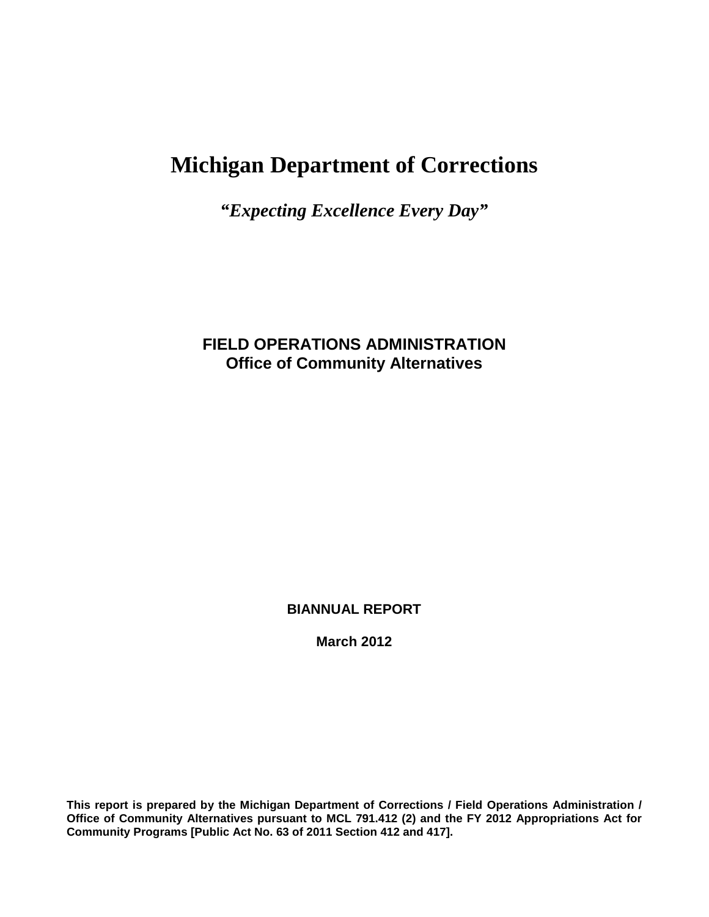# **Michigan Department of Corrections**

*"Expecting Excellence Every Day"*

# **FIELD OPERATIONS ADMINISTRATION Office of Community Alternatives**

**BIANNUAL REPORT**

**March 2012**

**This report is prepared by the Michigan Department of Corrections / Field Operations Administration / Office of Community Alternatives pursuant to MCL 791.412 (2) and the FY 2012 Appropriations Act for Community Programs [Public Act No. 63 of 2011 Section 412 and 417].**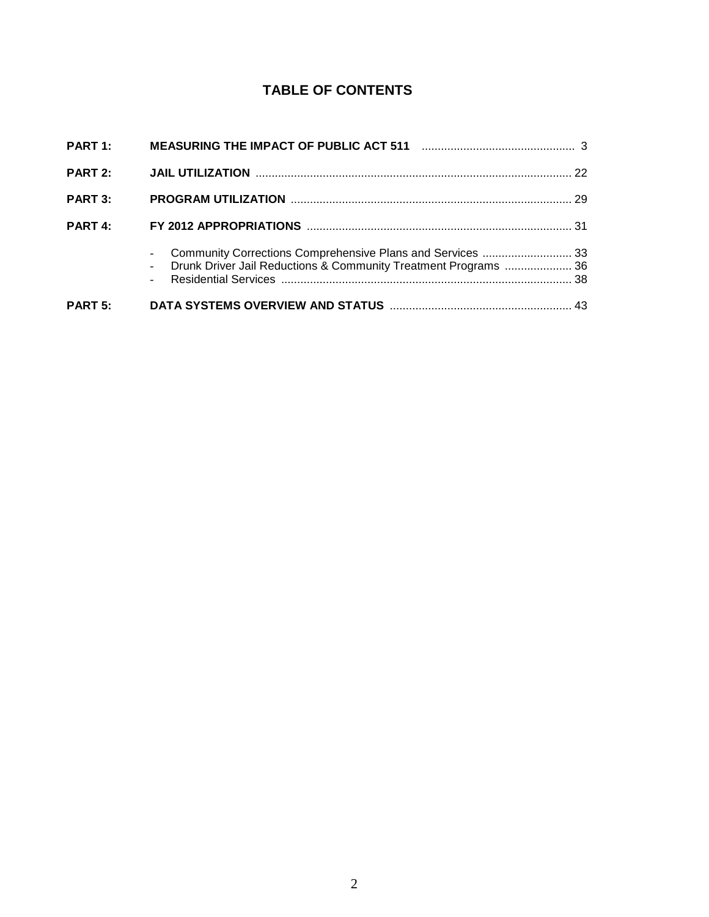# **TABLE OF CONTENTS**

| <b>PART 1:</b> |                                                                                                                                 |  |
|----------------|---------------------------------------------------------------------------------------------------------------------------------|--|
| <b>PART 2:</b> |                                                                                                                                 |  |
| <b>PART 3:</b> |                                                                                                                                 |  |
| <b>PART 4:</b> |                                                                                                                                 |  |
|                | Community Corrections Comprehensive Plans and Services  33<br>- Drunk Driver Jail Reductions & Community Treatment Programs  36 |  |
| <b>PART 5:</b> |                                                                                                                                 |  |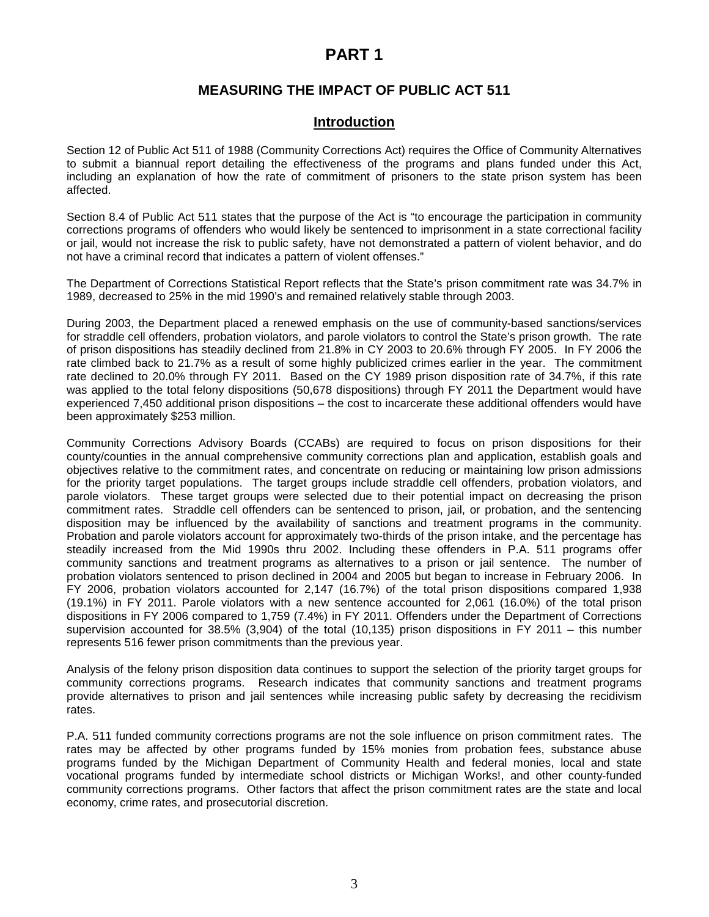# **PART 1**

# **MEASURING THE IMPACT OF PUBLIC ACT 511**

### **Introduction**

Section 12 of Public Act 511 of 1988 (Community Corrections Act) requires the Office of Community Alternatives to submit a biannual report detailing the effectiveness of the programs and plans funded under this Act, including an explanation of how the rate of commitment of prisoners to the state prison system has been affected.

Section 8.4 of Public Act 511 states that the purpose of the Act is "to encourage the participation in community corrections programs of offenders who would likely be sentenced to imprisonment in a state correctional facility or jail, would not increase the risk to public safety, have not demonstrated a pattern of violent behavior, and do not have a criminal record that indicates a pattern of violent offenses."

The Department of Corrections Statistical Report reflects that the State's prison commitment rate was 34.7% in 1989, decreased to 25% in the mid 1990's and remained relatively stable through 2003.

During 2003, the Department placed a renewed emphasis on the use of community-based sanctions/services for straddle cell offenders, probation violators, and parole violators to control the State's prison growth. The rate of prison dispositions has steadily declined from 21.8% in CY 2003 to 20.6% through FY 2005. In FY 2006 the rate climbed back to 21.7% as a result of some highly publicized crimes earlier in the year. The commitment rate declined to 20.0% through FY 2011. Based on the CY 1989 prison disposition rate of 34.7%, if this rate was applied to the total felony dispositions (50,678 dispositions) through FY 2011 the Department would have experienced 7,450 additional prison dispositions – the cost to incarcerate these additional offenders would have been approximately \$253 million.

Community Corrections Advisory Boards (CCABs) are required to focus on prison dispositions for their county/counties in the annual comprehensive community corrections plan and application, establish goals and objectives relative to the commitment rates, and concentrate on reducing or maintaining low prison admissions for the priority target populations. The target groups include straddle cell offenders, probation violators, and parole violators. These target groups were selected due to their potential impact on decreasing the prison commitment rates. Straddle cell offenders can be sentenced to prison, jail, or probation, and the sentencing disposition may be influenced by the availability of sanctions and treatment programs in the community. Probation and parole violators account for approximately two-thirds of the prison intake, and the percentage has steadily increased from the Mid 1990s thru 2002. Including these offenders in P.A. 511 programs offer community sanctions and treatment programs as alternatives to a prison or jail sentence. The number of probation violators sentenced to prison declined in 2004 and 2005 but began to increase in February 2006. In FY 2006, probation violators accounted for 2,147 (16.7%) of the total prison dispositions compared 1,938 (19.1%) in FY 2011. Parole violators with a new sentence accounted for 2,061 (16.0%) of the total prison dispositions in FY 2006 compared to 1,759 (7.4%) in FY 2011. Offenders under the Department of Corrections supervision accounted for 38.5% (3,904) of the total (10,135) prison dispositions in FY 2011 – this number represents 516 fewer prison commitments than the previous year.

Analysis of the felony prison disposition data continues to support the selection of the priority target groups for community corrections programs. Research indicates that community sanctions and treatment programs provide alternatives to prison and jail sentences while increasing public safety by decreasing the recidivism rates.

P.A. 511 funded community corrections programs are not the sole influence on prison commitment rates. The rates may be affected by other programs funded by 15% monies from probation fees, substance abuse programs funded by the Michigan Department of Community Health and federal monies, local and state vocational programs funded by intermediate school districts or Michigan Works!, and other county-funded community corrections programs. Other factors that affect the prison commitment rates are the state and local economy, crime rates, and prosecutorial discretion.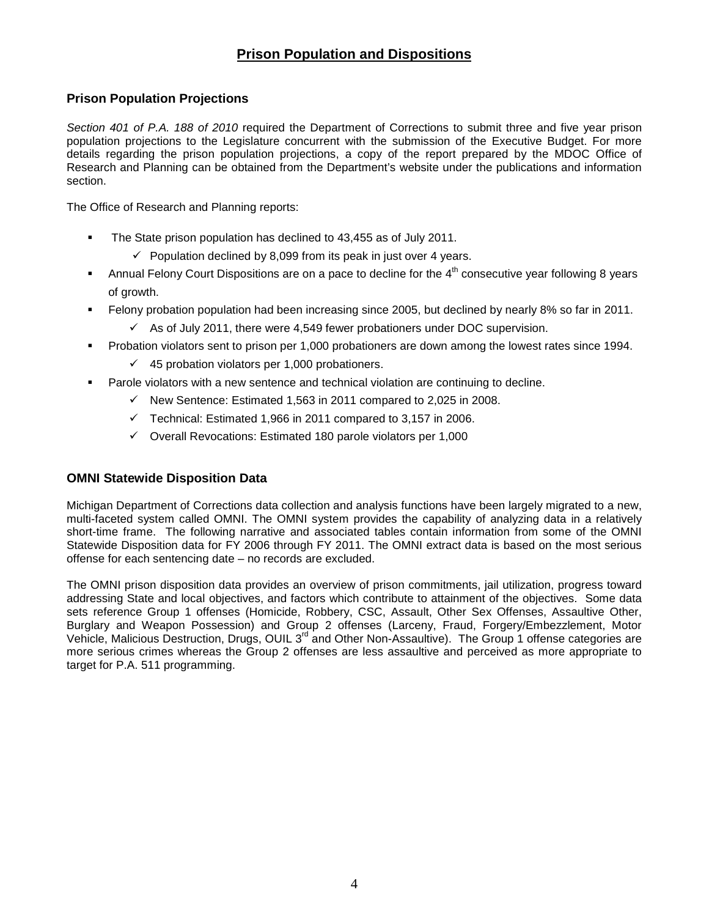# **Prison Population and Dispositions**

# **Prison Population Projections**

Section 401 of P.A. 188 of 2010 required the Department of Corrections to submit three and five year prison population projections to the Legislature concurrent with the submission of the Executive Budget. For more details regarding the prison population projections, a copy of the report prepared by the MDOC Office of Research and Planning can be obtained from the Department's website under the publications and information section.

The Office of Research and Planning reports:

- **The State prison population has declined to 43,455 as of July 2011.** 
	- $\checkmark$  Population declined by 8,099 from its peak in just over 4 years.
- Annual Felony Court Dispositions are on a pace to decline for the  $4<sup>th</sup>$  consecutive year following 8 years of growth.
- Felony probation population had been increasing since 2005, but declined by nearly 8% so far in 2011.
	- $\checkmark$  As of July 2011, there were 4,549 fewer probationers under DOC supervision.
- Probation violators sent to prison per 1,000 probationers are down among the lowest rates since 1994.
	- $\checkmark$  45 probation violators per 1,000 probationers.
- Parole violators with a new sentence and technical violation are continuing to decline.
	- $\checkmark$ New Sentence: Estimated 1,563 in 2011 compared to 2,025 in 2008.
	- $\checkmark$  Technical: Estimated 1,966 in 2011 compared to 3,157 in 2006.
	- Overall Revocations: Estimated 180 parole violators per 1,000

# **OMNI Statewide Disposition Data**

Michigan Department of Corrections data collection and analysis functions have been largely migrated to a new, multi-faceted system called OMNI. The OMNI system provides the capability of analyzing data in a relatively short-time frame. The following narrative and associated tables contain information from some of the OMNI Statewide Disposition data for FY 2006 through FY 2011. The OMNI extract data is based on the most serious offense for each sentencing date – no records are excluded.

The OMNI prison disposition data provides an overview of prison commitments, jail utilization, progress toward addressing State and local objectives, and factors which contribute to attainment of the objectives. Some data sets reference Group 1 offenses (Homicide, Robbery, CSC, Assault, Other Sex Offenses, Assaultive Other, Burglary and Weapon Possession) and Group 2 offenses (Larceny, Fraud, Forgery/Embezzlement, Motor Vehicle, Malicious Destruction, Drugs, OUIL 3<sup>rd</sup> and Other Non-Assaultive). The Group 1 offense categories are more serious crimes whereas the Group 2 offenses are less assaultive and perceived as more appropriate to target for P.A. 511 programming.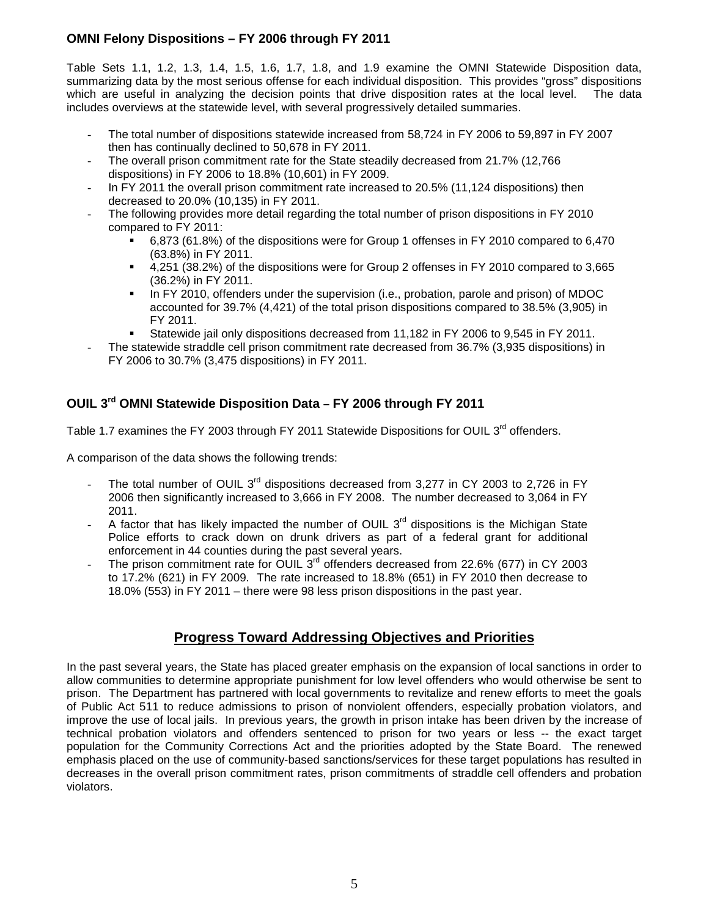# **OMNI Felony Dispositions – FY 2006 through FY 2011**

Table Sets 1.1, 1.2, 1.3, 1.4, 1.5, 1.6, 1.7, 1.8, and 1.9 examine the OMNI Statewide Disposition data, summarizing data by the most serious offense for each individual disposition. This provides "gross" dispositions which are useful in analyzing the decision points that drive disposition rates at the local level. The data includes overviews at the statewide level, with several progressively detailed summaries.

- The total number of dispositions statewide increased from 58,724 in FY 2006 to 59,897 in FY 2007 then has continually declined to 50,678 in FY 2011.
- The overall prison commitment rate for the State steadily decreased from 21.7% (12,766 dispositions) in FY 2006 to 18.8% (10,601) in FY 2009.
- In FY 2011 the overall prison commitment rate increased to 20.5% (11,124 dispositions) then decreased to 20.0% (10,135) in FY 2011.
- The following provides more detail regarding the total number of prison dispositions in FY 2010 compared to FY 2011:
	- 6,873 (61.8%) of the dispositions were for Group 1 offenses in FY 2010 compared to 6,470 (63.8%) in FY 2011.
	- 4,251 (38.2%) of the dispositions were for Group 2 offenses in FY 2010 compared to 3,665 (36.2%) in FY 2011.
	- In FY 2010, offenders under the supervision (i.e., probation, parole and prison) of MDOC accounted for 39.7% (4,421) of the total prison dispositions compared to 38.5% (3,905) in FY 2011.
	- Statewide jail only dispositions decreased from 11,182 in FY 2006 to 9,545 in FY 2011.
- The statewide straddle cell prison commitment rate decreased from 36.7% (3,935 dispositions) in FY 2006 to 30.7% (3,475 dispositions) in FY 2011.

# **OUIL 3rd OMNI Statewide Disposition Data – FY 2006 through FY 2011**

Table 1.7 examines the FY 2003 through FY 2011 Statewide Dispositions for OUIL 3<sup>rd</sup> offenders.

A comparison of the data shows the following trends:

- The total number of OUIL  $3<sup>rd</sup>$  dispositions decreased from 3,277 in CY 2003 to 2,726 in FY 2006 then significantly increased to 3,666 in FY 2008. The number decreased to 3,064 in FY 2011.
- A factor that has likely impacted the number of OUIL  $3<sup>rd</sup>$  dispositions is the Michigan State Police efforts to crack down on drunk drivers as part of a federal grant for additional enforcement in 44 counties during the past several years.
- The prison commitment rate for OUIL  $3<sup>rd</sup>$  offenders decreased from 22.6% (677) in CY 2003 to 17.2% (621) in FY 2009. The rate increased to 18.8% (651) in FY 2010 then decrease to 18.0% (553) in FY 2011 – there were 98 less prison dispositions in the past year.

# **Progress Toward Addressing Objectives and Priorities**

In the past several years, the State has placed greater emphasis on the expansion of local sanctions in order to allow communities to determine appropriate punishment for low level offenders who would otherwise be sent to prison. The Department has partnered with local governments to revitalize and renew efforts to meet the goals of Public Act 511 to reduce admissions to prison of nonviolent offenders, especially probation violators, and improve the use of local jails. In previous years, the growth in prison intake has been driven by the increase of technical probation violators and offenders sentenced to prison for two years or less -- the exact target population for the Community Corrections Act and the priorities adopted by the State Board. The renewed emphasis placed on the use of community-based sanctions/services for these target populations has resulted in decreases in the overall prison commitment rates, prison commitments of straddle cell offenders and probation violators.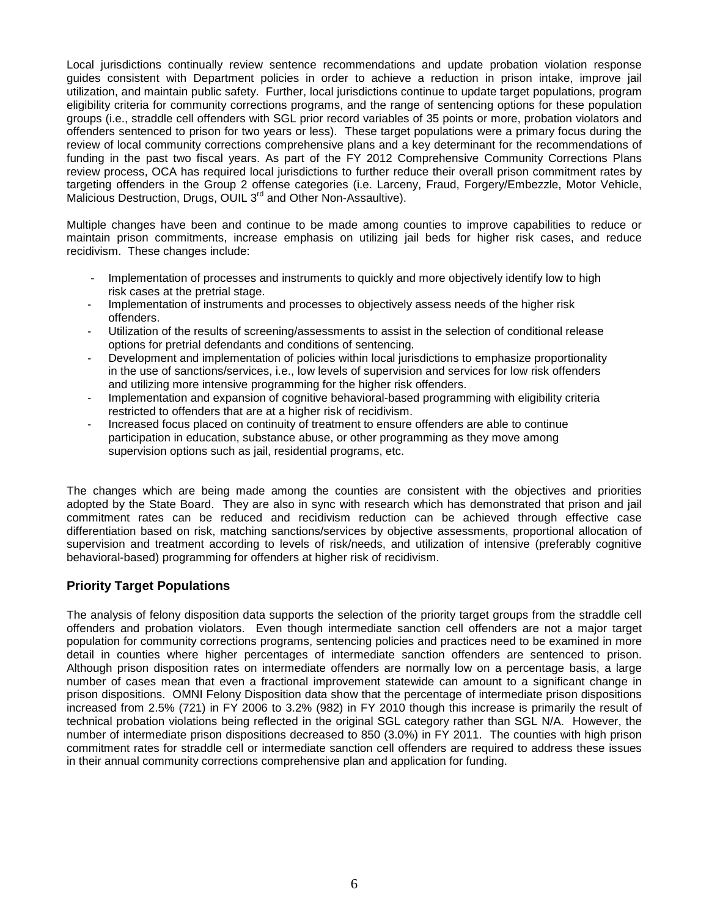Local jurisdictions continually review sentence recommendations and update probation violation response guides consistent with Department policies in order to achieve a reduction in prison intake, improve jail utilization, and maintain public safety. Further, local jurisdictions continue to update target populations, program eligibility criteria for community corrections programs, and the range of sentencing options for these population groups (i.e., straddle cell offenders with SGL prior record variables of 35 points or more, probation violators and offenders sentenced to prison for two years or less). These target populations were a primary focus during the review of local community corrections comprehensive plans and a key determinant for the recommendations of funding in the past two fiscal years. As part of the FY 2012 Comprehensive Community Corrections Plans review process, OCA has required local jurisdictions to further reduce their overall prison commitment rates by targeting offenders in the Group 2 offense categories (i.e. Larceny, Fraud, Forgery/Embezzle, Motor Vehicle, Malicious Destruction, Drugs, OUIL 3<sup>rd</sup> and Other Non-Assaultive).

Multiple changes have been and continue to be made among counties to improve capabilities to reduce or maintain prison commitments, increase emphasis on utilizing jail beds for higher risk cases, and reduce recidivism. These changes include:

- Implementation of processes and instruments to quickly and more objectively identify low to high risk cases at the pretrial stage.
- Implementation of instruments and processes to objectively assess needs of the higher risk offenders.
- Utilization of the results of screening/assessments to assist in the selection of conditional release options for pretrial defendants and conditions of sentencing.
- Development and implementation of policies within local jurisdictions to emphasize proportionality in the use of sanctions/services, i.e., low levels of supervision and services for low risk offenders and utilizing more intensive programming for the higher risk offenders.
- Implementation and expansion of cognitive behavioral-based programming with eligibility criteria restricted to offenders that are at a higher risk of recidivism.
- Increased focus placed on continuity of treatment to ensure offenders are able to continue participation in education, substance abuse, or other programming as they move among supervision options such as jail, residential programs, etc.

The changes which are being made among the counties are consistent with the objectives and priorities adopted by the State Board. They are also in sync with research which has demonstrated that prison and jail commitment rates can be reduced and recidivism reduction can be achieved through effective case differentiation based on risk, matching sanctions/services by objective assessments, proportional allocation of supervision and treatment according to levels of risk/needs, and utilization of intensive (preferably cognitive behavioral-based) programming for offenders at higher risk of recidivism.

# **Priority Target Populations**

The analysis of felony disposition data supports the selection of the priority target groups from the straddle cell offenders and probation violators. Even though intermediate sanction cell offenders are not a major target population for community corrections programs, sentencing policies and practices need to be examined in more detail in counties where higher percentages of intermediate sanction offenders are sentenced to prison. Although prison disposition rates on intermediate offenders are normally low on a percentage basis, a large number of cases mean that even a fractional improvement statewide can amount to a significant change in prison dispositions. OMNI Felony Disposition data show that the percentage of intermediate prison dispositions increased from 2.5% (721) in FY 2006 to 3.2% (982) in FY 2010 though this increase is primarily the result of technical probation violations being reflected in the original SGL category rather than SGL N/A. However, the number of intermediate prison dispositions decreased to 850 (3.0%) in FY 2011. The counties with high prison commitment rates for straddle cell or intermediate sanction cell offenders are required to address these issues in their annual community corrections comprehensive plan and application for funding.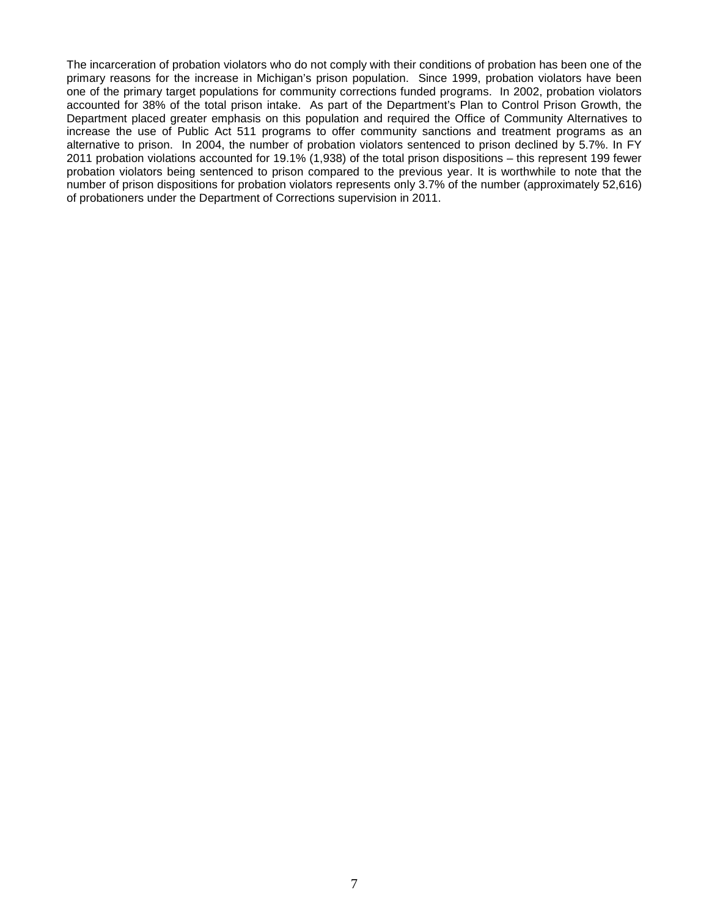The incarceration of probation violators who do not comply with their conditions of probation has been one of the primary reasons for the increase in Michigan's prison population. Since 1999, probation violators have been one of the primary target populations for community corrections funded programs. In 2002, probation violators accounted for 38% of the total prison intake. As part of the Department's Plan to Control Prison Growth, the Department placed greater emphasis on this population and required the Office of Community Alternatives to increase the use of Public Act 511 programs to offer community sanctions and treatment programs as an alternative to prison. In 2004, the number of probation violators sentenced to prison declined by 5.7%. In FY 2011 probation violations accounted for 19.1% (1,938) of the total prison dispositions – this represent 199 fewer probation violators being sentenced to prison compared to the previous year. It is worthwhile to note that the number of prison dispositions for probation violators represents only 3.7% of the number (approximately 52,616) of probationers under the Department of Corrections supervision in 2011.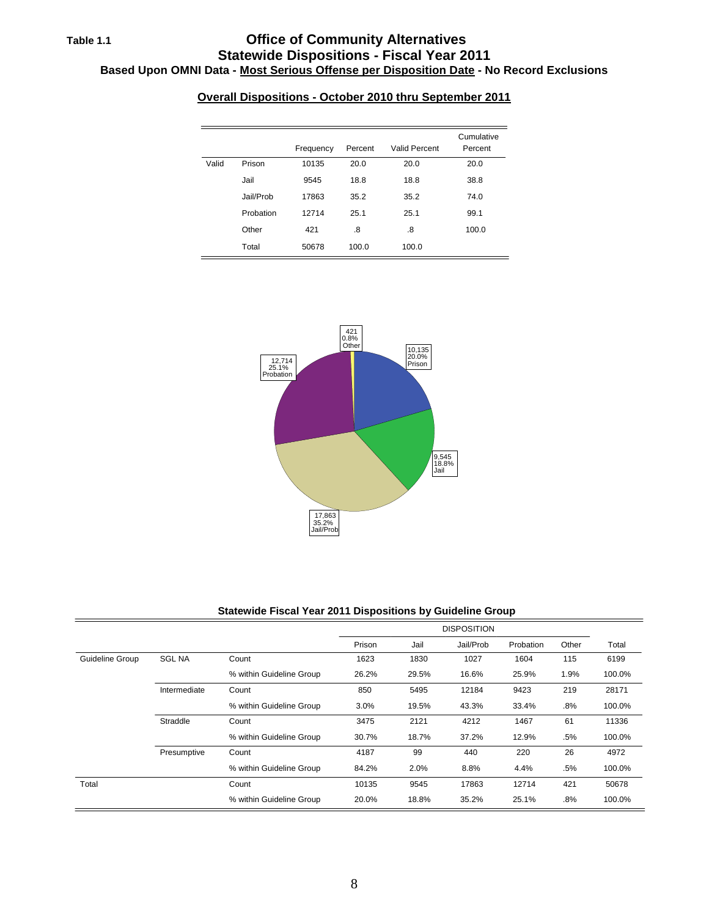# **Table 1.1 Office of Community Alternatives Statewide Dispositions - Fiscal Year 2011 Based Upon OMNI Data - Most Serious Offense per Disposition Date - No Record Exclusions**

|       |           | Frequency | Percent | <b>Valid Percent</b> | Cumulative<br>Percent |
|-------|-----------|-----------|---------|----------------------|-----------------------|
| Valid | Prison    | 10135     | 20.0    | 20.0                 | 20.0                  |
|       | Jail      | 9545      | 18.8    | 18.8                 | 38.8                  |
|       | Jail/Prob | 17863     | 35.2    | 35.2                 | 74.0                  |
|       | Probation | 12714     | 25.1    | 25.1                 | 99.1                  |
|       | Other     | 421       | .8      | .8                   | 100.0                 |
|       | Total     | 50678     | 100.0   | 100.0                |                       |

# **Overall Dispositions - October 2010 thru September 2011**



#### **Statewide Fiscal Year 2011 Dispositions by Guideline Group**

|                 |               |                          |        |       | <b>DISPOSITION</b> |           |        |        |
|-----------------|---------------|--------------------------|--------|-------|--------------------|-----------|--------|--------|
|                 |               |                          | Prison | Jail  | Jail/Prob          | Probation | Other  | Total  |
| Guideline Group | <b>SGL NA</b> | Count                    | 1623   | 1830  | 1027               | 1604      | 115    | 6199   |
|                 |               | % within Guideline Group | 26.2%  | 29.5% | 16.6%              | 25.9%     | 1.9%   | 100.0% |
|                 | Intermediate  | Count                    | 850    | 5495  | 12184              | 9423      | 219    | 28171  |
|                 |               | % within Guideline Group | 3.0%   | 19.5% | 43.3%              | 33.4%     | $.8\%$ | 100.0% |
|                 | Straddle      | Count                    | 3475   | 2121  | 4212               | 1467      | 61     | 11336  |
|                 |               | % within Guideline Group | 30.7%  | 18.7% | 37.2%              | 12.9%     | .5%    | 100.0% |
|                 | Presumptive   | Count                    | 4187   | 99    | 440                | 220       | 26     | 4972   |
|                 |               | % within Guideline Group | 84.2%  | 2.0%  | 8.8%               | 4.4%      | .5%    | 100.0% |
| Total           |               | Count                    | 10135  | 9545  | 17863              | 12714     | 421    | 50678  |
|                 |               | % within Guideline Group | 20.0%  | 18.8% | 35.2%              | 25.1%     | .8%    | 100.0% |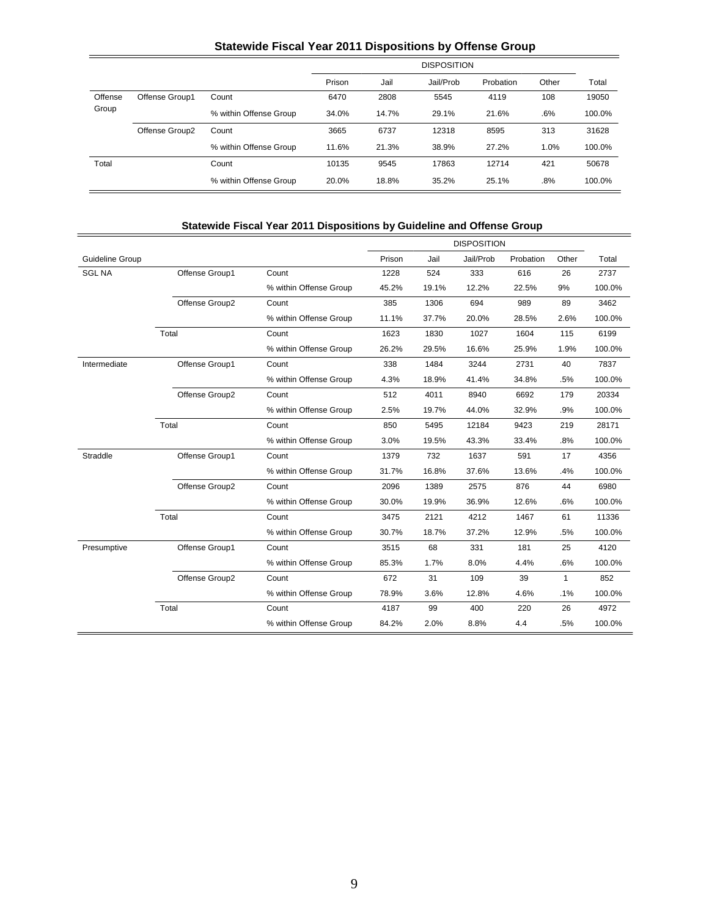# **Statewide Fiscal Year 2011 Dispositions by Offense Group**

|         |                |                        |        |       | <b>DISPOSITION</b> |           |       |        |
|---------|----------------|------------------------|--------|-------|--------------------|-----------|-------|--------|
|         |                |                        | Prison | Jail  | Jail/Prob          | Probation | Other | Total  |
| Offense | Offense Group1 | Count                  | 6470   | 2808  | 5545               | 4119      | 108   | 19050  |
| Group   |                | % within Offense Group | 34.0%  | 14.7% | 29.1%              | 21.6%     | .6%   | 100.0% |
|         | Offense Group2 | Count                  | 3665   | 6737  | 12318              | 8595      | 313   | 31628  |
|         |                | % within Offense Group | 11.6%  | 21.3% | 38.9%              | 27.2%     | 1.0%  | 100.0% |
| Total   |                | Count                  | 10135  | 9545  | 17863              | 12714     | 421   | 50678  |
|         |                | % within Offense Group | 20.0%  | 18.8% | 35.2%              | 25.1%     | .8%   | 100.0% |

# **Statewide Fiscal Year 2011 Dispositions by Guideline and Offense Group**

|                 |                |                        |        | <b>DISPOSITION</b> |           |           |              |        |
|-----------------|----------------|------------------------|--------|--------------------|-----------|-----------|--------------|--------|
| Guideline Group |                |                        | Prison | Jail               | Jail/Prob | Probation | Other        | Total  |
| <b>SGL NA</b>   | Offense Group1 | Count                  | 1228   | 524                | 333       | 616       | 26           | 2737   |
|                 |                | % within Offense Group | 45.2%  | 19.1%              | 12.2%     | 22.5%     | 9%           | 100.0% |
|                 | Offense Group2 | Count                  | 385    | 1306               | 694       | 989       | 89           | 3462   |
|                 |                | % within Offense Group | 11.1%  | 37.7%              | 20.0%     | 28.5%     | 2.6%         | 100.0% |
|                 | Total          | Count                  | 1623   | 1830               | 1027      | 1604      | 115          | 6199   |
|                 |                | % within Offense Group | 26.2%  | 29.5%              | 16.6%     | 25.9%     | 1.9%         | 100.0% |
| Intermediate    | Offense Group1 | Count                  | 338    | 1484               | 3244      | 2731      | 40           | 7837   |
|                 |                | % within Offense Group | 4.3%   | 18.9%              | 41.4%     | 34.8%     | .5%          | 100.0% |
|                 | Offense Group2 | Count                  | 512    | 4011               | 8940      | 6692      | 179          | 20334  |
|                 |                | % within Offense Group | 2.5%   | 19.7%              | 44.0%     | 32.9%     | .9%          | 100.0% |
|                 | Total          | Count                  | 850    | 5495               | 12184     | 9423      | 219          | 28171  |
|                 |                | % within Offense Group | 3.0%   | 19.5%              | 43.3%     | 33.4%     | .8%          | 100.0% |
| Straddle        | Offense Group1 | Count                  | 1379   | 732                | 1637      | 591       | 17           | 4356   |
|                 |                | % within Offense Group | 31.7%  | 16.8%              | 37.6%     | 13.6%     | .4%          | 100.0% |
|                 | Offense Group2 | Count                  | 2096   | 1389               | 2575      | 876       | 44           | 6980   |
|                 |                | % within Offense Group | 30.0%  | 19.9%              | 36.9%     | 12.6%     | .6%          | 100.0% |
|                 | Total          | Count                  | 3475   | 2121               | 4212      | 1467      | 61           | 11336  |
|                 |                | % within Offense Group | 30.7%  | 18.7%              | 37.2%     | 12.9%     | .5%          | 100.0% |
| Presumptive     | Offense Group1 | Count                  | 3515   | 68                 | 331       | 181       | 25           | 4120   |
|                 |                | % within Offense Group | 85.3%  | 1.7%               | 8.0%      | 4.4%      | .6%          | 100.0% |
|                 | Offense Group2 | Count                  | 672    | 31                 | 109       | 39        | $\mathbf{1}$ | 852    |
|                 |                | % within Offense Group | 78.9%  | 3.6%               | 12.8%     | 4.6%      | .1%          | 100.0% |
|                 | Total          | Count                  | 4187   | 99                 | 400       | 220       | 26           | 4972   |
|                 |                | % within Offense Group | 84.2%  | 2.0%               | 8.8%      | 4.4       | .5%          | 100.0% |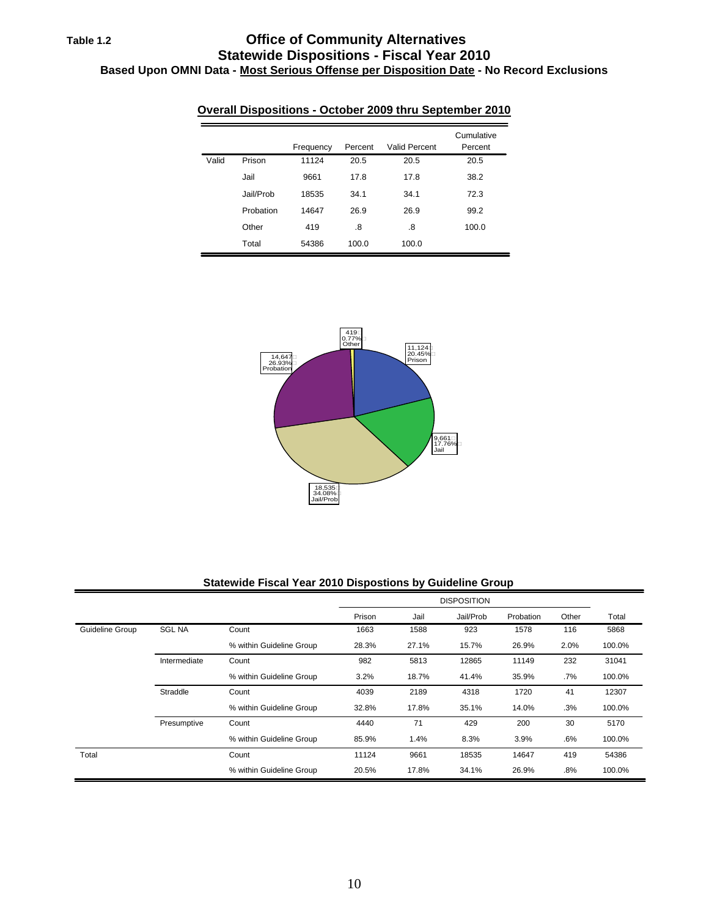# **Table 1.2 Office of Community Alternatives Statewide Dispositions - Fiscal Year 2010 Based Upon OMNI Data - Most Serious Offense per Disposition Date - No Record Exclusions**

|       |           | Frequency | Percent | <b>Valid Percent</b> | Cumulative<br>Percent |
|-------|-----------|-----------|---------|----------------------|-----------------------|
| Valid | Prison    | 11124     | 20.5    | 20.5                 | 20.5                  |
|       | Jail      | 9661      | 17.8    | 17.8                 | 38.2                  |
|       | Jail/Prob | 18535     | 34.1    | 34.1                 | 72.3                  |
|       | Probation | 14647     | 26.9    | 26.9                 | 99.2                  |
|       | Other     | 419       | .8      | .8                   | 100.0                 |
|       | Total     | 54386     | 100.0   | 100.0                |                       |

# **Overall Dispositions - October 2009 thru September 2010**



#### **Statewide Fiscal Year 2010 Dispostions by Guideline Group**

|                 |               |                          |        |       | <b>DISPOSITION</b> |           |       |        |
|-----------------|---------------|--------------------------|--------|-------|--------------------|-----------|-------|--------|
|                 |               |                          | Prison | Jail  | Jail/Prob          | Probation | Other | Total  |
| Guideline Group | <b>SGL NA</b> | Count                    | 1663   | 1588  | 923                | 1578      | 116   | 5868   |
|                 |               | % within Guideline Group | 28.3%  | 27.1% | 15.7%              | 26.9%     | 2.0%  | 100.0% |
|                 | Intermediate  | Count                    | 982    | 5813  | 12865              | 11149     | 232   | 31041  |
|                 |               | % within Guideline Group | 3.2%   | 18.7% | 41.4%              | 35.9%     | .7%   | 100.0% |
|                 | Straddle      | Count                    | 4039   | 2189  | 4318               | 1720      | 41    | 12307  |
|                 |               | % within Guideline Group | 32.8%  | 17.8% | 35.1%              | 14.0%     | .3%   | 100.0% |
|                 | Presumptive   | Count                    | 4440   | 71    | 429                | 200       | 30    | 5170   |
|                 |               | % within Guideline Group | 85.9%  | 1.4%  | 8.3%               | 3.9%      | .6%   | 100.0% |
| Total           |               | Count                    | 11124  | 9661  | 18535              | 14647     | 419   | 54386  |
|                 |               | % within Guideline Group | 20.5%  | 17.8% | 34.1%              | 26.9%     | .8%   | 100.0% |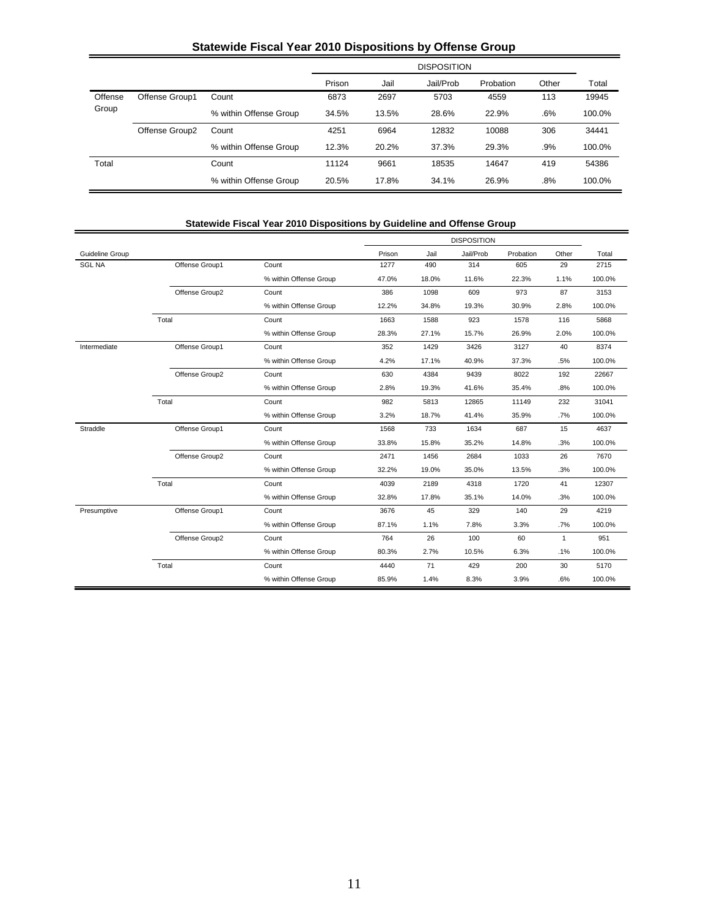# **Statewide Fiscal Year 2010 Dispositions by Offense Group**

|         |                |                        | <b>DISPOSITION</b> |       |           |           |       |        |  |  |
|---------|----------------|------------------------|--------------------|-------|-----------|-----------|-------|--------|--|--|
|         |                |                        | Prison             | Jail  | Jail/Prob | Probation | Other | Total  |  |  |
| Offense | Offense Group1 | Count                  | 6873               | 2697  | 5703      | 4559      | 113   | 19945  |  |  |
| Group   |                | % within Offense Group | 34.5%              | 13.5% | 28.6%     | 22.9%     | .6%   | 100.0% |  |  |
|         | Offense Group2 | Count                  | 4251               | 6964  | 12832     | 10088     | 306   | 34441  |  |  |
|         |                | % within Offense Group | 12.3%              | 20.2% | 37.3%     | 29.3%     | .9%   | 100.0% |  |  |
| Total   |                | Count                  | 11124              | 9661  | 18535     | 14647     | 419   | 54386  |  |  |
|         |                | % within Offense Group | 20.5%              | 17.8% | 34.1%     | 26.9%     | .8%   | 100.0% |  |  |

### **Statewide Fiscal Year 2010 Dispositions by Guideline and Offense Group**

|                 |                |                        |        |       | <b>DISPOSITION</b> |           |              |        |
|-----------------|----------------|------------------------|--------|-------|--------------------|-----------|--------------|--------|
| Guideline Group |                |                        | Prison | Jail  | Jail/Prob          | Probation | Other        | Total  |
| <b>SGL NA</b>   | Offense Group1 | Count                  | 1277   | 490   | 314                | 605       | 29           | 2715   |
|                 |                | % within Offense Group | 47.0%  | 18.0% | 11.6%              | 22.3%     | 1.1%         | 100.0% |
|                 | Offense Group2 | Count                  | 386    | 1098  | 609                | 973       | 87           | 3153   |
|                 |                | % within Offense Group | 12.2%  | 34.8% | 19.3%              | 30.9%     | 2.8%         | 100.0% |
|                 | Total          | Count                  | 1663   | 1588  | 923                | 1578      | 116          | 5868   |
|                 |                | % within Offense Group | 28.3%  | 27.1% | 15.7%              | 26.9%     | 2.0%         | 100.0% |
| Intermediate    | Offense Group1 | Count                  | 352    | 1429  | 3426               | 3127      | 40           | 8374   |
|                 |                | % within Offense Group | 4.2%   | 17.1% | 40.9%              | 37.3%     | .5%          | 100.0% |
|                 | Offense Group2 | Count                  | 630    | 4384  | 9439               | 8022      | 192          | 22667  |
|                 |                | % within Offense Group | 2.8%   | 19.3% | 41.6%              | 35.4%     | .8%          | 100.0% |
|                 | Total          | Count                  | 982    | 5813  | 12865              | 11149     | 232          | 31041  |
|                 |                | % within Offense Group | 3.2%   | 18.7% | 41.4%              | 35.9%     | .7%          | 100.0% |
| Straddle        | Offense Group1 | Count                  | 1568   | 733   | 1634               | 687       | 15           | 4637   |
|                 |                | % within Offense Group | 33.8%  | 15.8% | 35.2%              | 14.8%     | .3%          | 100.0% |
|                 | Offense Group2 | Count                  | 2471   | 1456  | 2684               | 1033      | 26           | 7670   |
|                 |                | % within Offense Group | 32.2%  | 19.0% | 35.0%              | 13.5%     | .3%          | 100.0% |
|                 | Total          | Count                  | 4039   | 2189  | 4318               | 1720      | 41           | 12307  |
|                 |                | % within Offense Group | 32.8%  | 17.8% | 35.1%              | 14.0%     | .3%          | 100.0% |
| Presumptive     | Offense Group1 | Count                  | 3676   | 45    | 329                | 140       | 29           | 4219   |
|                 |                | % within Offense Group | 87.1%  | 1.1%  | 7.8%               | 3.3%      | .7%          | 100.0% |
|                 | Offense Group2 | Count                  | 764    | 26    | 100                | 60        | $\mathbf{1}$ | 951    |
|                 |                | % within Offense Group | 80.3%  | 2.7%  | 10.5%              | 6.3%      | .1%          | 100.0% |
|                 | Total          | Count                  | 4440   | 71    | 429                | 200       | 30           | 5170   |
|                 |                | % within Offense Group | 85.9%  | 1.4%  | 8.3%               | 3.9%      | .6%          | 100.0% |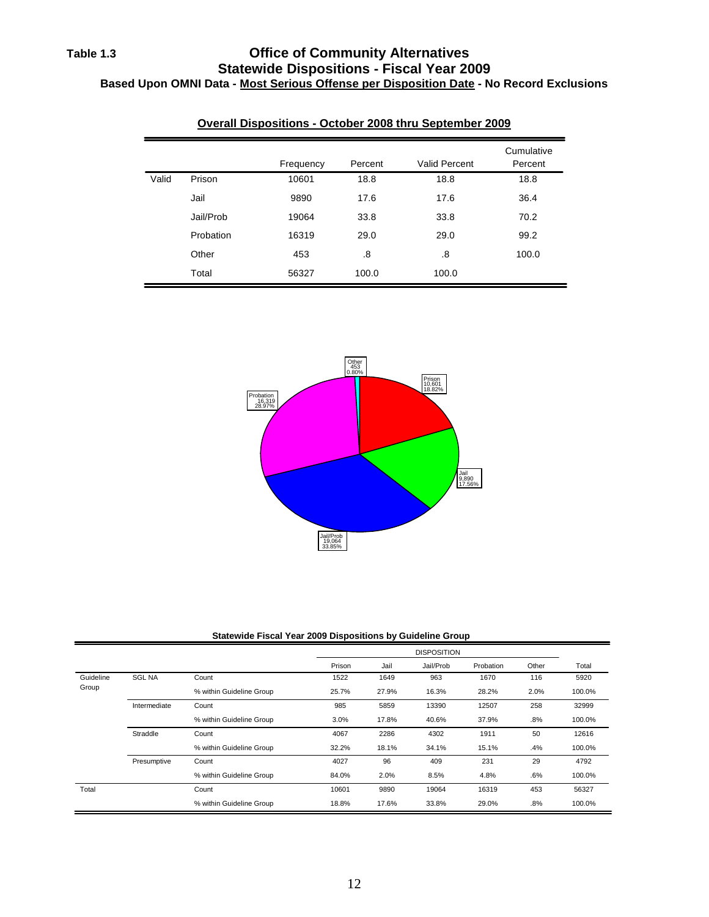### **Table 1.3 Office of Community Alternatives Statewide Dispositions - Fiscal Year 2009 Based Upon OMNI Data - Most Serious Offense per Disposition Date - No Record Exclusions**

|       |           | Frequency | Percent | <b>Valid Percent</b> | Cumulative<br>Percent |
|-------|-----------|-----------|---------|----------------------|-----------------------|
| Valid | Prison    | 10601     | 18.8    | 18.8                 | 18.8                  |
|       | Jail      | 9890      | 17.6    | 17.6                 | 36.4                  |
|       | Jail/Prob | 19064     | 33.8    | 33.8                 | 70.2                  |
|       | Probation | 16319     | 29.0    | 29.0                 | 99.2                  |
|       | Other     | 453       | .8      | .8                   | 100.0                 |
|       | Total     | 56327     | 100.0   | 100.0                |                       |

### **Overall Dispositions - October 2008 thru September 2009**



#### **Statewide Fiscal Year 2009 Dispositions by Guideline Group**

|           |               |                          |        |       | <b>DISPOSITION</b> |           |       |        |
|-----------|---------------|--------------------------|--------|-------|--------------------|-----------|-------|--------|
|           |               |                          | Prison | Jail  | Jail/Prob          | Probation | Other | Total  |
| Guideline | <b>SGL NA</b> | Count                    | 1522   | 1649  | 963                | 1670      | 116   | 5920   |
| Group     |               | % within Guideline Group | 25.7%  | 27.9% | 16.3%              | 28.2%     | 2.0%  | 100.0% |
|           | Intermediate  | Count                    | 985    | 5859  | 13390              | 12507     | 258   | 32999  |
|           |               | % within Guideline Group | 3.0%   | 17.8% | 40.6%              | 37.9%     | .8%   | 100.0% |
|           | Straddle      | Count                    | 4067   | 2286  | 4302               | 1911      | 50    | 12616  |
|           |               | % within Guideline Group | 32.2%  | 18.1% | 34.1%              | 15.1%     | .4%   | 100.0% |
|           | Presumptive   | Count                    | 4027   | 96    | 409                | 231       | 29    | 4792   |
|           |               | % within Guideline Group | 84.0%  | 2.0%  | 8.5%               | 4.8%      | .6%   | 100.0% |
| Total     |               | Count                    | 10601  | 9890  | 19064              | 16319     | 453   | 56327  |
|           |               | % within Guideline Group | 18.8%  | 17.6% | 33.8%              | 29.0%     | .8%   | 100.0% |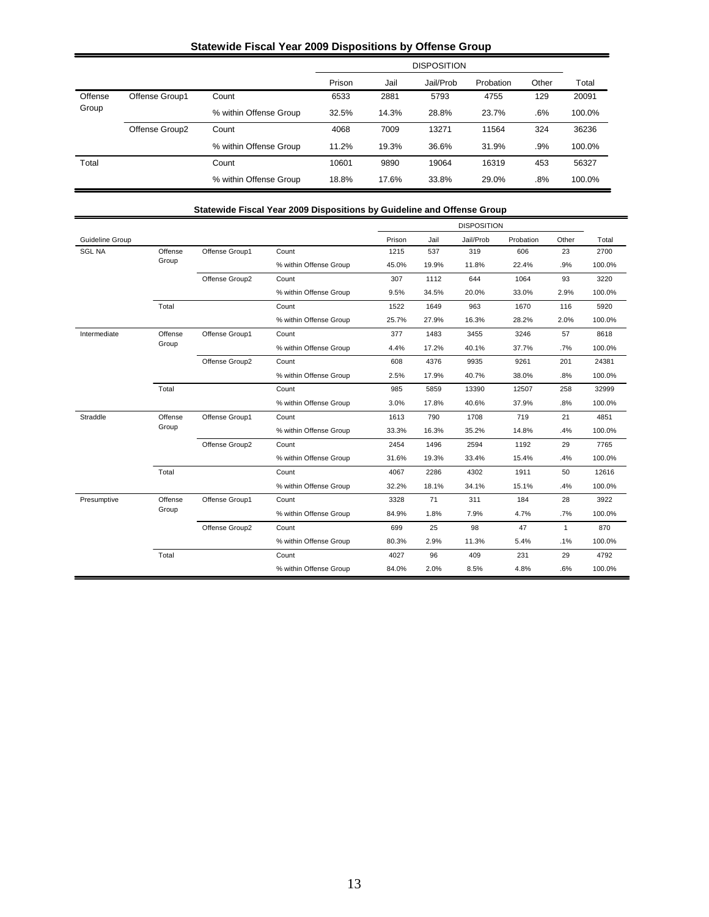### **Statewide Fiscal Year 2009 Dispositions by Offense Group**

|         |                |                        |        | <b>DISPOSITION</b> |           |           |       |        |  |  |
|---------|----------------|------------------------|--------|--------------------|-----------|-----------|-------|--------|--|--|
|         |                |                        | Prison | Jail               | Jail/Prob | Probation | Other | Total  |  |  |
| Offense | Offense Group1 | Count                  | 6533   | 2881               | 5793      | 4755      | 129   | 20091  |  |  |
| Group   |                | % within Offense Group | 32.5%  | 14.3%              | 28.8%     | 23.7%     | .6%   | 100.0% |  |  |
|         | Offense Group2 | Count                  | 4068   | 7009               | 13271     | 11564     | 324   | 36236  |  |  |
|         |                | % within Offense Group | 11.2%  | 19.3%              | 36.6%     | 31.9%     | .9%   | 100.0% |  |  |
| Total   |                | Count                  | 10601  | 9890               | 19064     | 16319     | 453   | 56327  |  |  |
|         |                | % within Offense Group | 18.8%  | 17.6%              | 33.8%     | 29.0%     | .8%   | 100.0% |  |  |

|                 |         |                |                                                                                                                                                                                                                          |        |       | <b>DISPOSITION</b> |           |              |        |
|-----------------|---------|----------------|--------------------------------------------------------------------------------------------------------------------------------------------------------------------------------------------------------------------------|--------|-------|--------------------|-----------|--------------|--------|
| Guideline Group |         |                |                                                                                                                                                                                                                          | Prison | Jail  | Jail/Prob          | Probation | Other        | Total  |
| <b>SGL NA</b>   | Offense | Offense Group1 | Count                                                                                                                                                                                                                    | 1215   | 537   | 319                | 606       | 23           | 2700   |
|                 | Group   |                | % within Offense Group                                                                                                                                                                                                   | 45.0%  | 19.9% | 11.8%              | 22.4%     | .9%          | 100.0% |
|                 |         | Offense Group2 | Count                                                                                                                                                                                                                    | 307    | 1112  | 644                | 1064      | 93           | 3220   |
|                 |         |                | % within Offense Group                                                                                                                                                                                                   | 9.5%   | 34.5% | 20.0%              | 33.0%     | 2.9%         | 100.0% |
|                 | Total   |                | Count                                                                                                                                                                                                                    | 1522   | 1649  | 963                | 1670      | 116          | 5920   |
|                 |         |                | % within Offense Group                                                                                                                                                                                                   | 25.7%  | 27.9% | 16.3%              | 28.2%     | 2.0%         | 100.0% |
| Intermediate    | Offense | Offense Group1 | Count                                                                                                                                                                                                                    | 377    | 1483  | 3455               | 3246      | 57           | 8618   |
|                 | Group   |                | % within Offense Group                                                                                                                                                                                                   | 4.4%   | 17.2% | 40.1%              | 37.7%     | .7%          | 100.0% |
|                 |         | Offense Group2 | Count                                                                                                                                                                                                                    | 608    | 4376  | 9935               | 9261      | 201          | 24381  |
|                 |         |                | % within Offense Group                                                                                                                                                                                                   | 2.5%   | 17.9% | 40.7%              | 38.0%     | .8%          | 100.0% |
|                 | Total   |                | Count                                                                                                                                                                                                                    | 985    | 5859  | 13390              | 12507     | 258          | 32999  |
|                 |         |                | % within Offense Group                                                                                                                                                                                                   | 3.0%   | 17.8% | 40.6%              | 37.9%     | .8%          | 100.0% |
| Straddle        | Offense | Offense Group1 | Count                                                                                                                                                                                                                    | 1613   | 790   | 1708               | 719       | 21           | 4851   |
|                 | Group   |                | % within Offense Group                                                                                                                                                                                                   | 33.3%  | 16.3% | 35.2%              | 14.8%     | .4%          | 100.0% |
|                 |         | Offense Group2 | Count                                                                                                                                                                                                                    | 2454   | 1496  | 2594               | 1192      | 29           | 7765   |
|                 |         |                | % within Offense Group<br>31.6%<br>19.3%<br>33.4%<br>Count<br>4302<br>4067<br>2286<br>% within Offense Group<br>32.2%<br>34.1%<br>18.1%<br>Count<br>3328<br>71<br>311<br>% within Offense Group<br>84.9%<br>1.8%<br>7.9% | 15.4%  | .4%   | 100.0%             |           |              |        |
|                 | Total   |                |                                                                                                                                                                                                                          |        |       |                    | 1911      | 50           | 12616  |
|                 |         |                |                                                                                                                                                                                                                          |        |       |                    | 15.1%     | .4%          | 100.0% |
| Presumptive     | Offense | Offense Group1 |                                                                                                                                                                                                                          |        |       |                    | 184       | 28           | 3922   |
|                 | Group   |                |                                                                                                                                                                                                                          |        |       |                    | 4.7%      | .7%          | 100.0% |
|                 |         | Offense Group2 | Count                                                                                                                                                                                                                    | 699    | 25    | 98                 | 47        | $\mathbf{1}$ | 870    |
|                 |         |                | % within Offense Group                                                                                                                                                                                                   | 80.3%  | 2.9%  | 11.3%              | 5.4%      | .1%          | 100.0% |
|                 | Total   |                | Count                                                                                                                                                                                                                    | 4027   | 96    | 409                | 231       | 29           | 4792   |
|                 |         |                | % within Offense Group                                                                                                                                                                                                   | 84.0%  | 2.0%  | 8.5%               | 4.8%      | .6%          | 100.0% |

# 13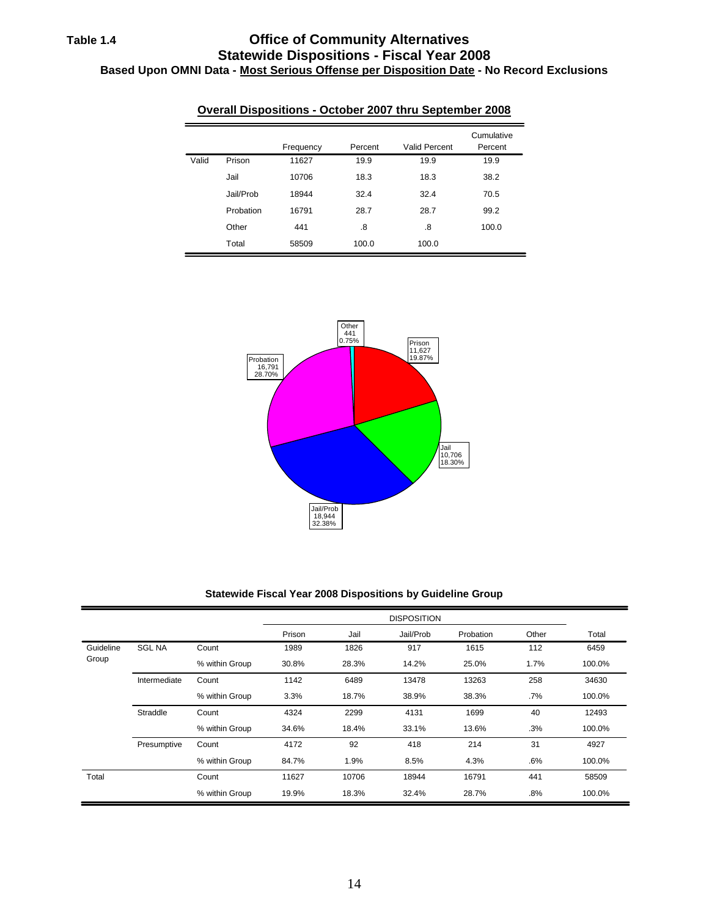# **Table 1.4 Office of Community Alternatives Statewide Dispositions - Fiscal Year 2008 Based Upon OMNI Data - Most Serious Offense per Disposition Date - No Record Exclusions**

|       |           | Frequency | Percent | Valid Percent | Cumulative<br>Percent |
|-------|-----------|-----------|---------|---------------|-----------------------|
| Valid | Prison    | 11627     | 19.9    | 19.9          | 19.9                  |
|       | Jail      | 10706     | 18.3    | 18.3          | 38.2                  |
|       | Jail/Prob | 18944     | 32.4    | 32.4          | 70.5                  |
|       | Probation | 16791     | 28.7    | 28.7          | 99.2                  |
|       | Other     | 441       | .8      | .8            | 100.0                 |
|       | Total     | 58509     | 100.0   | 100.0         |                       |

### **Overall Dispositions - October 2007 thru September 2008**



#### **Statewide Fiscal Year 2008 Dispositions by Guideline Group**

|           |               |                |        |       | <b>DISPOSITION</b> |           |       |        |
|-----------|---------------|----------------|--------|-------|--------------------|-----------|-------|--------|
|           |               |                | Prison | Jail  | Jail/Prob          | Probation | Other | Total  |
| Guideline | <b>SGL NA</b> | Count          | 1989   | 1826  | 917                | 1615      | 112   | 6459   |
| Group     |               | % within Group | 30.8%  | 28.3% | 14.2%              | 25.0%     | 1.7%  | 100.0% |
|           | Intermediate  | Count          | 1142   | 6489  | 13478              | 13263     | 258   | 34630  |
|           |               | % within Group | 3.3%   | 18.7% | 38.9%              | 38.3%     | .7%   | 100.0% |
|           | Straddle      | Count          | 4324   | 2299  | 4131               | 1699      | 40    | 12493  |
|           |               | % within Group | 34.6%  | 18.4% | 33.1%              | 13.6%     | .3%   | 100.0% |
|           | Presumptive   | Count          | 4172   | 92    | 418                | 214       | 31    | 4927   |
|           |               | % within Group | 84.7%  | 1.9%  | 8.5%               | 4.3%      | .6%   | 100.0% |
| Total     |               | Count          | 11627  | 10706 | 18944              | 16791     | 441   | 58509  |
|           |               | % within Group | 19.9%  | 18.3% | 32.4%              | 28.7%     | .8%   | 100.0% |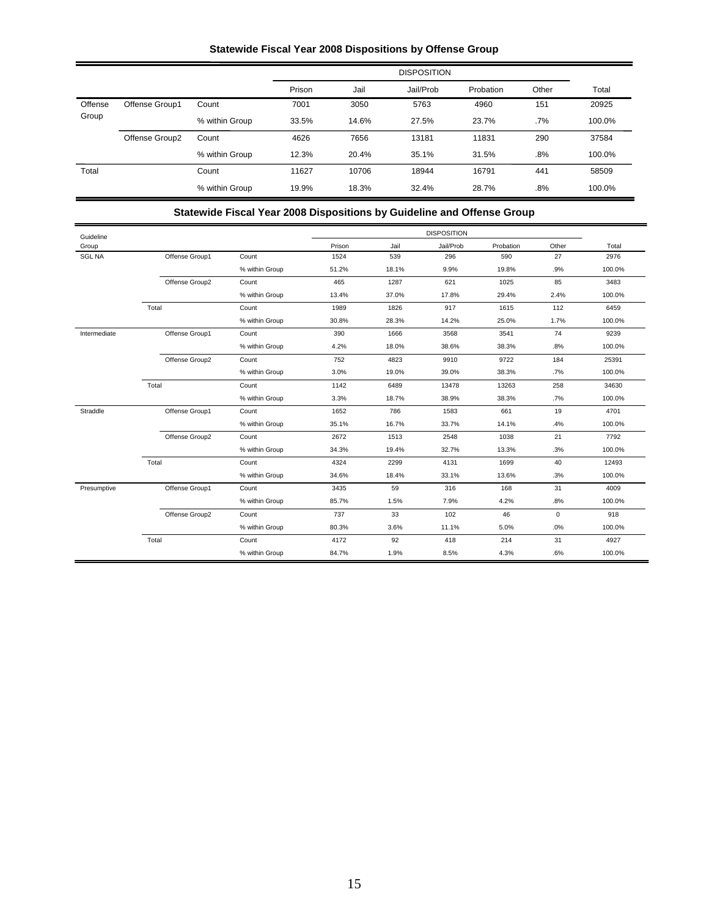# **Statewide Fiscal Year 2008 Dispositions by Offense Group**

|         |                |                |        |       | <b>DISPOSITION</b> |           |        |        |
|---------|----------------|----------------|--------|-------|--------------------|-----------|--------|--------|
|         |                |                | Prison | Jail  | Jail/Prob          | Probation | Other  | Total  |
| Offense | Offense Group1 | Count          | 7001   | 3050  | 5763               | 4960      | 151    | 20925  |
| Group   |                | % within Group | 33.5%  | 14.6% | 27.5%              | 23.7%     | .7%    | 100.0% |
|         | Offense Group2 | Count          | 4626   | 7656  | 13181              | 11831     | 290    | 37584  |
|         |                | % within Group | 12.3%  | 20.4% | 35.1%              | 31.5%     | $.8\%$ | 100.0% |
| Total   |                | Count          | 11627  | 10706 | 18944              | 16791     | 441    | 58509  |
|         |                | % within Group | 19.9%  | 18.3% | 32.4%              | 28.7%     | .8%    | 100.0% |

### **Statewide Fiscal Year 2008 Dispositions by Guideline and Offense Group**

| Guideline     |                |                |        |       | <b>DISPOSITION</b> |           |             |        |
|---------------|----------------|----------------|--------|-------|--------------------|-----------|-------------|--------|
| Group         |                |                | Prison | Jail  | Jail/Prob          | Probation | Other       | Total  |
| <b>SGL NA</b> | Offense Group1 | Count          | 1524   | 539   | 296                | 590       | 27          | 2976   |
|               |                | % within Group | 51.2%  | 18.1% | 9.9%               | 19.8%     | .9%         | 100.0% |
|               | Offense Group2 | Count          | 465    | 1287  | 621                | 1025      | 85          | 3483   |
|               |                | % within Group | 13.4%  | 37.0% | 17.8%              | 29.4%     | 2.4%        | 100.0% |
|               | Total          | Count          | 1989   | 1826  | 917                | 1615      | 112         | 6459   |
|               |                | % within Group | 30.8%  | 28.3% | 14.2%              | 25.0%     | 1.7%        | 100.0% |
| Intermediate  | Offense Group1 | Count          | 390    | 1666  | 3568               | 3541      | 74          | 9239   |
|               |                | % within Group | 4.2%   | 18.0% | 38.6%              | 38.3%     | .8%         | 100.0% |
|               | Offense Group2 | Count          | 752    | 4823  | 9910               | 9722      | 184         | 25391  |
|               |                | % within Group | 3.0%   | 19.0% | 39.0%              | 38.3%     | .7%         | 100.0% |
|               | Total          | Count          | 1142   | 6489  | 13478              | 13263     | 258         | 34630  |
|               |                | % within Group | 3.3%   | 18.7% | 38.9%              | 38.3%     | .7%         | 100.0% |
| Straddle      | Offense Group1 | Count          | 1652   | 786   | 1583               | 661       | 19          | 4701   |
|               |                | % within Group | 35.1%  | 16.7% | 33.7%              | 14.1%     | .4%         | 100.0% |
|               | Offense Group2 | Count          | 2672   | 1513  | 2548               | 1038      | 21          | 7792   |
|               |                | % within Group | 34.3%  | 19.4% | 32.7%              | 13.3%     | .3%         | 100.0% |
|               | Total          | Count          | 4324   | 2299  | 4131               | 1699      | 40          | 12493  |
|               |                | % within Group | 34.6%  | 18.4% | 33.1%              | 13.6%     | .3%         | 100.0% |
| Presumptive   | Offense Group1 | Count          | 3435   | 59    | 316                | 168       | 31          | 4009   |
|               |                | % within Group | 85.7%  | 1.5%  | 7.9%               | 4.2%      | .8%         | 100.0% |
|               | Offense Group2 | Count          | 737    | 33    | 102                | 46        | $\mathsf 0$ | 918    |
|               |                | % within Group | 80.3%  | 3.6%  | 11.1%              | 5.0%      | .0%         | 100.0% |
|               | Total          | Count          | 4172   | 92    | 418                | 214       | 31          | 4927   |
|               |                | % within Group | 84.7%  | 1.9%  | 8.5%               | 4.3%      | .6%         | 100.0% |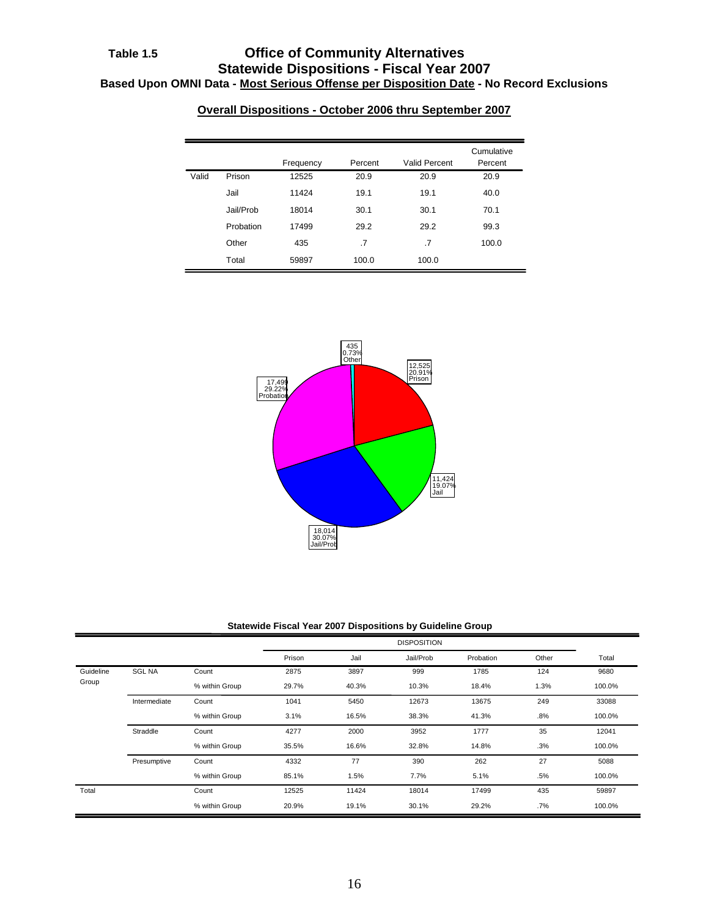|       |           | Frequency | Percent | Valid Percent | Cumulative<br>Percent |
|-------|-----------|-----------|---------|---------------|-----------------------|
| Valid | Prison    | 12525     | 20.9    | 20.9          | 20.9                  |
|       | Jail      | 11424     | 19.1    | 19.1          | 40.0                  |
|       | Jail/Prob | 18014     | 30.1    | 30.1          | 70.1                  |
|       | Probation | 17499     | 29.2    | 29.2          | 99.3                  |
|       | Other     | 435       | .7      | .7            | 100.0                 |
|       | Total     | 59897     | 100.0   | 100.0         |                       |





#### **Statewide Fiscal Year 2007 Dispositions by Guideline Group**

|           |               |                |        |       | <b>DISPOSITION</b> |           |       |        |
|-----------|---------------|----------------|--------|-------|--------------------|-----------|-------|--------|
|           |               |                | Prison | Jail  | Jail/Prob          | Probation | Other | Total  |
| Guideline | <b>SGL NA</b> | Count          | 2875   | 3897  | 999                | 1785      | 124   | 9680   |
| Group     |               | % within Group | 29.7%  | 40.3% | 10.3%              | 18.4%     | 1.3%  | 100.0% |
|           | Intermediate  | Count          | 1041   | 5450  | 12673              | 13675     | 249   | 33088  |
|           |               | % within Group | 3.1%   | 16.5% | 38.3%              | 41.3%     | .8%   | 100.0% |
|           | Straddle      | Count          | 4277   | 2000  | 3952               | 1777      | 35    | 12041  |
|           |               | % within Group | 35.5%  | 16.6% | 32.8%              | 14.8%     | .3%   | 100.0% |
|           | Presumptive   | Count          | 4332   | 77    | 390                | 262       | 27    | 5088   |
|           |               | % within Group | 85.1%  | 1.5%  | 7.7%               | 5.1%      | .5%   | 100.0% |
| Total     |               | Count          | 12525  | 11424 | 18014              | 17499     | 435   | 59897  |
|           |               | % within Group | 20.9%  | 19.1% | 30.1%              | 29.2%     | .7%   | 100.0% |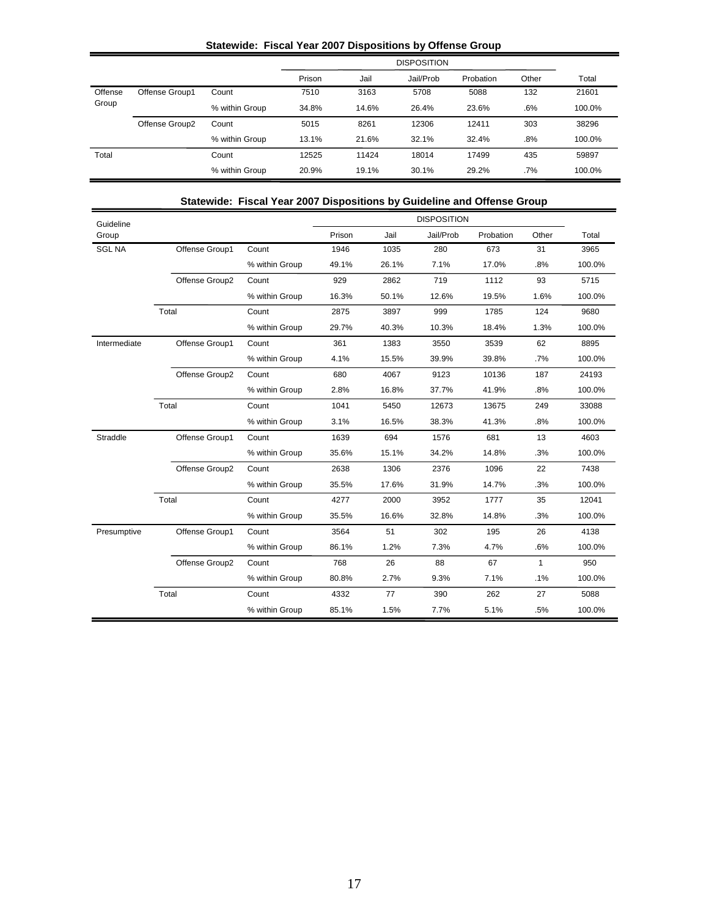|                  |                |                |        |       | <b>DISPOSITION</b> |           |       |        |
|------------------|----------------|----------------|--------|-------|--------------------|-----------|-------|--------|
|                  |                |                | Prison | Jail  | Jail/Prob          | Probation | Other | Total  |
| Offense<br>Group | Offense Group1 | Count          | 7510   | 3163  | 5708               | 5088      | 132   | 21601  |
|                  |                | % within Group | 34.8%  | 14.6% | 26.4%              | 23.6%     | .6%   | 100.0% |
|                  | Offense Group2 | Count          | 5015   | 8261  | 12306              | 12411     | 303   | 38296  |
|                  |                | % within Group | 13.1%  | 21.6% | 32.1%              | 32.4%     | .8%   | 100.0% |
| Total            |                | Count          | 12525  | 11424 | 18014              | 17499     | 435   | 59897  |
|                  |                | % within Group | 20.9%  | 19.1% | 30.1%              | 29.2%     | .7%   | 100.0% |

|               |                |                | olalewide. Tiscal Teal Zuur Dispositions by Guideline and Offense Group |       |                    |           |              |        |
|---------------|----------------|----------------|-------------------------------------------------------------------------|-------|--------------------|-----------|--------------|--------|
| Guideline     |                |                |                                                                         |       | <b>DISPOSITION</b> |           |              |        |
| Group         |                |                | Prison                                                                  | Jail  | Jail/Prob          | Probation | Other        | Total  |
| <b>SGL NA</b> | Offense Group1 | Count          | 1946                                                                    | 1035  | 280                | 673       | 31           | 3965   |
|               |                | % within Group | 49.1%                                                                   | 26.1% | 7.1%               | 17.0%     | .8%          | 100.0% |
|               | Offense Group2 | Count          | 929                                                                     | 2862  | 719                | 1112      | 93           | 5715   |
|               |                | % within Group | 16.3%                                                                   | 50.1% | 12.6%              | 19.5%     | 1.6%         | 100.0% |
|               | Total          | Count          | 2875                                                                    | 3897  | 999                | 1785      | 124          | 9680   |
|               |                | % within Group | 29.7%                                                                   | 40.3% | 10.3%              | 18.4%     | 1.3%         | 100.0% |
| Intermediate  | Offense Group1 | Count          | 361                                                                     | 1383  | 3550               | 3539      | 62           | 8895   |
|               |                | % within Group | 4.1%                                                                    | 15.5% | 39.9%              | 39.8%     | .7%          | 100.0% |
|               | Offense Group2 | Count          | 680                                                                     | 4067  | 9123               | 10136     | 187          | 24193  |
|               |                | % within Group | 2.8%                                                                    | 16.8% | 37.7%              | 41.9%     | .8%          | 100.0% |
|               | Total          | Count          | 1041                                                                    | 5450  | 12673              | 13675     | 249          | 33088  |
|               |                | % within Group | 3.1%                                                                    | 16.5% | 38.3%              | 41.3%     | .8%          | 100.0% |
| Straddle      | Offense Group1 | Count          | 1639                                                                    | 694   | 1576               | 681       | 13           | 4603   |
|               |                | % within Group | 35.6%                                                                   | 15.1% | 34.2%              | 14.8%     | .3%          | 100.0% |
|               | Offense Group2 | Count          | 2638                                                                    | 1306  | 2376               | 1096      | 22           | 7438   |
|               |                | % within Group | 35.5%                                                                   | 17.6% | 31.9%              | 14.7%     | .3%          | 100.0% |
|               | Total          | Count          | 4277                                                                    | 2000  | 3952               | 1777      | 35           | 12041  |
|               |                | % within Group | 35.5%                                                                   | 16.6% | 32.8%              | 14.8%     | .3%          | 100.0% |
| Presumptive   | Offense Group1 | Count          | 3564                                                                    | 51    | 302                | 195       | 26           | 4138   |
|               |                | % within Group | 86.1%                                                                   | 1.2%  | 7.3%               | 4.7%      | .6%          | 100.0% |
|               | Offense Group2 | Count          | 768                                                                     | 26    | 88                 | 67        | $\mathbf{1}$ | 950    |
|               |                | % within Group | 80.8%                                                                   | 2.7%  | 9.3%               | 7.1%      | .1%          | 100.0% |
|               | Total          | Count          | 4332                                                                    | 77    | 390                | 262       | 27           | 5088   |
|               |                | % within Group | 85.1%                                                                   | 1.5%  | 7.7%               | 5.1%      | .5%          | 100.0% |

### **Statewide: Fiscal Year 2007 Dispositions by Guideline and Offense Group**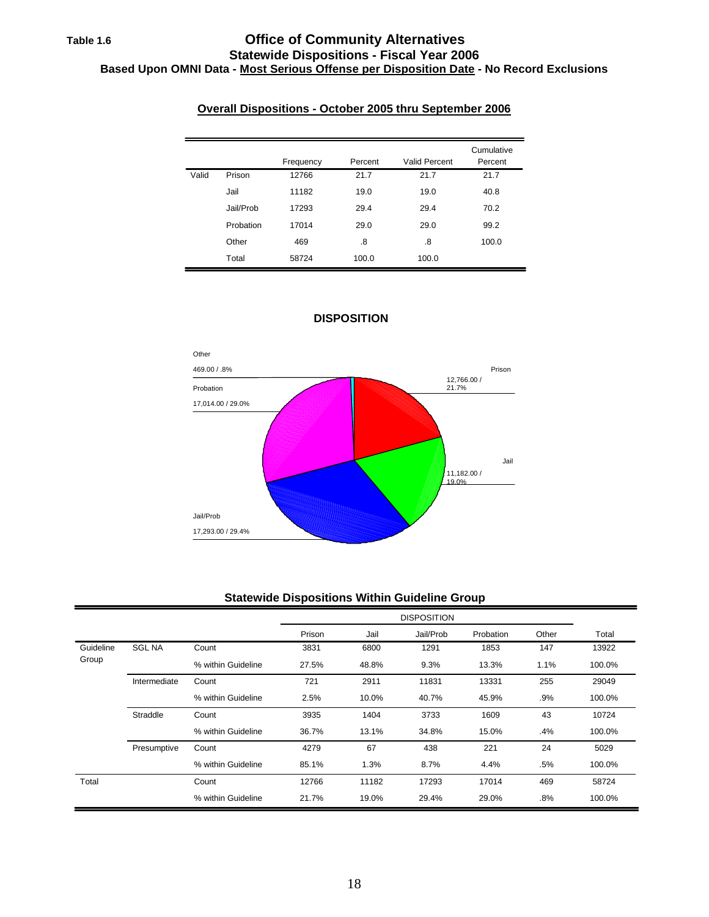# **Table 1.6 Office of Community Alternatives Statewide Dispositions - Fiscal Year 2006 Based Upon OMNI Data - Most Serious Offense per Disposition Date - No Record Exclusions**

|       |           | Frequency | Percent | Valid Percent | Cumulative<br>Percent |
|-------|-----------|-----------|---------|---------------|-----------------------|
| Valid | Prison    | 12766     | 21.7    | 21.7          | 21.7                  |
|       | Jail      | 11182     | 19.0    | 19.0          | 40.8                  |
|       | Jail/Prob | 17293     | 29.4    | 29.4          | 70.2                  |
|       | Probation | 17014     | 29.0    | 29.0          | 99.2                  |
|       | Other     | 469       | .8      | .8            | 100.0                 |
|       | Total     | 58724     | 100.0   | 100.0         |                       |

### **Overall Dispositions - October 2005 thru September 2006**



### **DISPOSITION**

### **Statewide Dispositions Within Guideline Group**

|           |               |                    |        |       | <b>DISPOSITION</b> |           |       |        |
|-----------|---------------|--------------------|--------|-------|--------------------|-----------|-------|--------|
|           |               |                    | Prison | Jail  | Jail/Prob          | Probation | Other | Total  |
| Guideline | <b>SGL NA</b> | Count              | 3831   | 6800  | 1291               | 1853      | 147   | 13922  |
| Group     |               | % within Guideline | 27.5%  | 48.8% | 9.3%               | 13.3%     | 1.1%  | 100.0% |
|           | Intermediate  | Count              | 721    | 2911  | 11831              | 13331     | 255   | 29049  |
|           |               | % within Guideline | 2.5%   | 10.0% | 40.7%              | 45.9%     | .9%   | 100.0% |
|           | Straddle      | Count              | 3935   | 1404  | 3733               | 1609      | 43    | 10724  |
|           |               | % within Guideline | 36.7%  | 13.1% | 34.8%              | 15.0%     | .4%   | 100.0% |
|           | Presumptive   | Count              | 4279   | 67    | 438                | 221       | 24    | 5029   |
|           |               | % within Guideline | 85.1%  | 1.3%  | 8.7%               | 4.4%      | .5%   | 100.0% |
| Total     |               | Count              | 12766  | 11182 | 17293              | 17014     | 469   | 58724  |
|           |               | % within Guideline | 21.7%  | 19.0% | 29.4%              | 29.0%     | .8%   | 100.0% |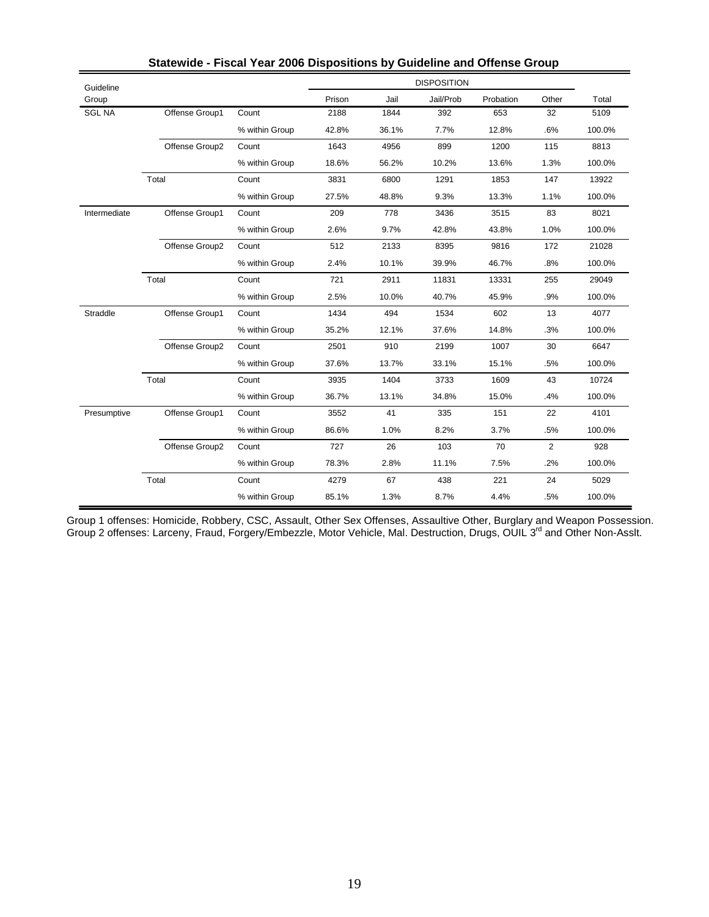| Guideline     |                |                |        |       | <b>DISPOSITION</b> |           |                |        |
|---------------|----------------|----------------|--------|-------|--------------------|-----------|----------------|--------|
| Group         |                |                | Prison | Jail  | Jail/Prob          | Probation | Other          | Total  |
| <b>SGL NA</b> | Offense Group1 | Count          | 2188   | 1844  | 392                | 653       | 32             | 5109   |
|               |                | % within Group | 42.8%  | 36.1% | 7.7%               | 12.8%     | .6%            | 100.0% |
|               | Offense Group2 | Count          | 1643   | 4956  | 899                | 1200      | 115            | 8813   |
|               |                | % within Group | 18.6%  | 56.2% | 10.2%              | 13.6%     | 1.3%           | 100.0% |
|               | Total          | Count          | 3831   | 6800  | 1291               | 1853      | 147            | 13922  |
|               |                | % within Group | 27.5%  | 48.8% | 9.3%               | 13.3%     | 1.1%           | 100.0% |
| Intermediate  | Offense Group1 | Count          | 209    | 778   | 3436               | 3515      | 83             | 8021   |
|               |                | % within Group | 2.6%   | 9.7%  | 42.8%              | 43.8%     | 1.0%           | 100.0% |
|               | Offense Group2 | Count          | 512    | 2133  | 8395               | 9816      | 172            | 21028  |
|               |                | % within Group | 2.4%   | 10.1% | 39.9%              | 46.7%     | .8%            | 100.0% |
|               | Total          | Count          | 721    | 2911  | 11831              | 13331     | 255            | 29049  |
|               |                | % within Group | 2.5%   | 10.0% | 40.7%              | 45.9%     | .9%            | 100.0% |
| Straddle      | Offense Group1 | Count          | 1434   | 494   | 1534               | 602       | 13             | 4077   |
|               |                | % within Group | 35.2%  | 12.1% | 37.6%              | 14.8%     | .3%            | 100.0% |
|               | Offense Group2 | Count          | 2501   | 910   | 2199               | 1007      | 30             | 6647   |
|               |                | % within Group | 37.6%  | 13.7% | 33.1%              | 15.1%     | .5%            | 100.0% |
|               | Total          | Count          | 3935   | 1404  | 3733               | 1609      | 43             | 10724  |
|               |                | % within Group | 36.7%  | 13.1% | 34.8%              | 15.0%     | .4%            | 100.0% |
| Presumptive   | Offense Group1 | Count          | 3552   | 41    | 335                | 151       | 22             | 4101   |
|               |                | % within Group | 86.6%  | 1.0%  | 8.2%               | 3.7%      | .5%            | 100.0% |
|               | Offense Group2 | Count          | 727    | 26    | 103                | 70        | $\overline{c}$ | 928    |
|               |                | % within Group | 78.3%  | 2.8%  | 11.1%              | 7.5%      | .2%            | 100.0% |
|               | Total          | Count          | 4279   | 67    | 438                | 221       | 24             | 5029   |
|               |                | % within Group | 85.1%  | 1.3%  | 8.7%               | 4.4%      | .5%            | 100.0% |

| Statewide - Fiscal Year 2006 Dispositions by Guideline and Offense Group |  |  |  |  |
|--------------------------------------------------------------------------|--|--|--|--|
|--------------------------------------------------------------------------|--|--|--|--|

Group 1 offenses: Homicide, Robbery, CSC, Assault, Other Sex Offenses, Assaultive Other, Burglary and Weapon Possession. Group 2 offenses: Larceny, Fraud, Forgery/Embezzle, Motor Vehicle, Mal. Destruction, Drugs, OUIL 3<sup>rd</sup> and Other Non-Asslt.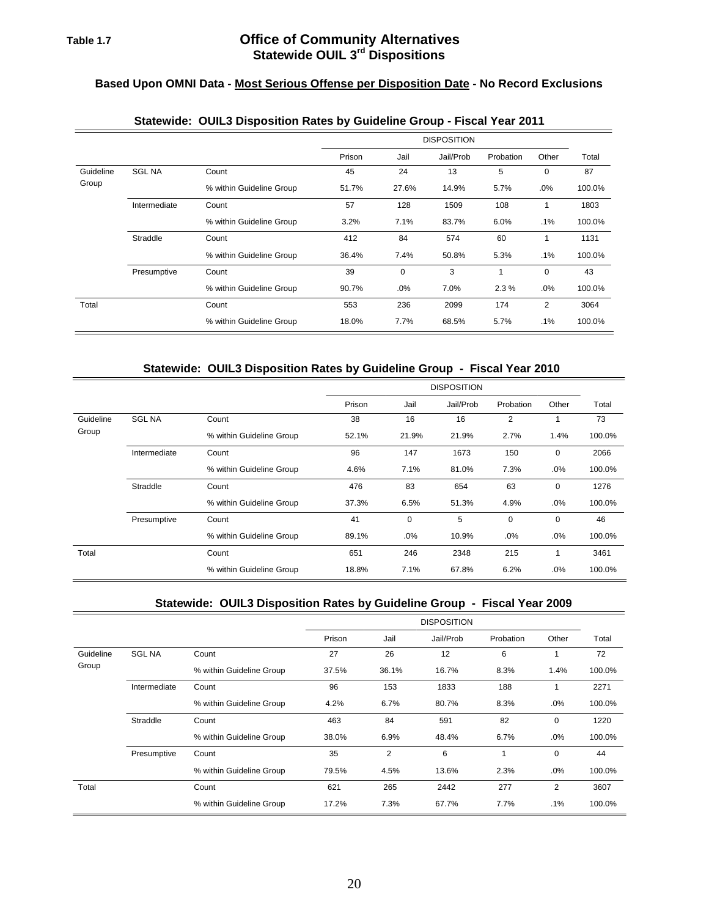# **Based Upon OMNI Data - Most Serious Offense per Disposition Date - No Record Exclusions**

|           |               |                          |        |       | <b>DISPOSITION</b> |           |                |        |
|-----------|---------------|--------------------------|--------|-------|--------------------|-----------|----------------|--------|
|           |               |                          | Prison | Jail  | Jail/Prob          | Probation | Other          | Total  |
| Guideline | <b>SGL NA</b> | Count                    | 45     | 24    | 13                 | 5         | 0              | 87     |
| Group     |               | % within Guideline Group | 51.7%  | 27.6% | 14.9%              | 5.7%      | .0%            | 100.0% |
|           | Intermediate  | Count                    | 57     | 128   | 1509               | 108       | 1              | 1803   |
|           |               | % within Guideline Group | 3.2%   | 7.1%  | 83.7%              | 6.0%      | .1%            | 100.0% |
|           | Straddle      | Count                    | 412    | 84    | 574                | 60        | 1              | 1131   |
|           |               | % within Guideline Group | 36.4%  | 7.4%  | 50.8%              | 5.3%      | .1%            | 100.0% |
|           | Presumptive   | Count                    | 39     | 0     | 3                  | 1         | 0              | 43     |
|           |               | % within Guideline Group | 90.7%  | .0%   | 7.0%               | 2.3%      | .0%            | 100.0% |
| Total     |               | Count                    | 553    | 236   | 2099               | 174       | $\overline{2}$ | 3064   |
|           |               | % within Guideline Group | 18.0%  | 7.7%  | 68.5%              | 5.7%      | .1%            | 100.0% |

# **Statewide: OUIL3 Disposition Rates by Guideline Group - Fiscal Year 2011**

### **Statewide: OUIL3 Disposition Rates by Guideline Group - Fiscal Year 2010**

|           |               |                          |        | <b>DISPOSITION</b> |           |           |       |        |  |  |  |  |  |
|-----------|---------------|--------------------------|--------|--------------------|-----------|-----------|-------|--------|--|--|--|--|--|
|           |               |                          | Prison | Jail               | Jail/Prob | Probation | Other | Total  |  |  |  |  |  |
| Guideline | <b>SGL NA</b> | Count                    | 38     | 16                 | 16        | 2         |       | 73     |  |  |  |  |  |
| Group     |               | % within Guideline Group | 52.1%  | 21.9%              | 21.9%     | 2.7%      | 1.4%  | 100.0% |  |  |  |  |  |
|           | Intermediate  | Count                    | 96     | 147                | 1673      | 150       | 0     | 2066   |  |  |  |  |  |
|           |               | % within Guideline Group | 4.6%   | 7.1%               | 81.0%     | 7.3%      | .0%   | 100.0% |  |  |  |  |  |
|           | Straddle      | Count                    | 476    | 83                 | 654       | 63        | 0     | 1276   |  |  |  |  |  |
|           |               | % within Guideline Group | 37.3%  | 6.5%               | 51.3%     | 4.9%      | .0%   | 100.0% |  |  |  |  |  |
|           | Presumptive   | Count                    | 41     | 0                  | 5         | 0         | 0     | 46     |  |  |  |  |  |
|           |               | % within Guideline Group | 89.1%  | .0%                | 10.9%     | $.0\%$    | .0%   | 100.0% |  |  |  |  |  |
| Total     |               | Count                    | 651    | 246                | 2348      | 215       |       | 3461   |  |  |  |  |  |
|           |               | % within Guideline Group | 18.8%  | 7.1%               | 67.8%     | 6.2%      | .0%   | 100.0% |  |  |  |  |  |

### **Statewide: OUIL3 Disposition Rates by Guideline Group - Fiscal Year 2009**

|           |               |                          |        |       | <b>DISPOSITION</b> |           |                |        |
|-----------|---------------|--------------------------|--------|-------|--------------------|-----------|----------------|--------|
|           |               |                          | Prison | Jail  | Jail/Prob          | Probation | Other          | Total  |
| Guideline | <b>SGL NA</b> | Count                    | 27     | 26    | 12                 | 6         | 1              | 72     |
| Group     |               | % within Guideline Group | 37.5%  | 36.1% | 16.7%              | 8.3%      | 1.4%           | 100.0% |
|           | Intermediate  | Count                    | 96     | 153   | 1833               | 188       | 1              | 2271   |
|           |               | % within Guideline Group | 4.2%   | 6.7%  | 80.7%              | 8.3%      | .0%            | 100.0% |
|           | Straddle      | Count                    | 463    | 84    | 591                | 82        | 0              | 1220   |
|           |               | % within Guideline Group | 38.0%  | 6.9%  | 48.4%              | 6.7%      | $.0\%$         | 100.0% |
|           | Presumptive   | Count                    | 35     | 2     | 6                  |           | 0              | 44     |
|           |               | % within Guideline Group | 79.5%  | 4.5%  | 13.6%              | 2.3%      | .0%            | 100.0% |
| Total     |               | Count                    | 621    | 265   | 2442               | 277       | $\overline{2}$ | 3607   |
|           |               | % within Guideline Group | 17.2%  | 7.3%  | 67.7%              | 7.7%      | .1%            | 100.0% |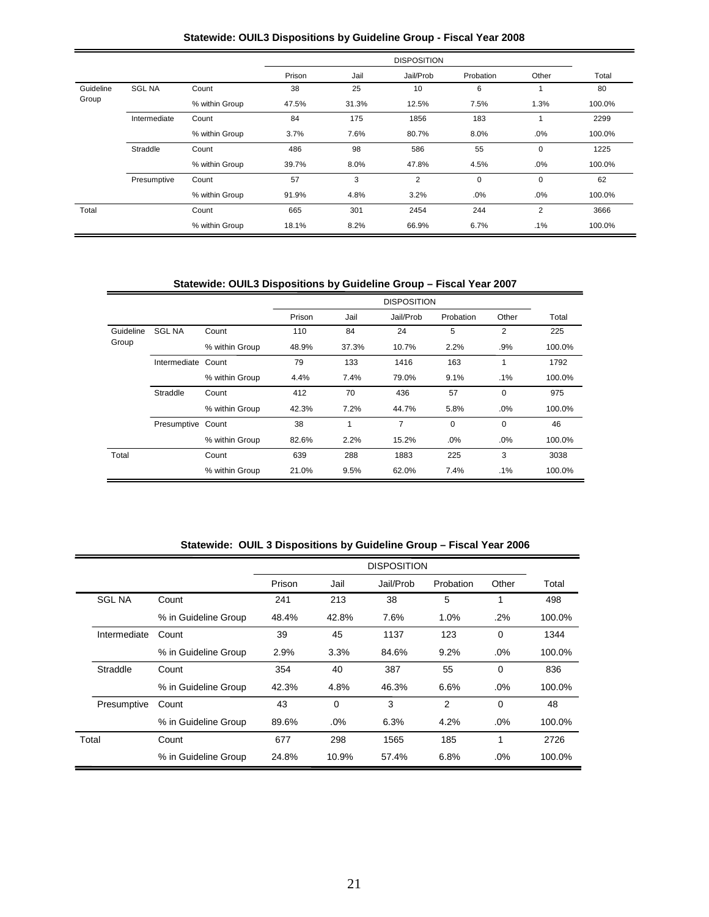### **Statewide: OUIL3 Dispositions by Guideline Group - Fiscal Year 2008**

|           |               |                | Prison | Jail  | Jail/Prob | Probation   | Other          | Total  |
|-----------|---------------|----------------|--------|-------|-----------|-------------|----------------|--------|
| Guideline | <b>SGL NA</b> | Count          | 38     | 25    | 10        | 6           |                | 80     |
| Group     |               | % within Group | 47.5%  | 31.3% | 12.5%     | 7.5%        | 1.3%           | 100.0% |
|           | Intermediate  | Count          | 84     | 175   | 1856      | 183         |                | 2299   |
|           |               | % within Group | 3.7%   | 7.6%  | 80.7%     | 8.0%        | .0%            | 100.0% |
|           | Straddle      | Count          | 486    | 98    | 586       | 55          | $\mathbf 0$    | 1225   |
|           |               | % within Group | 39.7%  | 8.0%  | 47.8%     | 4.5%        | .0%            | 100.0% |
|           | Presumptive   | Count          | 57     | 3     | 2         | $\mathbf 0$ | $\mathbf 0$    | 62     |
|           |               | % within Group | 91.9%  | 4.8%  | 3.2%      | .0%         | .0%            | 100.0% |
| Total     |               | Count          | 665    | 301   | 2454      | 244         | $\overline{2}$ | 3666   |
|           |               | % within Group | 18.1%  | 8.2%  | 66.9%     | 6.7%        | $.1\%$         | 100.0% |

**Statewide: OUIL3 Dispositions by Guideline Group – Fiscal Year 2007** 

|           |                   |                |        |       | <b>DISPOSITION</b> |           |          |        |
|-----------|-------------------|----------------|--------|-------|--------------------|-----------|----------|--------|
|           |                   |                | Prison | Jail  | Jail/Prob          | Probation | Other    | Total  |
| Guideline | <b>SGL NA</b>     | Count          | 110    | 84    | 24                 | 5         | 2        | 225    |
| Group     |                   | % within Group | 48.9%  | 37.3% | 10.7%              | 2.2%      | .9%      | 100.0% |
|           | Intermediate      | Count          | 79     | 133   | 1416               | 163       | 1        | 1792   |
|           |                   | % within Group | 4.4%   | 7.4%  | 79.0%              | 9.1%      | $.1\%$   | 100.0% |
|           | Straddle          | Count          | 412    | 70    | 436                | 57        | 0        | 975    |
|           |                   | % within Group | 42.3%  | 7.2%  | 44.7%              | 5.8%      | .0%      | 100.0% |
|           | Presumptive Count |                | 38     | 1     | 7                  | 0         | $\Omega$ | 46     |
|           |                   | % within Group | 82.6%  | 2.2%  | 15.2%              | .0%       | .0%      | 100.0% |
| Total     |                   | Count          | 639    | 288   | 1883               | 225       | 3        | 3038   |
|           |                   | % within Group | 21.0%  | 9.5%  | 62.0%              | 7.4%      | $.1\%$   | 100.0% |

**Statewide: OUIL 3 Dispositions by Guideline Group – Fiscal Year 2006**

|               |                      |        |          | <b>DISPOSITION</b> |           |          |        |
|---------------|----------------------|--------|----------|--------------------|-----------|----------|--------|
|               |                      | Prison | Jail     | Jail/Prob          | Probation | Other    | Total  |
| <b>SGL NA</b> | Count                | 241    | 213      | 38                 | 5         | 1        | 498    |
|               | % in Guideline Group | 48.4%  | 42.8%    | 7.6%               | 1.0%      | .2%      | 100.0% |
| Intermediate  | Count                | 39     | 45       | 1137               | 123       | $\Omega$ | 1344   |
|               | % in Guideline Group | 2.9%   | 3.3%     | 84.6%              | 9.2%      | .0%      | 100.0% |
| Straddle      | Count                | 354    | 40       | 387                | 55        | $\Omega$ | 836    |
|               | % in Guideline Group | 42.3%  | 4.8%     | 46.3%              | 6.6%      | .0%      | 100.0% |
| Presumptive   | Count                | 43     | $\Omega$ | 3                  | 2         | $\Omega$ | 48     |
|               | % in Guideline Group | 89.6%  | .0%      | 6.3%               | 4.2%      | .0%      | 100.0% |
| Total         | Count                |        | 298      | 1565               | 185       | 1        | 2726   |
|               | % in Guideline Group | 24.8%  | 10.9%    | 57.4%              | 6.8%      | .0%      | 100.0% |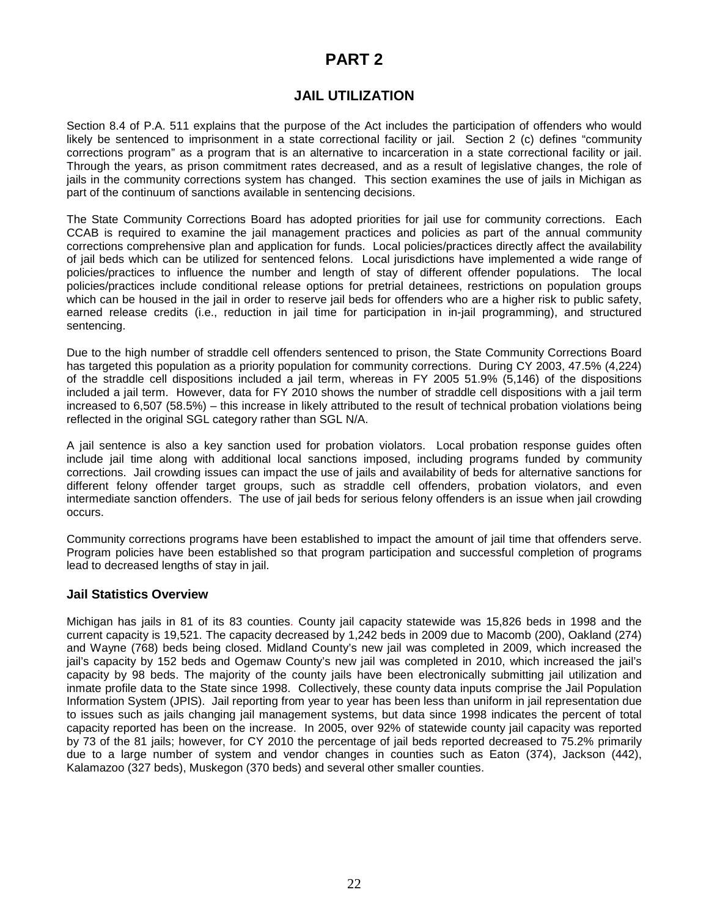# **PART 2**

# **JAIL UTILIZATION**

Section 8.4 of P.A. 511 explains that the purpose of the Act includes the participation of offenders who would likely be sentenced to imprisonment in a state correctional facility or jail. Section 2 (c) defines "community corrections program" as a program that is an alternative to incarceration in a state correctional facility or jail. Through the years, as prison commitment rates decreased, and as a result of legislative changes, the role of jails in the community corrections system has changed. This section examines the use of jails in Michigan as part of the continuum of sanctions available in sentencing decisions.

The State Community Corrections Board has adopted priorities for jail use for community corrections. Each CCAB is required to examine the jail management practices and policies as part of the annual community corrections comprehensive plan and application for funds. Local policies/practices directly affect the availability of jail beds which can be utilized for sentenced felons. Local jurisdictions have implemented a wide range of policies/practices to influence the number and length of stay of different offender populations. The local policies/practices include conditional release options for pretrial detainees, restrictions on population groups which can be housed in the jail in order to reserve jail beds for offenders who are a higher risk to public safety, earned release credits (i.e., reduction in jail time for participation in in-jail programming), and structured sentencing.

Due to the high number of straddle cell offenders sentenced to prison, the State Community Corrections Board has targeted this population as a priority population for community corrections. During CY 2003, 47.5% (4,224) of the straddle cell dispositions included a jail term, whereas in FY 2005 51.9% (5,146) of the dispositions included a jail term. However, data for FY 2010 shows the number of straddle cell dispositions with a jail term increased to 6,507 (58.5%) – this increase in likely attributed to the result of technical probation violations being reflected in the original SGL category rather than SGL N/A.

A jail sentence is also a key sanction used for probation violators. Local probation response guides often include jail time along with additional local sanctions imposed, including programs funded by community corrections. Jail crowding issues can impact the use of jails and availability of beds for alternative sanctions for different felony offender target groups, such as straddle cell offenders, probation violators, and even intermediate sanction offenders. The use of jail beds for serious felony offenders is an issue when jail crowding occurs.

Community corrections programs have been established to impact the amount of jail time that offenders serve. Program policies have been established so that program participation and successful completion of programs lead to decreased lengths of stay in jail.

### **Jail Statistics Overview**

Michigan has jails in 81 of its 83 counties. County jail capacity statewide was 15,826 beds in 1998 and the current capacity is 19,521. The capacity decreased by 1,242 beds in 2009 due to Macomb (200), Oakland (274) and Wayne (768) beds being closed. Midland County's new jail was completed in 2009, which increased the jail's capacity by 152 beds and Ogemaw County's new jail was completed in 2010, which increased the jail's capacity by 98 beds. The majority of the county jails have been electronically submitting jail utilization and inmate profile data to the State since 1998. Collectively, these county data inputs comprise the Jail Population Information System (JPIS). Jail reporting from year to year has been less than uniform in jail representation due to issues such as jails changing jail management systems, but data since 1998 indicates the percent of total capacity reported has been on the increase. In 2005, over 92% of statewide county jail capacity was reported by 73 of the 81 jails; however, for CY 2010 the percentage of jail beds reported decreased to 75.2% primarily due to a large number of system and vendor changes in counties such as Eaton (374), Jackson (442), Kalamazoo (327 beds), Muskegon (370 beds) and several other smaller counties.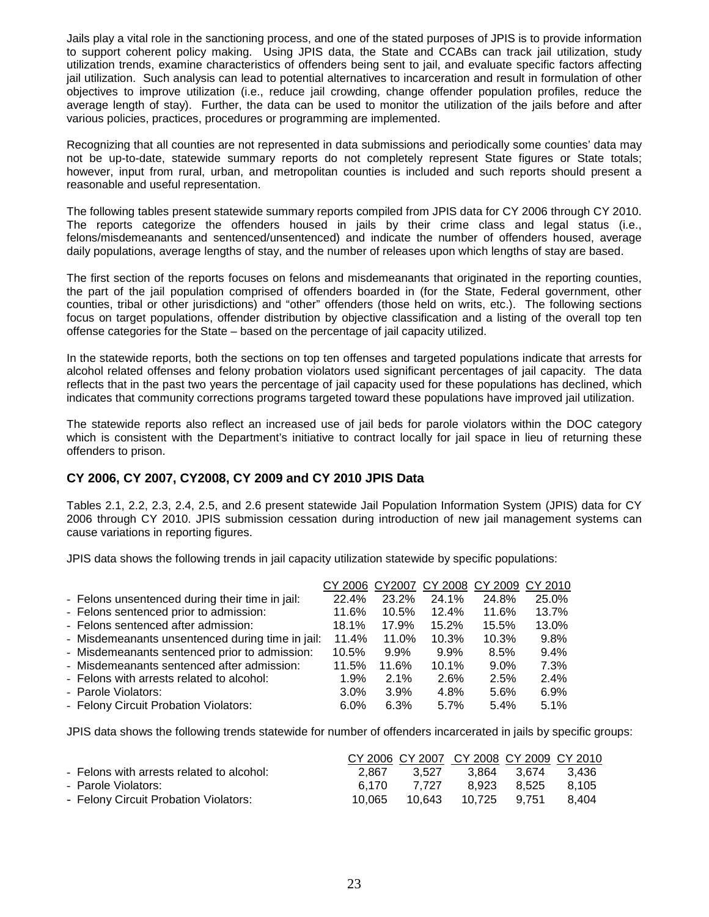Jails play a vital role in the sanctioning process, and one of the stated purposes of JPIS is to provide information to support coherent policy making. Using JPIS data, the State and CCABs can track jail utilization, study utilization trends, examine characteristics of offenders being sent to jail, and evaluate specific factors affecting jail utilization. Such analysis can lead to potential alternatives to incarceration and result in formulation of other objectives to improve utilization (i.e., reduce jail crowding, change offender population profiles, reduce the average length of stay). Further, the data can be used to monitor the utilization of the jails before and after various policies, practices, procedures or programming are implemented.

Recognizing that all counties are not represented in data submissions and periodically some counties' data may not be up-to-date, statewide summary reports do not completely represent State figures or State totals; however, input from rural, urban, and metropolitan counties is included and such reports should present a reasonable and useful representation.

The following tables present statewide summary reports compiled from JPIS data for CY 2006 through CY 2010. The reports categorize the offenders housed in jails by their crime class and legal status (i.e., felons/misdemeanants and sentenced/unsentenced) and indicate the number of offenders housed, average daily populations, average lengths of stay, and the number of releases upon which lengths of stay are based.

The first section of the reports focuses on felons and misdemeanants that originated in the reporting counties, the part of the jail population comprised of offenders boarded in (for the State, Federal government, other counties, tribal or other jurisdictions) and "other" offenders (those held on writs, etc.). The following sections focus on target populations, offender distribution by objective classification and a listing of the overall top ten offense categories for the State – based on the percentage of jail capacity utilized.

In the statewide reports, both the sections on top ten offenses and targeted populations indicate that arrests for alcohol related offenses and felony probation violators used significant percentages of jail capacity. The data reflects that in the past two years the percentage of jail capacity used for these populations has declined, which indicates that community corrections programs targeted toward these populations have improved jail utilization.

The statewide reports also reflect an increased use of jail beds for parole violators within the DOC category which is consistent with the Department's initiative to contract locally for jail space in lieu of returning these offenders to prison.

# **CY 2006, CY 2007, CY2008, CY 2009 and CY 2010 JPIS Data**

Tables 2.1, 2.2, 2.3, 2.4, 2.5, and 2.6 present statewide Jail Population Information System (JPIS) data for CY 2006 through CY 2010. JPIS submission cessation during introduction of new jail management systems can cause variations in reporting figures.

JPIS data shows the following trends in jail capacity utilization statewide by specific populations:

|                                                  | CY 2006 CY 2007 |         |         | CY 2008 CY 2009 CY 2010 |       |
|--------------------------------------------------|-----------------|---------|---------|-------------------------|-------|
| - Felons unsentenced during their time in jail:  | 22.4%           | 23.2%   | 24.1%   | 24.8%                   | 25.0% |
| - Felons sentenced prior to admission:           | 11.6%           | 10.5%   | 12.4%   | 11.6%                   | 13.7% |
| - Felons sentenced after admission:              | 18.1%           | 17.9%   | 15.2%   | 15.5%                   | 13.0% |
| - Misdemeanants unsentenced during time in jail: | 11.4%           | 11.0%   | 10.3%   | 10.3%                   | 9.8%  |
| - Misdemeanants sentenced prior to admission:    | 10.5%           | $9.9\%$ | $9.9\%$ | 8.5%                    | 9.4%  |
| - Misdemeanants sentenced after admission:       | 11.5%           | 11.6%   | 10.1%   | $9.0\%$                 | 7.3%  |
| - Felons with arrests related to alcohol:        | 1.9%            | 2.1%    | 2.6%    | 2.5%                    | 2.4%  |
| - Parole Violators:                              | $3.0\%$         | 3.9%    | 4.8%    | 5.6%                    | 6.9%  |
| - Felony Circuit Probation Violators:            | $6.0\%$         | 6.3%    | 5.7%    | 5.4%                    | 5.1%  |

JPIS data shows the following trends statewide for number of offenders incarcerated in jails by specific groups:

|                                           |        |       | CY 2006 CY 2007 CY 2008 CY 2009 CY 2010 |             |         |
|-------------------------------------------|--------|-------|-----------------------------------------|-------------|---------|
| - Felons with arrests related to alcohol: | 2.867  | 3.527 |                                         | 3.864 3.674 | - 3.436 |
| - Parole Violators:                       | 6.170  | 7.727 |                                         | 8.923 8.525 | 8.105   |
| - Felony Circuit Probation Violators:     | 10.065 |       | 10.643  10.725  9.751                   |             | 8.404   |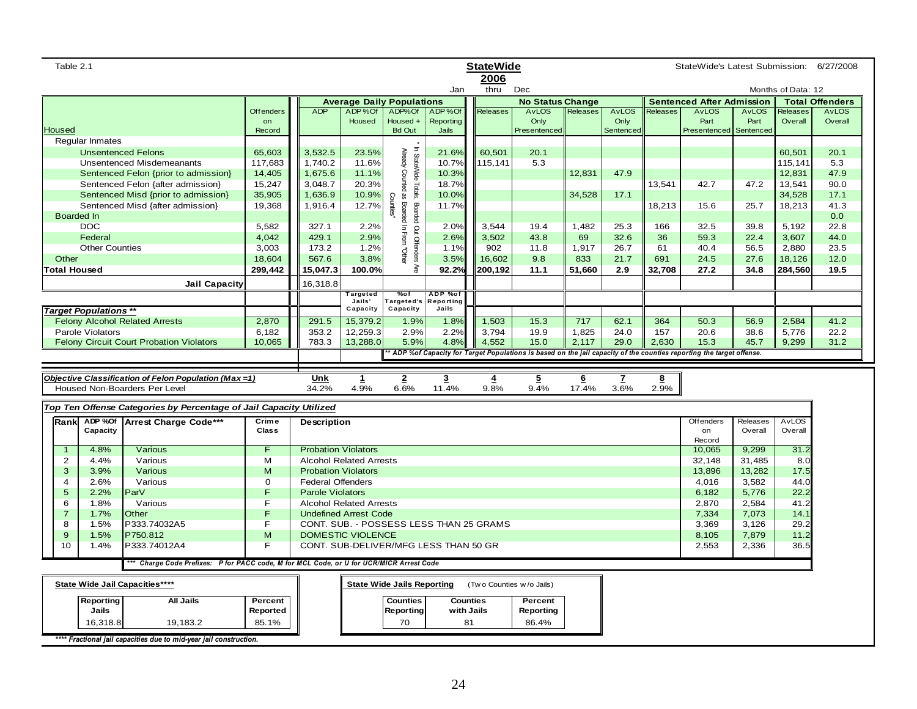| Table 2.1<br><b>StateWide</b><br>StateWide's Latest Submission: 6/27/2008<br>2006                                     |                  |                            |                                       |                                            |                         |                                         |                         |                 |              |           |                                  |              |                    |                        |
|-----------------------------------------------------------------------------------------------------------------------|------------------|----------------------------|---------------------------------------|--------------------------------------------|-------------------------|-----------------------------------------|-------------------------|-----------------|--------------|-----------|----------------------------------|--------------|--------------------|------------------------|
|                                                                                                                       |                  |                            |                                       |                                            | Jan                     | thru                                    | Dec                     |                 |              |           |                                  |              | Months of Data: 12 |                        |
|                                                                                                                       |                  |                            | <b>Average Daily Populations</b>      |                                            |                         |                                         | <b>No Status Change</b> |                 |              |           | <b>Sentenced After Admission</b> |              |                    | <b>Total Offenders</b> |
|                                                                                                                       | <b>Offenders</b> | <b>ADP</b>                 | ADP%Of                                | ADP%Of                                     | ADP%Of                  | Releases                                | <b>AvLOS</b>            | <b>Releases</b> | <b>AvLOS</b> | Releases  | <b>AvLOS</b>                     | <b>AvLOS</b> | Releases           | <b>AvLOS</b>           |
|                                                                                                                       | on               |                            | Housed                                | Housed +                                   | <b>Reporting</b>        |                                         | Only                    |                 | Only         |           | Part                             | Part         | Overall            | Overall                |
| <b>Housed</b>                                                                                                         | Record           |                            |                                       | <b>Bd Out</b>                              | Jails                   |                                         | Presentenced            |                 | Sentenced    |           | Presentenced                     | Sentenced    |                    |                        |
| Regular Inmates                                                                                                       |                  |                            |                                       |                                            |                         |                                         |                         |                 |              |           |                                  |              |                    |                        |
| <b>Unsentenced Felons</b>                                                                                             | 65,603           | 3,532.5                    | 23.5%                                 |                                            | 21.6%                   | 60.501                                  | 20.1                    |                 |              |           |                                  |              | 60.501             | 20.1                   |
| <b>Unsentenced Misdemeanants</b>                                                                                      | 117,683          | 1,740.2                    | 11.6%                                 |                                            | 10.7%                   | 115,141                                 | 5.3                     |                 |              |           |                                  |              | 115.14'            | 5.3                    |
| Sentenced Felon {prior to admission}                                                                                  | 14,405           | 1,675.6                    | 11.1%                                 |                                            | 10.3%                   |                                         |                         | 12,831          | 47.9         |           |                                  |              | 12,831             | 47.9                   |
| Sentenced Felon {after admission}                                                                                     | 15,247           | 3,048.7                    | 20.3%                                 | In StateWide Totals.<br>Already Counted as | 18.7%                   |                                         |                         |                 |              | 13,541    | 42.7                             | 47.2         | 13,541             | 90.0                   |
| Sentenced Misd {prior to admission}                                                                                   | 35,905           | 1,636.9                    | 10.9%                                 | <b>Counties</b> "                          | 10.0%                   |                                         |                         | 34,528          | 17.1         |           |                                  |              | 34,528             | 17.1                   |
| Sentenced Misd {after admission}                                                                                      | 19,368           | 1,916.4                    | 12.7%                                 | Boarded In From<br>Boarded                 | 11.7%                   |                                         |                         |                 |              | 18,213    | 15.6                             | 25.7         | 18,213             | 41.3                   |
| <b>Boarded In</b>                                                                                                     |                  |                            |                                       |                                            |                         |                                         |                         |                 |              |           |                                  |              |                    | 0.0                    |
| <b>DOC</b>                                                                                                            | 5,582            | 327.1                      | 2.2%                                  |                                            | 2.0%                    | 3,544                                   | 19.4                    | 1,482           | 25.3         | 166       | 32.5                             | 39.8         | 5,192              | 22.8                   |
| Federal                                                                                                               | 4,042            | 429.1                      | 2.9%                                  |                                            | 2.6%                    | 3,502                                   | 43.8                    | 69              | 32.6         | 36        | 59.3                             | 22.4         | 3,607              | 44.0                   |
| <b>Other Counties</b><br>Other                                                                                        | 3,003<br>18,604  | 173.2<br>567.6             | 1.2%<br>3.8%                          | Out Offenders<br>FOther                    | 1.1%<br>3.5%            | 902<br>16,602                           | 11.8<br>9.8             | 1,917<br>833    | 26.7<br>21.7 | 61<br>691 | 40.4<br>24.5                     | 56.5<br>27.6 | 2,880<br>18,126    | 23.5<br>12.0           |
| <b>Total Housed</b>                                                                                                   | 299,442          |                            | 100.0%                                | ¥ξ                                         | 92.2%                   | 200,192                                 | 11.1                    | 51,660          |              | 32.708    | 27.2                             |              | 284,560            | 19.5                   |
|                                                                                                                       |                  | 15,047.3                   |                                       |                                            |                         |                                         |                         |                 | 2.9          |           |                                  | 34.8         |                    |                        |
| <b>Jail Capacity</b>                                                                                                  |                  | 16,318.8                   |                                       |                                            |                         |                                         |                         |                 |              |           |                                  |              |                    |                        |
|                                                                                                                       |                  |                            | Targeted<br>Jails'                    | %of<br><b>Targeted's</b>                   | ADP %of<br>Reporting    |                                         |                         |                 |              |           |                                  |              |                    |                        |
| <b>Target Populations **</b>                                                                                          |                  |                            | Capacity                              | Capacity                                   | Jails                   |                                         |                         |                 |              |           |                                  |              |                    |                        |
| <b>Felony Alcohol Related Arrests</b>                                                                                 | 2,870            | 291.5                      | 15,379.2                              | 1.9%                                       | 1.8%                    | 1,503                                   | 15.3                    | 717             | 62.1         | 364       | 50.3                             | 56.9         | 2,584              | 41.2                   |
| Parole Violators                                                                                                      | 6,182            | 353.2                      | 12,259.3                              | 2.9%                                       | 2.2%                    | 3,794                                   | 19.9                    | 1,825           | 24.0         | 157       | 20.6                             | 38.6         | 5,776              | 22.2                   |
| <b>Felony Circuit Court Probation Violators</b>                                                                       | 10,065           | 783.3                      | 13,288.0                              | 5.9%                                       | 4.8%                    | 4,552                                   | 15.0                    | 2,117           | 29.0         | 2,630     | 15.3                             | 45.7         | 9,299              | 31.2                   |
|                                                                                                                       |                  |                            |                                       |                                            |                         |                                         |                         |                 |              |           |                                  |              |                    |                        |
| * ADP %of Capacity for Target Populations is based on the jail capacity of the counties reporting the target offense. |                  |                            |                                       |                                            |                         |                                         |                         |                 |              |           |                                  |              |                    |                        |
|                                                                                                                       |                  |                            |                                       |                                            |                         |                                         |                         |                 |              |           |                                  |              |                    |                        |
| Objective Classification of Felon Population (Max=1)                                                                  |                  | Unk                        | $\mathbf{1}$                          | $\overline{2}$                             | $\overline{\mathbf{3}}$ | $\overline{4}$                          | $\overline{5}$          | $6\phantom{1}$  | Z            | <u>8</u>  |                                  |              |                    |                        |
| Housed Non-Boarders Per Level                                                                                         |                  | 34.2%                      | 4.9%                                  | 6.6%                                       | 11.4%                   | 9.8%                                    | 9.4%                    | 17.4%           | 3.6%         | 2.9%      |                                  |              |                    |                        |
|                                                                                                                       |                  |                            |                                       |                                            |                         |                                         |                         |                 |              |           |                                  |              |                    |                        |
| Top Ten Offense Categories by Percentage of Jail Capacity Utilized                                                    |                  |                            |                                       |                                            |                         |                                         |                         |                 |              |           |                                  |              |                    |                        |
| Rank ADP %Of<br>Arrest Charge Code***                                                                                 | Crime            | <b>Description</b>         |                                       |                                            |                         |                                         |                         |                 |              |           | Offenders<br>on                  | Releases     | <b>AvLOS</b>       |                        |
| Capacity                                                                                                              | <b>Class</b>     |                            |                                       |                                            |                         |                                         |                         |                 |              |           | Record                           | Overall      | Overall            |                        |
| 4.8%<br>Various<br>$\mathbf{1}$                                                                                       | F.               | <b>Probation Violators</b> |                                       |                                            |                         |                                         |                         |                 |              |           | 10,065                           | 9,299        | 31.2               |                        |
| 2<br>4.4%<br>Various                                                                                                  | М                |                            | <b>Alcohol Related Arrests</b>        |                                            |                         |                                         |                         |                 |              |           | 32,148                           | 31,485       | 8.0                |                        |
| 3.9%<br>3<br>Various                                                                                                  | M                | <b>Probation Violators</b> |                                       |                                            |                         |                                         |                         |                 |              |           | 13,896                           | 13,282       | 17.5               |                        |
| 2.6%<br>Various<br>4                                                                                                  | $\mathbf 0$      | <b>Federal Offenders</b>   |                                       |                                            |                         |                                         |                         |                 |              |           | 4,016                            | 3,582        | 44.0               |                        |
| $\sqrt{5}$<br>2.2%<br>ParV                                                                                            | F                | <b>Parole Violators</b>    |                                       |                                            |                         |                                         |                         |                 |              |           | 6,182                            | 5,776        | 22.2               |                        |
| 6<br>1.8%<br>Various                                                                                                  | F                |                            | <b>Alcohol Related Arrests</b>        |                                            |                         |                                         |                         |                 |              |           | 2,870                            | 2,584        | 41.2               |                        |
| $\overline{7}$<br>1.7%<br>Other                                                                                       | F                |                            | <b>Undefined Arrest Code</b>          |                                            |                         |                                         |                         |                 |              |           | 7,334                            | 7,073        | 14.1               |                        |
| 8<br>1.5%<br>P333.74032A5                                                                                             | F                |                            |                                       |                                            |                         | CONT. SUB. - POSSESS LESS THAN 25 GRAMS |                         |                 |              |           | 3,369                            | 3,126        | 29.2               |                        |
| 9<br>1.5%<br>P750.812                                                                                                 | M                |                            | DOMESTIC VIOLENCE                     |                                            |                         |                                         |                         |                 |              |           | 8,105                            | 7,879        | 11.2               |                        |
| P333.74012A4<br>10<br>1.4%                                                                                            | F                |                            | CONT. SUB-DELIVER/MFG LESS THAN 50 GR |                                            |                         |                                         |                         |                 |              |           | 2,553                            | 2,336        | 36.5               |                        |
| *** Charge Code Prefixes: P for PACC code, M for MCL Code, or U for UCR/MICR Arrest Code                              |                  |                            |                                       |                                            |                         |                                         |                         |                 |              |           |                                  |              |                    |                        |
|                                                                                                                       |                  |                            |                                       |                                            |                         |                                         |                         |                 |              |           |                                  |              |                    |                        |
| State Wide Jail Capacities****                                                                                        |                  |                            |                                       | <b>State Wide Jails Reporting</b>          |                         | (Two Counties w/o Jails)                |                         |                 |              |           |                                  |              |                    |                        |
| Reporting<br><b>All Jails</b>                                                                                         | Percent          |                            |                                       | <b>Counties</b>                            |                         | <b>Counties</b>                         | Percent                 |                 |              |           |                                  |              |                    |                        |
| Jails                                                                                                                 | Reported         |                            |                                       | <b>Reporting</b>                           |                         | with Jails                              | Reporting               |                 |              |           |                                  |              |                    |                        |
| 16,318.8<br>19,183.2                                                                                                  | 85.1%            |                            |                                       | 70                                         |                         | 81                                      | 86.4%                   |                 |              |           |                                  |              |                    |                        |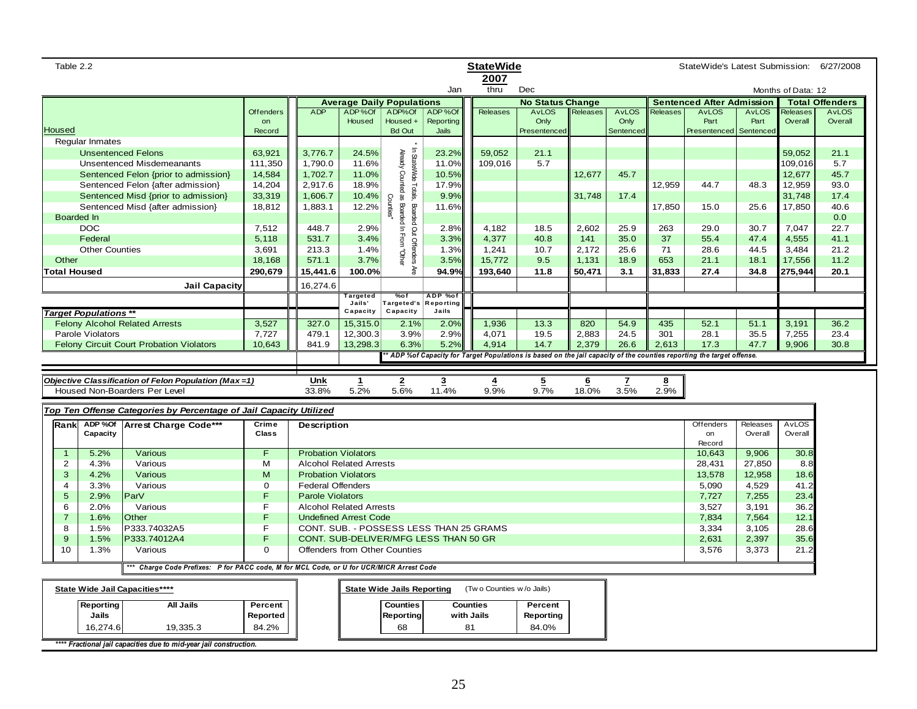| <b>StateWide</b><br>Table 2.2<br>2007                                                                       |                                                                                                                                                                                   |                                                                                             |              |                                |                                  |                   |                                         |                          | StateWide's Latest Submission: 6/27/2008 |          |              |          |                                                                                                                       |              |                    |                        |
|-------------------------------------------------------------------------------------------------------------|-----------------------------------------------------------------------------------------------------------------------------------------------------------------------------------|---------------------------------------------------------------------------------------------|--------------|--------------------------------|----------------------------------|-------------------|-----------------------------------------|--------------------------|------------------------------------------|----------|--------------|----------|-----------------------------------------------------------------------------------------------------------------------|--------------|--------------------|------------------------|
|                                                                                                             |                                                                                                                                                                                   |                                                                                             |              |                                |                                  |                   | Jan                                     | thru                     | Dec                                      |          |              |          |                                                                                                                       |              | Months of Data: 12 |                        |
|                                                                                                             |                                                                                                                                                                                   |                                                                                             |              |                                | <b>Average Daily Populations</b> |                   |                                         |                          | <b>No Status Change</b>                  |          |              |          | <b>Sentenced After Admission</b>                                                                                      |              |                    | <b>Total Offenders</b> |
|                                                                                                             |                                                                                                                                                                                   |                                                                                             | Offenders    | <b>ADP</b>                     | ADP%Of                           | ADP%Of            | ADP%Of                                  | <b>Releases</b>          | <b>AvLOS</b>                             | Releases | <b>AvLOS</b> | Releases | <b>AvLOS</b>                                                                                                          | <b>AvLOS</b> | Releases           | <b>AvLOS</b>           |
|                                                                                                             |                                                                                                                                                                                   |                                                                                             | on           |                                | Housed                           | Housed +          | Reporting                               |                          | Only                                     |          | Only         |          | Part                                                                                                                  | Part         | Overall            | Overall                |
| Housed                                                                                                      |                                                                                                                                                                                   |                                                                                             | Record       |                                |                                  | <b>Bd Out</b>     | Jails                                   |                          | Presentenced                             |          | Sentenced    |          | Presentenced                                                                                                          | Sentenced    |                    |                        |
|                                                                                                             | <b>Regular Inmates</b>                                                                                                                                                            |                                                                                             |              |                                |                                  |                   |                                         |                          |                                          |          |              |          |                                                                                                                       |              |                    |                        |
|                                                                                                             |                                                                                                                                                                                   | <b>Unsentenced Felons</b>                                                                   | 63,921       | 3,776.7                        | 24.5%                            |                   | 23.2%                                   | 59,052                   | 21.1                                     |          |              |          |                                                                                                                       |              | 59,052             | 21.1                   |
|                                                                                                             |                                                                                                                                                                                   | <b>Unsentenced Misdemeanants</b>                                                            | 111,350      | 1,790.0                        | 11.6%                            |                   | 11.0%                                   | 109,016                  | 5.7                                      |          |              |          |                                                                                                                       |              | 109,016            | 5.7                    |
|                                                                                                             | In StateWide Totals, Boarded Out Offenders<br>Already Counted as Boarded In From<br>11.0%<br>Sentenced Felon {prior to admission}<br>14,584<br>1,702.7<br>10.5%<br>12,677<br>45.7 |                                                                                             |              |                                |                                  |                   |                                         |                          |                                          |          | 12,677       | 45.7     |                                                                                                                       |              |                    |                        |
| Sentenced Felon {after admission}<br>14,204<br>2,917.6<br>18.9%<br>17.9%<br>12,959                          |                                                                                                                                                                                   |                                                                                             |              |                                |                                  |                   |                                         | 44.7                     | 48.3                                     | 12,959   | 93.0         |          |                                                                                                                       |              |                    |                        |
|                                                                                                             |                                                                                                                                                                                   | Sentenced Misd {prior to admission}<br>33,319<br>1,606.7<br>10.4%<br>9.9%<br>31,748<br>17.4 |              |                                |                                  |                   |                                         |                          |                                          |          |              |          | 31,748                                                                                                                | 17.4         |                    |                        |
|                                                                                                             |                                                                                                                                                                                   | Sentenced Misd {after admission}                                                            | 18,812       | 1,883.1                        | 12.2%                            | Counties"         | 11.6%                                   |                          |                                          |          |              | 17,850   | 15.0                                                                                                                  | 25.6         | 17,850             | 40.6                   |
|                                                                                                             | Boarded In                                                                                                                                                                        |                                                                                             |              |                                |                                  |                   |                                         |                          |                                          |          |              |          |                                                                                                                       |              |                    | 0.0                    |
|                                                                                                             | <b>DOC</b>                                                                                                                                                                        |                                                                                             | 7,512        | 448.7                          | 2.9%                             |                   | 2.8%                                    | 4.182                    | 18.5                                     | 2.602    | 25.9         | 263      | 29.0                                                                                                                  | 30.7         | 7.047              | 22.7                   |
|                                                                                                             | Federal                                                                                                                                                                           |                                                                                             | 5,118        | 531.7                          | 3.4%                             |                   | 3.3%                                    | 4,377                    | 40.8                                     | 141      | 35.0         | 37       | 55.4                                                                                                                  | 47.4         | 4,555              | 41.1                   |
|                                                                                                             | <b>Other Counties</b>                                                                                                                                                             |                                                                                             | 3,691        | 213.3                          | 1.4%                             | l<br>Muhel        | 1.3%                                    | 1,241                    | 10.7                                     | 2,172    | 25.6         | 71       | 28.6                                                                                                                  | 44.5         | 3,484              | 21.2                   |
| Other                                                                                                       |                                                                                                                                                                                   |                                                                                             | 18,168       | 571.1                          | 3.7%                             |                   | 3.5%                                    | 15,772                   | 9.5                                      | 1,131    | 18.9         | 653      | 21.1                                                                                                                  | 18.1         | 17,556             | 11.2                   |
|                                                                                                             | <b>Total Housed</b>                                                                                                                                                               |                                                                                             | 290,679      | 15,441.6                       | 100.0%                           | Äre               | 94.9%                                   | 193,640                  | 11.8                                     | 50,471   | 3.1          | 31,833   | 27.4                                                                                                                  | 34.8         | 275,944            | 20.1                   |
|                                                                                                             |                                                                                                                                                                                   | <b>Jail Capacity</b>                                                                        |              | 16,274.6                       |                                  |                   |                                         |                          |                                          |          |              |          |                                                                                                                       |              |                    |                        |
|                                                                                                             |                                                                                                                                                                                   |                                                                                             |              |                                | Targeted<br>Jails'               | %of<br>Targeted's | ADP %of<br><b>Reporting</b>             |                          |                                          |          |              |          |                                                                                                                       |              |                    |                        |
|                                                                                                             | <b>Target Populations **</b>                                                                                                                                                      |                                                                                             |              |                                | Capacity                         | Capacity          | Jails                                   |                          |                                          |          |              |          |                                                                                                                       |              |                    |                        |
|                                                                                                             |                                                                                                                                                                                   | <b>Felony Alcohol Related Arrests</b>                                                       | 3,527        | 327.0                          | 15,315.0                         | 2.1%              | 2.0%                                    | 1,936                    | 13.3                                     | 820      | 54.9         | 435      | 52.1                                                                                                                  | 51.1         | 3,191              | 36.2                   |
|                                                                                                             | Parole Violators                                                                                                                                                                  |                                                                                             | 7,727        | 479.1                          | 12,300.3                         | 3.9%              | 2.9%                                    | 4,071                    | 19.5                                     | 2,883    | 24.5         | 301      | 28.1                                                                                                                  | 35.5         | 7,255              | 23.4                   |
|                                                                                                             |                                                                                                                                                                                   | <b>Felony Circuit Court Probation Violators</b>                                             | 10,643       | 841.9                          | 13,298.3                         | 6.3%              | 5.2%                                    | 4,914                    | 14.7                                     | 2,379    | 26.6         | 2,613    | 17.3                                                                                                                  | 47.7         | 9,906              | 30.8                   |
|                                                                                                             |                                                                                                                                                                                   |                                                                                             |              |                                |                                  |                   |                                         |                          |                                          |          |              |          | * ADP %of Capacity for Target Populations is based on the jail capacity of the counties reporting the target offense. |              |                    |                        |
|                                                                                                             |                                                                                                                                                                                   |                                                                                             |              |                                |                                  |                   |                                         |                          |                                          |          |              |          |                                                                                                                       |              |                    |                        |
|                                                                                                             |                                                                                                                                                                                   | Objective Classification of Felon Population (Max=1)                                        |              | Unk                            | 1                                | 2                 | 3                                       | 4                        | $\overline{5}$                           | 6        |              | 8        |                                                                                                                       |              |                    |                        |
|                                                                                                             |                                                                                                                                                                                   | Housed Non-Boarders Per Level                                                               |              | 33.8%                          | 5.2%                             | 5.6%              | 11.4%                                   | 9.9%                     | 9.7%                                     | 18.0%    | 3.5%         | 2.9%     |                                                                                                                       |              |                    |                        |
|                                                                                                             |                                                                                                                                                                                   |                                                                                             |              |                                |                                  |                   |                                         |                          |                                          |          |              |          |                                                                                                                       |              |                    |                        |
|                                                                                                             |                                                                                                                                                                                   | Top Ten Offense Categories by Percentage of Jail Capacity Utilized                          |              |                                |                                  |                   |                                         |                          |                                          |          |              |          |                                                                                                                       |              |                    |                        |
| Rankl                                                                                                       | ADP %Of                                                                                                                                                                           | <b>Arrest Charge Code***</b>                                                                | Crime        | <b>Description</b>             |                                  |                   |                                         |                          |                                          |          |              |          | Offenders                                                                                                             | Releases     | <b>AvLOS</b>       |                        |
|                                                                                                             | Capacity                                                                                                                                                                          |                                                                                             | <b>Class</b> |                                |                                  |                   |                                         |                          |                                          |          |              |          | on                                                                                                                    | Overall      | Overall            |                        |
| $\overline{1}$                                                                                              | 5.2%                                                                                                                                                                              | Various                                                                                     | F            | <b>Probation Violators</b>     |                                  |                   |                                         |                          |                                          |          |              |          | Record<br>10,643                                                                                                      | 9,906        | 30.8               |                        |
| 2                                                                                                           | 4.3%                                                                                                                                                                              | Various                                                                                     | M            | <b>Alcohol Related Arrests</b> |                                  |                   |                                         |                          |                                          |          |              |          | 28,431                                                                                                                | 27,850       | 8.8                |                        |
| 3                                                                                                           | 4.2%                                                                                                                                                                              | Various                                                                                     | M            | <b>Probation Violators</b>     |                                  |                   |                                         |                          |                                          |          |              |          | 13,578                                                                                                                | 12,958       | 18.6               |                        |
| 4                                                                                                           | 3.3%                                                                                                                                                                              | Various                                                                                     | $\mathbf 0$  | <b>Federal Offenders</b>       |                                  |                   |                                         |                          |                                          |          |              |          | 5,090                                                                                                                 | 4,529        | 41.2               |                        |
| 5                                                                                                           | 2.9%                                                                                                                                                                              | ParV                                                                                        | F            | <b>Parole Violators</b>        |                                  |                   |                                         |                          |                                          |          |              |          | 7,727                                                                                                                 | 7,255        | 23.4               |                        |
| 6                                                                                                           | 2.0%                                                                                                                                                                              | Various                                                                                     | F            | <b>Alcohol Related Arrests</b> |                                  |                   |                                         |                          |                                          |          |              |          | 3,527                                                                                                                 | 3,191        | 36.2               |                        |
| $\overline{7}$                                                                                              | 1.6%                                                                                                                                                                              | Other                                                                                       | F            | <b>Undefined Arrest Code</b>   |                                  |                   |                                         |                          |                                          |          |              |          | 7,834                                                                                                                 | 7,564        | 12.1               |                        |
| $\overline{8}$                                                                                              | 1.5%                                                                                                                                                                              | P333.74032A5                                                                                | F            |                                |                                  |                   | CONT. SUB. - POSSESS LESS THAN 25 GRAMS |                          |                                          |          |              |          | 3,334                                                                                                                 | 3,105        | 28.6               |                        |
| $\boldsymbol{9}$                                                                                            | 1.5%                                                                                                                                                                              | P333.74012A4                                                                                | F            |                                |                                  |                   |                                         |                          |                                          |          |              |          | 2,631                                                                                                                 | 2,397        | 35.6               |                        |
| CONT. SUB-DELIVER/MFG LESS THAN 50 GR<br>10<br>$\Omega$<br>Offenders from Other Counties<br>1.3%<br>Various |                                                                                                                                                                                   |                                                                                             |              |                                |                                  |                   |                                         |                          | 3,576                                    | 3,373    | 21.2         |          |                                                                                                                       |              |                    |                        |
|                                                                                                             |                                                                                                                                                                                   |                                                                                             |              |                                |                                  |                   |                                         |                          |                                          |          |              |          |                                                                                                                       |              |                    |                        |
|                                                                                                             |                                                                                                                                                                                   | * Charge Code Prefixes: P for PACC code, M for MCL Code, or U for UCR/MICR Arrest Code      |              |                                |                                  |                   |                                         |                          |                                          |          |              |          |                                                                                                                       |              |                    |                        |
| State Wide Jail Capacities****<br><b>State Wide Jails Reporting</b>                                         |                                                                                                                                                                                   |                                                                                             |              |                                |                                  |                   |                                         | (Two Counties w/o Jails) |                                          |          |              |          |                                                                                                                       |              |                    |                        |
|                                                                                                             | Reporting                                                                                                                                                                         | <b>All Jails</b>                                                                            | Percent      |                                |                                  | <b>Counties</b>   |                                         | <b>Counties</b>          | Percent                                  |          |              |          |                                                                                                                       |              |                    |                        |
|                                                                                                             | Jails                                                                                                                                                                             |                                                                                             | Reported     |                                |                                  | <b>Reporting</b>  |                                         | with Jails               | Reporting                                |          |              |          |                                                                                                                       |              |                    |                        |
|                                                                                                             | 16,274.6                                                                                                                                                                          | 19,335.3                                                                                    | 84.2%        |                                |                                  | 68                |                                         | 81                       | 84.0%                                    |          |              |          |                                                                                                                       |              |                    |                        |
|                                                                                                             |                                                                                                                                                                                   |                                                                                             |              |                                |                                  |                   |                                         |                          |                                          |          |              |          |                                                                                                                       |              |                    |                        |
|                                                                                                             |                                                                                                                                                                                   | **** Fractional jail capacities due to mid-year jail construction.                          |              |                                |                                  |                   |                                         |                          |                                          |          |              |          |                                                                                                                       |              |                    |                        |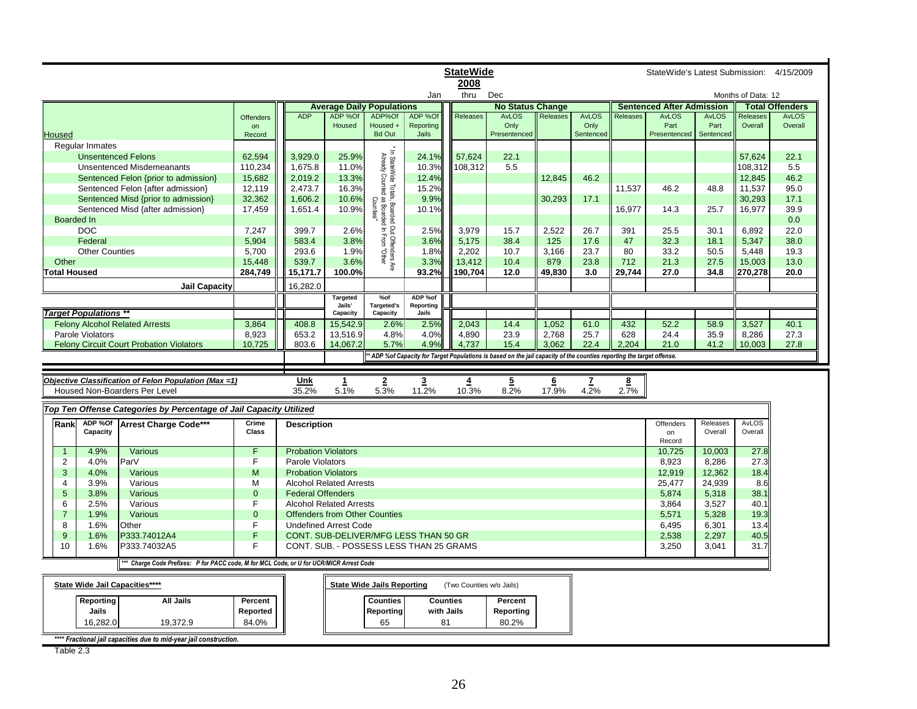|                     |                              |                                                                                                 |                                                                                         | <b>StateWide</b>                              |                                      |                                                                                                            |                                         |                 |                                                                                                                     |                 | StateWide's Latest Submission: 4/15/2009 |          |                                  |                      |                     |                         |
|---------------------|------------------------------|-------------------------------------------------------------------------------------------------|-----------------------------------------------------------------------------------------|-----------------------------------------------|--------------------------------------|------------------------------------------------------------------------------------------------------------|-----------------------------------------|-----------------|---------------------------------------------------------------------------------------------------------------------|-----------------|------------------------------------------|----------|----------------------------------|----------------------|---------------------|-------------------------|
|                     |                              |                                                                                                 |                                                                                         |                                               |                                      |                                                                                                            |                                         | 2008            |                                                                                                                     |                 |                                          |          |                                  |                      |                     |                         |
|                     |                              |                                                                                                 |                                                                                         |                                               |                                      |                                                                                                            | Jan                                     | thru            | Dec                                                                                                                 |                 |                                          |          |                                  |                      | Months of Data: 12  |                         |
|                     |                              |                                                                                                 |                                                                                         |                                               | <b>Average Daily Populations</b>     |                                                                                                            |                                         |                 | <b>No Status Change</b>                                                                                             |                 |                                          |          | <b>Sentenced After Admission</b> |                      |                     | <b>Total Offenders</b>  |
|                     |                              |                                                                                                 | <b>Offenders</b>                                                                        | <b>ADP</b>                                    | ADP %Of<br>Housed                    | ADP%Of<br>Housed +                                                                                         | ADP %Of<br>Reporting                    | <b>Releases</b> | <b>AvLOS</b><br>Only                                                                                                | Releases        | <b>AvLOS</b><br>Only                     | Releases | <b>AvLOS</b><br>Part             | <b>AvLOS</b><br>Part | Releases<br>Overall | <b>AvLOS</b><br>Overall |
| <b>Housed</b>       |                              |                                                                                                 | on<br>Record                                                                            |                                               |                                      | <b>Bd Out</b>                                                                                              | Jails                                   |                 | Presentenced                                                                                                        |                 | Sentenced                                |          | Presentenced                     | Sentenced            |                     |                         |
|                     | <b>Regular Inmates</b>       |                                                                                                 |                                                                                         |                                               |                                      |                                                                                                            |                                         |                 |                                                                                                                     |                 |                                          |          |                                  |                      |                     |                         |
|                     | <b>Unsentenced Felons</b>    |                                                                                                 | 62,594                                                                                  | 3,929.0                                       | 25.9%                                | * In StateWide Totals, Boarded Out Offenders Are<br>Already Counted as Boarded In From "Other<br>Counties" | 24.1%                                   | 57,624          | 22.1                                                                                                                |                 |                                          |          |                                  |                      | 57,624              | 22.1                    |
|                     |                              | <b>Unsentenced Misdemeanants</b>                                                                | 110,234                                                                                 | 1,675.8                                       | 11.0%                                |                                                                                                            | 10.3%                                   | 108,312         | 5.5                                                                                                                 |                 |                                          |          |                                  |                      | 108,312             | 5.5                     |
|                     |                              | Sentenced Felon {prior to admission}                                                            | 15,682                                                                                  | 2,019.2                                       | 13.3%                                |                                                                                                            | 12.4%                                   |                 |                                                                                                                     | 12.845          | 46.2                                     |          |                                  |                      | 12,845              | 46.2                    |
|                     |                              | Sentenced Felon {after admission}                                                               | 12,119                                                                                  | 2,473.7                                       | 16.3%                                |                                                                                                            | 15.2%                                   |                 |                                                                                                                     |                 |                                          | 11,537   | 46.2                             | 48.8                 | 11,537              | 95.0                    |
|                     |                              | Sentenced Misd {prior to admission}                                                             | 32,362                                                                                  | 1,606.2                                       | 10.6%                                |                                                                                                            | 9.9%                                    |                 |                                                                                                                     | 30,293          | 17.1                                     |          |                                  |                      | 30,293              | 17.1                    |
|                     |                              | Sentenced Misd {after admission}                                                                | 17,459                                                                                  | 1,651.4                                       | 10.9%                                |                                                                                                            | 10.1%                                   |                 |                                                                                                                     |                 |                                          | 16,977   | 14.3                             | 25.7                 | 16,977              | 39.9                    |
|                     | <b>Boarded In</b>            |                                                                                                 |                                                                                         |                                               |                                      |                                                                                                            |                                         |                 |                                                                                                                     |                 |                                          |          |                                  |                      |                     | 0.0                     |
|                     | <b>DOC</b>                   |                                                                                                 | 7,247                                                                                   | 399.7                                         | 2.6%                                 |                                                                                                            | 2.5%                                    | 3,979           | 15.7                                                                                                                | 2,522           | 26.7                                     | 391      | 25.5                             | 30.1                 | 6.892               | 22.0                    |
|                     | Federal                      |                                                                                                 | 5,904                                                                                   | 583.4                                         | 3.8%                                 |                                                                                                            | 3.6%                                    | 5,175           | 38.4                                                                                                                | 125             | 17.6                                     | 47       | 32.3                             | 18.1                 | 5,347               | 38.0                    |
|                     | <b>Other Counties</b>        |                                                                                                 | 5,700                                                                                   | 293.6                                         | 1.9%                                 |                                                                                                            | 1.8%                                    |                 | 10.7                                                                                                                | 3,166           | 23.7                                     | 80       | 33.2                             | 50.5                 | 5,448               | 19.3                    |
|                     |                              |                                                                                                 |                                                                                         |                                               |                                      |                                                                                                            |                                         | 2,202           |                                                                                                                     |                 |                                          |          |                                  |                      |                     |                         |
| Other               |                              |                                                                                                 | 15,448                                                                                  | 539.7                                         | 3.6%                                 |                                                                                                            | 3.3%                                    | 13,412          | 10.4                                                                                                                | 879             | 23.8                                     | 712      | 21.3                             | 27.5                 | 15,003              | 13.0                    |
| <b>Total Housed</b> |                              |                                                                                                 | 284,749                                                                                 | 15,171.7                                      | 100.0%                               |                                                                                                            | 93.2%                                   | 190,704         | 12.0                                                                                                                | 49.830          | 3.0                                      | 29.744   | 27.0                             | 34.8                 | 270,278             | 20.0                    |
|                     |                              | <b>Jail Capacity</b>                                                                            |                                                                                         | 16,282.0                                      |                                      |                                                                                                            |                                         |                 |                                                                                                                     |                 |                                          |          |                                  |                      |                     |                         |
|                     |                              |                                                                                                 |                                                                                         |                                               | Targeted                             | $%$ of                                                                                                     | ADP %of                                 |                 |                                                                                                                     |                 |                                          |          |                                  |                      |                     |                         |
|                     | <b>Target Populations **</b> |                                                                                                 |                                                                                         |                                               | Jails'<br>Capacity                   | Targeted's<br>Capacity                                                                                     | Reporting<br>Jails                      |                 |                                                                                                                     |                 |                                          |          |                                  |                      |                     |                         |
|                     |                              | <b>Felony Alcohol Related Arrests</b>                                                           | 3.864                                                                                   | 408.8                                         | 15.542.9                             | 2.6%                                                                                                       | 2.5%                                    | 2.043           | 14.4                                                                                                                | 1.052           | 61.0                                     | 432      | 52.2                             | 58.9                 | 3.527               | 40.1                    |
|                     | Parole Violators             |                                                                                                 | 8,923                                                                                   | 653.2                                         | 13,516.9                             | 4.8%                                                                                                       | 4.0%                                    | 4,890           | 23.9                                                                                                                | 2,768           | 25.7                                     | 628      | 24.4                             | 35.9                 | 8,286               | 27.3                    |
|                     |                              | <b>Felony Circuit Court Probation Violators</b>                                                 | 10,725                                                                                  | 803.6                                         | 14,067.2                             | 5.7%                                                                                                       | 4.9%                                    | 4,737           | 15.4                                                                                                                | 3,062           | 22.4                                     | 2,204    | 21.0                             | 41.2                 | 10,003              | 27.8                    |
|                     |                              |                                                                                                 |                                                                                         |                                               |                                      |                                                                                                            |                                         |                 | ADP %of Capacity for Target Populations is based on the jail capacity of the counties reporting the target offense. |                 |                                          |          |                                  |                      |                     |                         |
|                     |                              |                                                                                                 |                                                                                         |                                               |                                      |                                                                                                            |                                         |                 |                                                                                                                     |                 |                                          |          |                                  |                      |                     |                         |
|                     |                              |                                                                                                 |                                                                                         |                                               |                                      |                                                                                                            |                                         |                 |                                                                                                                     |                 |                                          |          |                                  |                      |                     |                         |
|                     |                              | Objective Classification of Felon Population (Max =1)                                           |                                                                                         | Unk                                           | $\mathbf{1}$                         | $\overline{2}$                                                                                             | $\overline{\mathbf{3}}$                 | $\overline{4}$  | $\overline{5}$                                                                                                      | $6\phantom{.}6$ | z                                        | 8        |                                  |                      |                     |                         |
|                     |                              | Housed Non-Boarders Per Level                                                                   |                                                                                         | 35.2%                                         | 5.1%                                 | 5.3%                                                                                                       | 11.2%                                   | 10.3%           | 8.2%                                                                                                                | 17.9%           | 4.2%                                     | 2.7%     |                                  |                      |                     |                         |
|                     |                              | Top Ten Offense Categories by Percentage of Jail Capacity Utilized                              |                                                                                         |                                               |                                      |                                                                                                            |                                         |                 |                                                                                                                     |                 |                                          |          |                                  |                      |                     |                         |
|                     |                              |                                                                                                 |                                                                                         |                                               |                                      |                                                                                                            |                                         |                 |                                                                                                                     |                 |                                          |          |                                  |                      |                     |                         |
| Rank                | ADP %Of<br>Capacity          | Arrest Charge Code***                                                                           | Crime<br>Class                                                                          | <b>Description</b>                            |                                      |                                                                                                            |                                         |                 |                                                                                                                     |                 |                                          |          | Offenders<br>on                  | Releases<br>Overall  | AvLOS<br>Overall    |                         |
|                     |                              |                                                                                                 |                                                                                         |                                               |                                      |                                                                                                            |                                         |                 |                                                                                                                     |                 |                                          |          | Record                           |                      |                     |                         |
| $\overline{1}$      | 4.9%                         | Various                                                                                         | F                                                                                       | <b>Probation Violators</b>                    |                                      |                                                                                                            |                                         |                 |                                                                                                                     |                 |                                          |          | 10,725                           | 10,003               | 27.8                |                         |
| $\overline{2}$      | 4.0%                         | ParV                                                                                            | F.                                                                                      | Parole Violators                              |                                      |                                                                                                            |                                         |                 |                                                                                                                     |                 |                                          |          | 8.923                            | 8,286                | 27.3                |                         |
| 3                   | 4.0%                         | Various                                                                                         | M                                                                                       | <b>Probation Violators</b>                    |                                      |                                                                                                            |                                         |                 |                                                                                                                     |                 |                                          |          | 12,919                           | 12,362               | 18.4                |                         |
| 4                   | 3.9%                         | Various                                                                                         | М                                                                                       |                                               | <b>Alcohol Related Arrests</b>       |                                                                                                            |                                         |                 |                                                                                                                     |                 |                                          |          | 25,477                           | 24,939               | 8.6                 |                         |
| 5                   | 3.8%                         | Various                                                                                         | $\mathbf{0}$                                                                            | <b>Federal Offenders</b>                      |                                      |                                                                                                            |                                         |                 |                                                                                                                     |                 |                                          |          | 5,874                            | 5,318                | 38.1                |                         |
| 6                   | 2.5%                         | Various                                                                                         | F                                                                                       |                                               | <b>Alcohol Related Arrests</b>       |                                                                                                            |                                         |                 |                                                                                                                     |                 |                                          |          | 3,864                            | 3,527                | 40.1                |                         |
| $\overline{7}$      | 1.9%                         | Various                                                                                         | $\mathbf{0}$                                                                            |                                               | <b>Offenders from Other Counties</b> |                                                                                                            |                                         |                 |                                                                                                                     |                 |                                          |          | 5,571                            | 5,328                | 19.3                |                         |
| 8                   | 1.6%                         | Other                                                                                           | F                                                                                       |                                               | <b>Undefined Arrest Code</b>         |                                                                                                            |                                         |                 |                                                                                                                     |                 |                                          |          | 6,495                            | 6,301                | 13.4                |                         |
| 9                   | 1.6%                         | P333.74012A4                                                                                    | F.                                                                                      |                                               |                                      |                                                                                                            | CONT. SUB-DELIVER/MFG LESS THAN 50 GR   |                 |                                                                                                                     |                 |                                          |          | 2,538                            | 2,297                | 40.5                |                         |
| 10                  | 1.6%                         | P333.74032A5                                                                                    | F                                                                                       |                                               |                                      |                                                                                                            | CONT. SUB. - POSSESS LESS THAN 25 GRAMS |                 |                                                                                                                     |                 |                                          |          | 3,250                            | 3,041                | 31.7                |                         |
|                     |                              |                                                                                                 |                                                                                         |                                               |                                      |                                                                                                            |                                         |                 |                                                                                                                     |                 |                                          |          |                                  |                      |                     |                         |
|                     |                              |                                                                                                 | ** Charge Code Prefixes: P for PACC code, M for MCL Code, or U for UCR/MICR Arrest Code |                                               |                                      |                                                                                                            |                                         |                 |                                                                                                                     |                 |                                          |          |                                  |                      |                     |                         |
|                     |                              | State Wide Jail Capacities****<br><b>State Wide Jails Reporting</b><br>(Two Counties w/o Jails) |                                                                                         |                                               |                                      |                                                                                                            |                                         |                 |                                                                                                                     |                 |                                          |          |                                  |                      |                     |                         |
|                     |                              |                                                                                                 |                                                                                         | <b>Counties</b><br><b>Counties</b><br>Percent |                                      |                                                                                                            |                                         |                 |                                                                                                                     |                 |                                          |          |                                  |                      |                     |                         |
|                     |                              |                                                                                                 |                                                                                         |                                               |                                      |                                                                                                            |                                         |                 |                                                                                                                     |                 |                                          |          |                                  |                      |                     |                         |
|                     | Reporting                    | <b>All Jails</b>                                                                                | Percent                                                                                 |                                               |                                      |                                                                                                            |                                         |                 |                                                                                                                     |                 |                                          |          |                                  |                      |                     |                         |
|                     | Jails                        |                                                                                                 | Reported                                                                                |                                               |                                      | <b>Reporting</b>                                                                                           | with Jails                              |                 | Reporting                                                                                                           |                 |                                          |          |                                  |                      |                     |                         |
|                     | 16,282.0                     | 19,372.9                                                                                        | 84.0%                                                                                   |                                               |                                      | 65                                                                                                         | 81                                      |                 | 80.2%                                                                                                               |                 |                                          |          |                                  |                      |                     |                         |

Table 2.3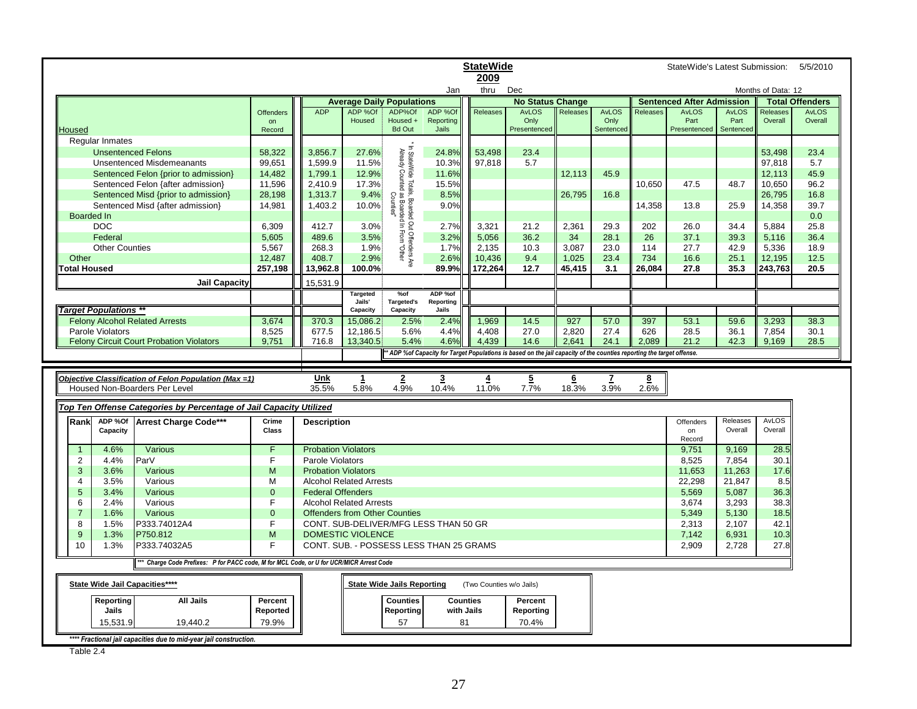|                                       | <b>StateWide</b><br>StateWide's Latest Submission:<br>2009                                                            |                |                            |                                      |                                                                                                          |                                         |                          |                         |          |              | 5/5/2010 |                                  |              |                    |                        |
|---------------------------------------|-----------------------------------------------------------------------------------------------------------------------|----------------|----------------------------|--------------------------------------|----------------------------------------------------------------------------------------------------------|-----------------------------------------|--------------------------|-------------------------|----------|--------------|----------|----------------------------------|--------------|--------------------|------------------------|
|                                       |                                                                                                                       |                |                            |                                      |                                                                                                          | Jan                                     | thru                     | Dec                     |          |              |          |                                  |              | Months of Data: 12 |                        |
|                                       |                                                                                                                       |                |                            | <b>Average Daily Populations</b>     |                                                                                                          |                                         |                          | <b>No Status Change</b> |          |              |          | <b>Sentenced After Admission</b> |              |                    | <b>Total Offenders</b> |
|                                       |                                                                                                                       | Offenders      | <b>ADP</b>                 | ADP %Of                              | ADP%Of                                                                                                   | ADP %Of                                 | Releases                 | AvLOS                   | Releases | <b>AvLOS</b> | Releases | <b>AvLOS</b>                     | <b>AvLOS</b> | Releases           | <b>AvLOS</b>           |
|                                       |                                                                                                                       | on             |                            | Housed                               | Housed +                                                                                                 | Reporting                               |                          | Only                    |          | Only         |          | Part                             | Part         | Overall            | Overall                |
| Housed                                |                                                                                                                       | Record         |                            |                                      | <b>Bd Out</b>                                                                                            | Jails                                   |                          | Presentenced            |          | Sentenced    |          | Presentenced                     | Sentenced    |                    |                        |
| Regular Inmates                       |                                                                                                                       |                |                            |                                      |                                                                                                          |                                         |                          |                         |          |              |          |                                  |              |                    |                        |
|                                       | <b>Unsentenced Felons</b>                                                                                             | 58,322         | 3,856.7                    | 27.6%                                |                                                                                                          | 24.8%                                   | 53,498                   | 23.4                    |          |              |          |                                  |              | 53,498             | 23.4                   |
|                                       | <b>Unsentenced Misdemeanants</b>                                                                                      | 99,651         | 1,599.9                    | 11.5%                                |                                                                                                          | 10.3%                                   | 97,818                   | 5.7                     |          |              |          |                                  |              | 97,818             | 5.7                    |
|                                       | Sentenced Felon {prior to admission}                                                                                  | 14,482         | 1,799.1                    | 12.9%                                |                                                                                                          | 11.6%                                   |                          |                         | 12,113   | 45.9         |          |                                  |              | 12,113             | 45.9                   |
|                                       | Sentenced Felon {after admission}                                                                                     | 11,596         | 2,410.9                    | 17.3%                                |                                                                                                          | 15.5%                                   |                          |                         |          |              | 10,650   | 47.5                             | 48.7         | 10,650             | 96.2                   |
|                                       | Sentenced Misd {prior to admission}                                                                                   | 28,198         | 1,313.7                    | 9.4%                                 |                                                                                                          | 8.5%                                    |                          |                         | 26,795   | 16.8         |          |                                  |              | 26,795             | 16.8                   |
|                                       | Sentenced Misd {after admission}                                                                                      | 14,981         | 1,403.2                    | 10.0%                                |                                                                                                          | 9.0%                                    |                          |                         |          |              | 14,358   | 13.8                             | 25.9         | 14,358             | 39.7                   |
| Boarded In                            |                                                                                                                       |                |                            |                                      |                                                                                                          |                                         |                          |                         |          |              |          |                                  |              |                    | 0.0                    |
| <b>DOC</b>                            |                                                                                                                       | 6.309          | 412.7                      | 3.0%                                 |                                                                                                          | 2.7%                                    | 3.321                    | 21.2                    | 2.361    | 29.3         | 202      | 26.0                             | 34.4         | 5.884              | 25.8                   |
| Federal                               |                                                                                                                       | 5,605          | 489.6                      | 3.5%                                 | In StateWide Totals, Boarded Out Offenders Are<br>Already Counted as Boarded In From "Other<br>Counties" | 3.2%                                    | 5,056                    | 36.2                    | 34       | 28.1         | 26       | 37.1                             | 39.3         | 5,116              | 36.4                   |
| <b>Other Counties</b>                 |                                                                                                                       | 5,567          | 268.3                      | 1.9%                                 |                                                                                                          | 1.7%                                    | 2,135                    | 10.3                    | 3,087    | 23.0         | 114      | 27.7                             | 42.9         | 5,336              | 18.9                   |
| Other                                 |                                                                                                                       | 12,487         | 408.7                      | 2.9%                                 |                                                                                                          | 2.6%                                    | 10,436                   | 9.4                     | 1,025    | 23.4         | 734      | 16.6                             | 25.1         | 12,195             | 12.5                   |
| <b>Total Housed</b>                   |                                                                                                                       | 257,198        | 13,962.8                   | 100.0%                               |                                                                                                          | 89.9%                                   | 172,264                  | 12.7                    | 45,415   | 3.1          | 26,084   | 27.8                             | 35.3         | 243,763            | 20.5                   |
|                                       | <b>Jail Capacity</b>                                                                                                  |                | 15,531.9                   |                                      |                                                                                                          |                                         |                          |                         |          |              |          |                                  |              |                    |                        |
|                                       |                                                                                                                       |                |                            | <b>Targeted</b>                      | $%$ of                                                                                                   | ADP %of                                 |                          |                         |          |              |          |                                  |              |                    |                        |
|                                       |                                                                                                                       |                |                            | Jails'                               | <b>Targeted's</b>                                                                                        | Reporting                               |                          |                         |          |              |          |                                  |              |                    |                        |
| Target Populations **                 |                                                                                                                       |                |                            | Capacity                             | Capacity                                                                                                 | Jails                                   |                          |                         |          |              |          |                                  |              |                    |                        |
| <b>Felony Alcohol Related Arrests</b> |                                                                                                                       | 3,674          | 370.3                      | 15.086.2                             | 2.5%                                                                                                     | 2.4%                                    | 1,969                    | 14.5                    | 927      | 57.0         | 397      | 53.1                             | 59.6         | 3.293              | 38.3                   |
| Parole Violators                      |                                                                                                                       | 8,525          | 677.5                      | 12,186.5                             | 5.6%                                                                                                     | 4.4%                                    | 4,408                    | 27.0                    | 2,820    | 27.4         | 626      | 28.5                             | 36.1         | 7,854              | 30.1                   |
|                                       | <b>Felony Circuit Court Probation Violators</b>                                                                       | 9,751          | 716.8                      | 13,340.5                             | 5.4%                                                                                                     | 4.6%                                    | 4.439                    | 14.6                    | 2,641    | 24.1         | 2,089    | 21.2                             | 42.3         | 9,169              | 28.5                   |
|                                       |                                                                                                                       |                |                            |                                      |                                                                                                          |                                         |                          |                         |          |              |          |                                  |              |                    |                        |
|                                       | * ADP %of Capacity for Target Populations is based on the jail capacity of the counties reporting the target offense. |                |                            |                                      |                                                                                                          |                                         |                          |                         |          |              |          |                                  |              |                    |                        |
|                                       |                                                                                                                       |                |                            |                                      |                                                                                                          |                                         |                          |                         |          |              |          |                                  |              |                    |                        |
|                                       | Objective Classification of Felon Population (Max =1)                                                                 |                | Unk                        | 1                                    | $\overline{2}$                                                                                           | $\overline{\mathbf{3}}$                 | 4                        | $5\overline{ }$         | 6        | z            | 8        |                                  |              |                    |                        |
|                                       | Housed Non-Boarders Per Level                                                                                         |                | 35.5%                      | 5.8%                                 | 4.9%                                                                                                     | 10.4%                                   | 11.0%                    | 7.7%                    | 18.3%    | 3.9%         | 2.6%     |                                  |              |                    |                        |
|                                       |                                                                                                                       |                |                            |                                      |                                                                                                          |                                         |                          |                         |          |              |          |                                  |              |                    |                        |
|                                       | Top Ten Offense Categories by Percentage of Jail Capacity Utilized                                                    |                |                            |                                      |                                                                                                          |                                         |                          |                         |          |              |          |                                  |              |                    |                        |
| ADP %Of<br>Rank                       | Arrest Charge Code***                                                                                                 | Crime          | <b>Description</b>         |                                      |                                                                                                          |                                         |                          |                         |          |              |          | Offenders                        | Releases     | <b>AvLOS</b>       |                        |
| Capacity                              |                                                                                                                       | Class          |                            |                                      |                                                                                                          |                                         |                          |                         |          |              |          | on                               | Overall      | Overall            |                        |
|                                       |                                                                                                                       |                |                            |                                      |                                                                                                          |                                         |                          |                         |          |              |          | Record                           |              |                    |                        |
| 4.6%<br>$\overline{1}$                | Various                                                                                                               | Ē              | <b>Probation Violators</b> |                                      |                                                                                                          |                                         |                          |                         |          |              |          | 9.751                            | 9,169        | 28.5               |                        |
| 2<br>4.4%                             | ParV                                                                                                                  | F              | Parole Violators           |                                      |                                                                                                          |                                         |                          |                         |          |              |          | 8,525                            | 7,854        | 30.1               |                        |
| 3<br>3.6%                             | <b>Various</b>                                                                                                        | M              | <b>Probation Violators</b> |                                      |                                                                                                          |                                         |                          |                         |          |              |          | 11,653                           | 11,263       | 17.6               |                        |
| 3.5%<br>$\overline{4}$                | Various                                                                                                               | M              |                            | <b>Alcohol Related Arrests</b>       |                                                                                                          |                                         |                          |                         |          |              |          | 22,298                           | 21,847       | 8.5                |                        |
| 5<br>3.4%                             | Various                                                                                                               | $\overline{0}$ | <b>Federal Offenders</b>   |                                      |                                                                                                          |                                         |                          |                         |          |              |          | 5,569                            | 5,087        | 36.3               |                        |
| 6<br>2.4%                             | Various                                                                                                               | F.             |                            | <b>Alcohol Related Arrests</b>       |                                                                                                          |                                         |                          |                         |          |              |          | 3.674                            | 3.293        | 38.3               |                        |
| 1.6%<br>$\overline{7}$                | Various                                                                                                               | $\overline{0}$ |                            | <b>Offenders from Other Counties</b> |                                                                                                          |                                         |                          |                         |          |              |          | 5,349                            | 5,130        | 18.5               |                        |
| 8<br>1.5%                             | P333.74012A4                                                                                                          | F.             |                            |                                      |                                                                                                          | CONT. SUB-DELIVER/MFG LESS THAN 50 GR   |                          |                         |          |              |          | 2,313                            | 2,107        | 42.1               |                        |
| 9<br>1.3%                             | P750.812                                                                                                              | M              |                            | <b>DOMESTIC VIOLENCE</b>             |                                                                                                          |                                         |                          |                         |          |              |          | 7,142                            | 6,931        | 10.3               |                        |
| 10<br>1.3%                            | P333.74032A5                                                                                                          | F              |                            |                                      |                                                                                                          | CONT. SUB. - POSSESS LESS THAN 25 GRAMS |                          |                         |          |              |          | 2,909                            | 2,728        | 27.8               |                        |
|                                       | ** Charge Code Prefixes: P for PACC code, M for MCL Code, or U for UCR/MICR Arrest Code                               |                |                            |                                      |                                                                                                          |                                         |                          |                         |          |              |          |                                  |              |                    |                        |
| State Wide Jail Capacities****        |                                                                                                                       |                |                            |                                      | <b>State Wide Jails Reporting</b>                                                                        |                                         | (Two Counties w/o Jails) |                         |          |              |          |                                  |              |                    |                        |
|                                       |                                                                                                                       |                |                            |                                      |                                                                                                          |                                         |                          |                         |          |              |          |                                  |              |                    |                        |
| Reporting                             | <b>All Jails</b>                                                                                                      | Percent        |                            |                                      | <b>Counties</b>                                                                                          | <b>Counties</b>                         |                          | Percent                 |          |              |          |                                  |              |                    |                        |
| Jails                                 |                                                                                                                       | Reported       |                            |                                      | Reporting                                                                                                | with Jails                              |                          | Reporting               |          |              |          |                                  |              |                    |                        |
| 15,531.9                              | 19,440.2                                                                                                              | 79.9%          |                            |                                      | 57                                                                                                       | 81                                      |                          | 70.4%                   |          |              |          |                                  |              |                    |                        |

Table 2.4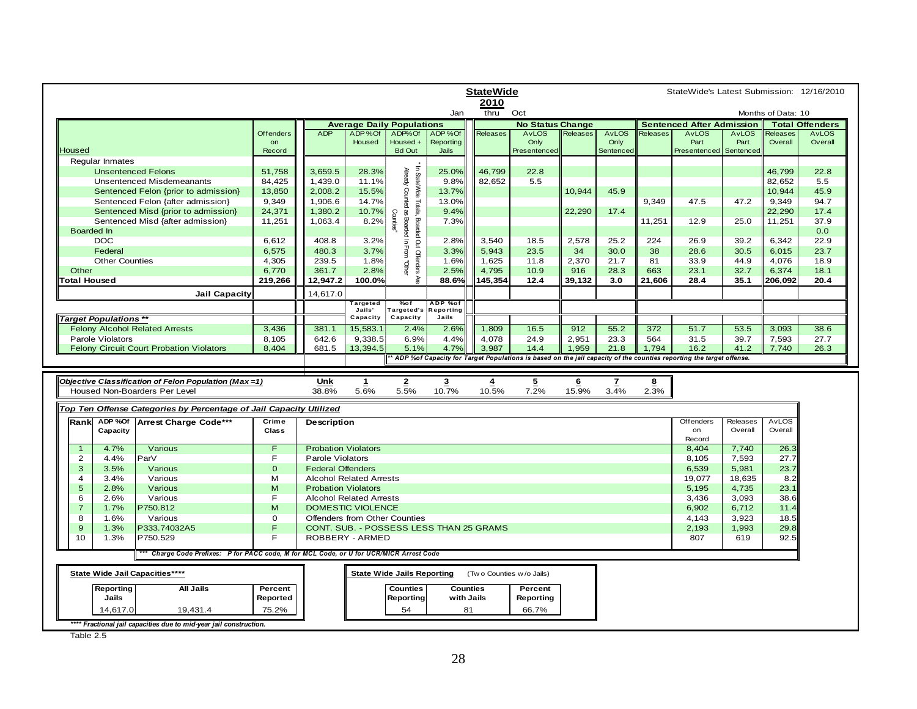|                                                                                      | <b>StateWide</b>       |                            |                                  |                                              |                                         |                          |                         |                 | StateWide's Latest Submission: 12/16/2010 |                         |                                                                                                                       |              |                    |                                        |
|--------------------------------------------------------------------------------------|------------------------|----------------------------|----------------------------------|----------------------------------------------|-----------------------------------------|--------------------------|-------------------------|-----------------|-------------------------------------------|-------------------------|-----------------------------------------------------------------------------------------------------------------------|--------------|--------------------|----------------------------------------|
|                                                                                      |                        |                            |                                  |                                              |                                         | 2010<br>thru             |                         |                 |                                           |                         |                                                                                                                       |              | Months of Data: 10 |                                        |
|                                                                                      |                        |                            |                                  |                                              | Jan                                     |                          | Oct                     |                 |                                           |                         |                                                                                                                       |              |                    |                                        |
|                                                                                      |                        | <b>ADP</b>                 | <b>Average Daily Populations</b> |                                              |                                         |                          | <b>No Status Change</b> |                 |                                           |                         | <b>Sentenced After Admission</b><br><b>AvLOS</b>                                                                      | <b>AvLOS</b> | Releases           | <b>Total Offenders</b><br><b>AvLOS</b> |
|                                                                                      | <b>Offenders</b><br>on |                            | ADP%Of<br><b>Housed</b>          | ADP%Of<br>Housed +                           | ADP%Of<br>Reporting                     | Releases                 | <b>AvLOS</b><br>Only    | <b>Releases</b> | <b>AvLOS</b><br>Only                      | <b>Releases</b>         | Part                                                                                                                  | Part         | Overall            | Overall                                |
| Housed                                                                               | Record                 |                            |                                  | <b>Bd Out</b>                                | Jails                                   |                          | Presentenced            |                 | Sentenced                                 |                         | Presentenced                                                                                                          | Sentenced    |                    |                                        |
| Regular Inmates                                                                      |                        |                            |                                  |                                              |                                         |                          |                         |                 |                                           |                         |                                                                                                                       |              |                    |                                        |
| <b>Unsentenced Felons</b>                                                            | 51,758                 | 3,659.5                    | 28.3%                            |                                              | 25.0%                                   | 46.799                   | 22.8                    |                 |                                           |                         |                                                                                                                       |              | 46.799             | 22.8                                   |
| <b>Unsentenced Misdemeanants</b>                                                     | 84,425                 | 1,439.0                    | 11.1%                            | In StateWide<br>Aready Counted               | 9.8%                                    | 82,652                   | 5.5                     |                 |                                           |                         |                                                                                                                       |              | 82,652             | 5.5                                    |
| Sentenced Felon {prior to admission}                                                 | 13,850                 | 2,008.2                    | 15.5%                            |                                              | 13.7%                                   |                          |                         | 10,944          | 45.9                                      |                         |                                                                                                                       |              | 10,944             | 45.9                                   |
|                                                                                      |                        |                            |                                  |                                              |                                         |                          |                         |                 |                                           |                         |                                                                                                                       | 47.2         |                    |                                        |
| Sentenced Felon {after admission}                                                    | 9,349                  | 1,906.6                    | 14.7%                            | <sup>5</sup> Totals,<br>mted as              | 13.0%                                   |                          |                         |                 |                                           | 9,349                   | 47.5                                                                                                                  |              | 9,349              | 94.7                                   |
| Sentenced Misd {prior to admission}                                                  | 24,371                 | 1,380.2                    | 10.7%                            | <b>Caunties'</b>                             | 9.4%                                    |                          |                         | 22,290          | 17.4                                      |                         |                                                                                                                       |              | 22,290             | 17.4                                   |
| Sentenced Misd {after admission}                                                     | 11,251                 | 1,063.4                    | 8.2%                             |                                              | 7.3%                                    |                          |                         |                 |                                           | 11,251                  | 12.9                                                                                                                  | 25.0         | 11,251             | 37.9                                   |
| <b>Boarded In</b>                                                                    |                        |                            |                                  |                                              |                                         |                          |                         |                 |                                           |                         |                                                                                                                       |              |                    | 0.0                                    |
| <b>DOC</b>                                                                           | 6,612                  | 408.8                      | 3.2%                             | Boarded In From<br>Boarded Out Offenders Are | 2.8%                                    | 3,540                    | 18.5                    | 2,578           | 25.2                                      | 224                     | 26.9                                                                                                                  | 39.2         | 6,342              | 22.9                                   |
| Federal                                                                              | 6,575                  | 480.3                      | 3.7%                             |                                              | 3.3%                                    | 5,943                    | 23.5                    | 34              | 30.0                                      | 38                      | 28.6                                                                                                                  | 30.5         | 6,015              | 23.7                                   |
| <b>Other Counties</b>                                                                | 4,305                  | 239.5                      | 1.8%                             |                                              | 1.6%                                    | 1,625                    | 11.8                    | 2,370           | 21.7                                      | 81                      | 33.9                                                                                                                  | 44.9         | 4,076              | 18.9                                   |
| Other                                                                                | 6,770                  | 361.7                      | 2.8%                             | <b>Quel</b>                                  | 2.5%                                    | 4,795                    | 10.9                    | 916             | 28.3                                      | 663                     | 23.1                                                                                                                  | 32.7         | 6,374              | 18.1                                   |
| <b>Total Housed</b>                                                                  | 219,266                | 12,947.2                   | 100.0%                           |                                              | 88.6%                                   | 145,354                  | 12.4                    | 39,132          | 3.0                                       | 21,606                  | 28.4                                                                                                                  | 35.1         | 206,092            | 20.4                                   |
| <b>Jail Capacity</b>                                                                 |                        | 14,617.0                   |                                  |                                              |                                         |                          |                         |                 |                                           |                         |                                                                                                                       |              |                    |                                        |
|                                                                                      |                        |                            | Targeted                         | %of                                          | ADP %of                                 |                          |                         |                 |                                           |                         |                                                                                                                       |              |                    |                                        |
|                                                                                      |                        |                            | Jails'                           | Targeted's                                   | <b>Reporting</b>                        |                          |                         |                 |                                           |                         |                                                                                                                       |              |                    |                                        |
| <b>Target Populations **</b>                                                         |                        |                            | Capacity                         | Capacity                                     | Jails                                   |                          |                         |                 |                                           |                         |                                                                                                                       |              |                    |                                        |
| <b>Felony Alcohol Related Arrests</b>                                                | 3,436                  | 381.1                      | 15,583.1                         | 2.4%                                         | 2.6%                                    | 1,809                    | 16.5                    | 912             | 55.2                                      | 372                     | 51.7                                                                                                                  | 53.5         | 3,093              | 38.6                                   |
|                                                                                      |                        |                            |                                  |                                              |                                         |                          |                         |                 | 23.3                                      | 564                     | 31.5                                                                                                                  | 39.7         | 7,593              | 27.7                                   |
| Parole Violators                                                                     |                        |                            |                                  | 6.9%                                         | 4.4%                                    |                          | 24.9                    |                 |                                           |                         |                                                                                                                       |              |                    |                                        |
| <b>Felony Circuit Court Probation Violators</b>                                      | 8,105<br>8,404         | 642.6<br>681.5             | 9,338.5<br>13,394.5              | 5.1%                                         | 4.7%                                    | 4,078<br>3.987           | 14.4                    | 2,951<br>1,959  | 21.8                                      |                         | 16.2                                                                                                                  | 41.2         | 7,740              | 26.3                                   |
|                                                                                      |                        |                            |                                  |                                              |                                         |                          |                         |                 |                                           | 1,794                   | * ADP %of Capacity for Target Populations is based on the jail capacity of the counties reporting the target offense. |              |                    |                                        |
|                                                                                      |                        |                            |                                  |                                              |                                         |                          |                         |                 |                                           |                         |                                                                                                                       |              |                    |                                        |
|                                                                                      |                        |                            |                                  |                                              |                                         |                          |                         |                 |                                           |                         |                                                                                                                       |              |                    |                                        |
| Objective Classification of Felon Population (Max=1)                                 |                        | Unk                        | $\mathbf{1}$                     | $\overline{2}$                               | $\overline{\mathbf{3}}$                 | $\overline{4}$           | $\overline{2}$          | $6\overline{6}$ | $\mathbf{z}$                              | $\overline{\mathbf{8}}$ |                                                                                                                       |              |                    |                                        |
| Housed Non-Boarders Per Level                                                        |                        | 38.8%                      | 5.6%                             | 5.5%                                         | 10.7%                                   | 10.5%                    | 7.2%                    | 15.9%           | 3.4%                                      | 2.3%                    |                                                                                                                       |              |                    |                                        |
|                                                                                      |                        |                            |                                  |                                              |                                         |                          |                         |                 |                                           |                         |                                                                                                                       |              |                    |                                        |
| Top Ten Offense Categories by Percentage of Jail Capacity Utilized                   |                        |                            |                                  |                                              |                                         |                          |                         |                 |                                           |                         |                                                                                                                       |              |                    |                                        |
| ADP %Of<br>Arrest Charge Code***<br>Rank                                             | Crime                  | Description                |                                  |                                              |                                         |                          |                         |                 |                                           |                         | Offenders                                                                                                             | Releases     | <b>AvLOS</b>       |                                        |
| Capacity                                                                             | <b>Class</b>           |                            |                                  |                                              |                                         |                          |                         |                 |                                           |                         | on                                                                                                                    | Overall      | Overall            |                                        |
|                                                                                      |                        |                            |                                  |                                              |                                         |                          |                         |                 |                                           |                         | Record                                                                                                                |              |                    |                                        |
| 4.7%<br>Various<br>$\mathbf{1}$                                                      | F                      | <b>Probation Violators</b> |                                  |                                              |                                         |                          |                         |                 |                                           |                         | 8,404                                                                                                                 | 7,740        | 26.3               |                                        |
| 4.4%<br>$\overline{2}$<br>ParV                                                       | F                      | Parole Violators           |                                  |                                              |                                         |                          |                         |                 |                                           |                         | 8,105                                                                                                                 | 7,593        | 27.7               |                                        |
| 3<br>3.5%<br>Various                                                                 | $\mathbf{0}$           | <b>Federal Offenders</b>   |                                  |                                              |                                         |                          |                         |                 |                                           |                         | 6,539                                                                                                                 | 5,981        | 23.7               |                                        |
| Various<br>$\boldsymbol{\Delta}$<br>3.4%                                             | м                      |                            | <b>Alcohol Related Arrests</b>   |                                              |                                         |                          |                         |                 |                                           |                         | 19,077                                                                                                                | 18,635       | 8.2                |                                        |
| 5<br>2.8%<br>Various                                                                 | M                      | <b>Probation Violators</b> |                                  |                                              |                                         |                          |                         |                 |                                           |                         | 5,195                                                                                                                 | 4,735        | 23.1               |                                        |
| 6<br>2.6%<br>Various                                                                 | F                      |                            | <b>Alcohol Related Arrests</b>   |                                              |                                         |                          |                         |                 |                                           |                         | 3,436                                                                                                                 | 3,093        | 38.6               |                                        |
| $\overline{7}$<br>P750.812<br>1.7%                                                   | M                      |                            | <b>DOMESTIC VIOLENCE</b>         |                                              |                                         |                          |                         |                 |                                           |                         | 6,902                                                                                                                 | 6,712        | 11.4               |                                        |
| 8<br>1.6%<br>Various                                                                 | 0                      |                            | Offenders from Other Counties    |                                              |                                         |                          |                         |                 |                                           |                         | 4,143                                                                                                                 | 3,923        | 18.5               |                                        |
| 9<br>P333.74032A5<br>1.3%                                                            | F                      |                            |                                  |                                              | CONT. SUB. - POSSESS LESS THAN 25 GRAMS |                          |                         |                 |                                           |                         | 2,193                                                                                                                 | 1,993        | 29.8               |                                        |
| 10<br>1.3%<br>P750.529                                                               | E                      |                            | ROBBERY - ARMED                  |                                              |                                         |                          |                         |                 |                                           |                         | 807                                                                                                                   | 619          | 92.5               |                                        |
|                                                                                      |                        |                            |                                  |                                              |                                         |                          |                         |                 |                                           |                         |                                                                                                                       |              |                    |                                        |
| Charge Code Prefixes: P for PACC code, M for MCL Code, or U for UCR/MICR Arrest Code |                        |                            |                                  |                                              |                                         |                          |                         |                 |                                           |                         |                                                                                                                       |              |                    |                                        |
| State Wide Jail Capacities****                                                       |                        |                            |                                  | <b>State Wide Jails Reporting</b>            |                                         | (Two Counties w/o Jails) |                         |                 |                                           |                         |                                                                                                                       |              |                    |                                        |
| All Jails                                                                            |                        |                            |                                  |                                              |                                         |                          |                         |                 |                                           |                         |                                                                                                                       |              |                    |                                        |
| Reporting                                                                            | Percent                |                            |                                  | <b>Counties</b>                              | <b>Counties</b>                         |                          | Percent                 |                 |                                           |                         |                                                                                                                       |              |                    |                                        |
| Jails                                                                                | Reported               |                            |                                  | Reporting                                    | with Jails                              |                          | Reporting               |                 |                                           |                         |                                                                                                                       |              |                    |                                        |
| 14,617.0<br>19,431.4                                                                 | 75.2%                  |                            |                                  | 54                                           | 81                                      |                          | 66.7%                   |                 |                                           |                         |                                                                                                                       |              |                    |                                        |

Table 2.5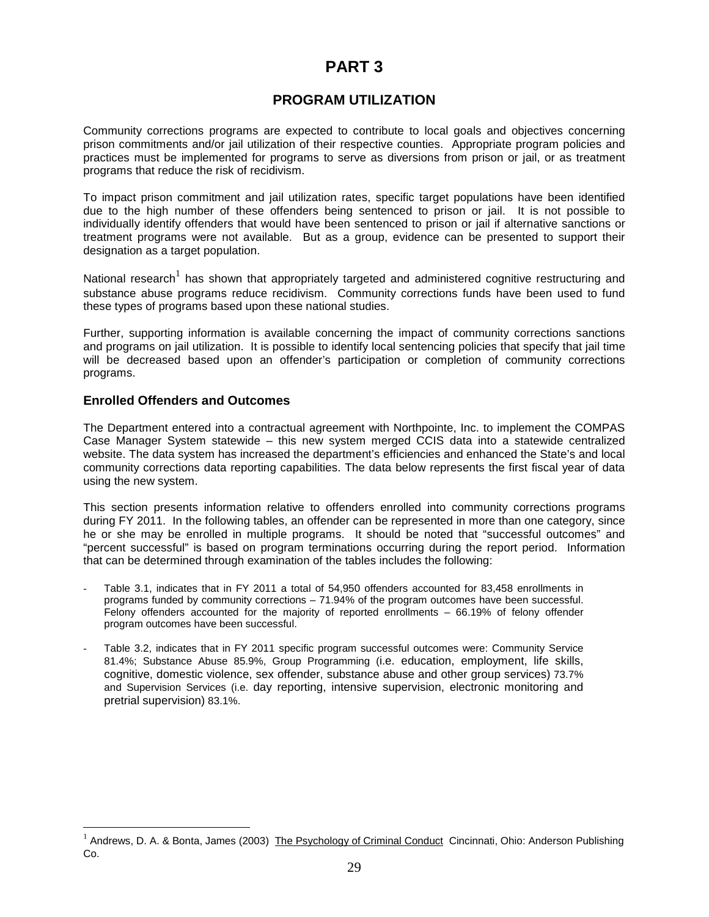# **PART 3**

# **PROGRAM UTILIZATION**

Community corrections programs are expected to contribute to local goals and objectives concerning prison commitments and/or jail utilization of their respective counties. Appropriate program policies and practices must be implemented for programs to serve as diversions from prison or jail, or as treatment programs that reduce the risk of recidivism.

To impact prison commitment and jail utilization rates, specific target populations have been identified due to the high number of these offenders being sentenced to prison or jail. It is not possible to individually identify offenders that would have been sentenced to prison or jail if alternative sanctions or treatment programs were not available. But as a group, evidence can be presented to support their designation as a target population.

National research<sup>1</sup> has shown that appropriately targeted and administered cognitive restructuring and substance abuse programs reduce recidivism. Community corrections funds have been used to fund these types of programs based upon these national studies.

Further, supporting information is available concerning the impact of community corrections sanctions and programs on jail utilization. It is possible to identify local sentencing policies that specify that jail time will be decreased based upon an offender's participation or completion of community corrections programs.

### **Enrolled Offenders and Outcomes**

-

The Department entered into a contractual agreement with Northpointe, Inc. to implement the COMPAS Case Manager System statewide – this new system merged CCIS data into a statewide centralized website. The data system has increased the department's efficiencies and enhanced the State's and local community corrections data reporting capabilities. The data below represents the first fiscal year of data using the new system.

This section presents information relative to offenders enrolled into community corrections programs during FY 2011. In the following tables, an offender can be represented in more than one category, since he or she may be enrolled in multiple programs. It should be noted that "successful outcomes" and "percent successful" is based on program terminations occurring during the report period. Information that can be determined through examination of the tables includes the following:

- Table 3.1, indicates that in FY 2011 a total of 54,950 offenders accounted for 83,458 enrollments in programs funded by community corrections – 71.94% of the program outcomes have been successful. Felony offenders accounted for the majority of reported enrollments – 66.19% of felony offender program outcomes have been successful.
- Table 3.2, indicates that in FY 2011 specific program successful outcomes were: Community Service 81.4%; Substance Abuse 85.9%, Group Programming (i.e. education, employment, life skills, cognitive, domestic violence, sex offender, substance abuse and other group services) 73.7% and Supervision Services (i.e. day reporting, intensive supervision, electronic monitoring and pretrial supervision) 83.1%.

<sup>&</sup>lt;sup>1</sup> Andrews, D. A. & Bonta, James (2003) The Psychology of Criminal Conduct Cincinnati, Ohio: Anderson Publishing Co.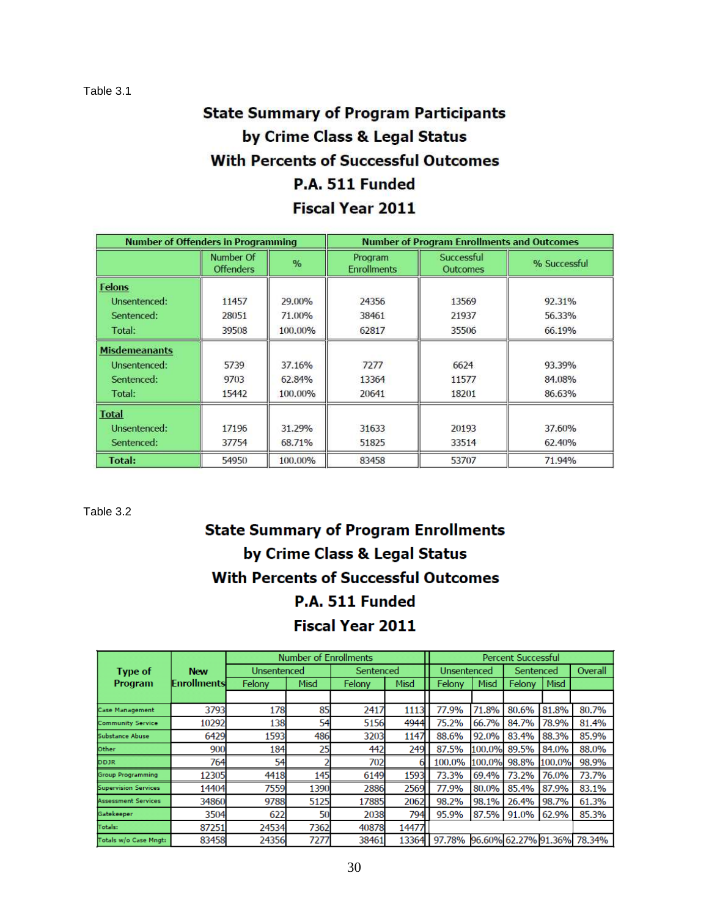# **State Summary of Program Participants** by Crime Class & Legal Status **With Percents of Successful Outcomes** P.A. 511 Funded Fiscal Year 2011

| <b>Number of Offenders in Programming</b> |                               |         | <b>Number of Program Enrollments and Outcomes</b> |                               |              |  |  |  |
|-------------------------------------------|-------------------------------|---------|---------------------------------------------------|-------------------------------|--------------|--|--|--|
|                                           | Number Of<br><b>Offenders</b> | %       | Program<br><b>Enrollments</b>                     | Successful<br><b>Outcomes</b> | % Successful |  |  |  |
| <b>Felons</b>                             |                               |         |                                                   |                               |              |  |  |  |
| Unsentenced:                              | 11457                         | 29,00%  | 24356                                             | 13569                         | 92.31%       |  |  |  |
| Sentenced:                                | 28051                         | 71.00%  | 38461                                             | 21937                         | 56.33%       |  |  |  |
| Total:                                    | 39508                         | 100,00% | 62817                                             | 35506                         | 66.19%       |  |  |  |
| <b>Misdemeanants</b>                      |                               |         |                                                   |                               |              |  |  |  |
| Unsentenced:                              | 5739                          | 37.16%  | 7277                                              | 6624                          | 93.39%       |  |  |  |
| Sentenced:                                | 9703                          | 62.84%  | 13364                                             | 11577                         | 84.08%       |  |  |  |
| Total:                                    | 15442                         | 100.00% | 20641                                             | 18201                         | 86.63%       |  |  |  |
| <b>Total</b>                              |                               |         |                                                   |                               |              |  |  |  |
| Unsentenced:                              | 17196                         | 31.29%  | 31633                                             | 20193                         | 37.60%       |  |  |  |
| Sentenced:                                | 37754                         | 68.71%  | 51825                                             | 33514                         | 62.40%       |  |  |  |
| Total:<br>54950<br>100.00%                |                               | 83458   | 53707                                             | 71.94%                        |              |  |  |  |

Table 3.2

# **State Summary of Program Enrollments** by Crime Class & Legal Status **With Percents of Successful Outcomes** P.A. 511 Funded **Fiscal Year 2011**

|                             |                    |             | <b>Number of Enrollments</b> |           |       |             |        | <b>Percent Successful</b> |        |                                    |
|-----------------------------|--------------------|-------------|------------------------------|-----------|-------|-------------|--------|---------------------------|--------|------------------------------------|
| <b>Type of</b>              | <b>New</b>         | Unsentenced |                              | Sentenced |       | Unsentenced |        | Sentenced                 |        | Overall                            |
| Program                     | <b>Enrollments</b> | Felony      | Misd                         | Felony    | Misd  | Felony      | Misd   | Felony                    | Misd   |                                    |
|                             |                    |             |                              |           |       |             |        |                           |        |                                    |
| <b>Case Management</b>      | 3793               | 178         | 85                           | 2417      | 1113  | 77.9%       | 71.8%  | 80.6%                     | 81.8%  | 80.7%                              |
| <b>Community Service</b>    | 10292              | 138         | 54                           | 5156      | 4944  | 75.2%       | 66.7%  | 84.7%                     | 78.9%  | 81.4%                              |
| Substance Abuse             | 6429               | 1593        | 486                          | 3203      | 1147  | 88.6%       | 92.0%  | 83.4%                     | 88.3%  | 85.9%                              |
| Other                       | 900                | 184         | 25                           | 442       | 249   | 87.5%       | 100.0% | 89.5%                     | 84.0%  | 88.0%                              |
| <b>DDJR</b>                 | 764                | 54          |                              | 702       |       | 100.0%      | 100.0% | 98.8%                     | 100.0% | 98.9%                              |
| <b>Group Programming</b>    | 12305              | 4418        | 145                          | 6149      | 1593  | 73.3%       | 69.4%  | 73.2%                     | 76.0%  | 73.7%                              |
| <b>Supervision Services</b> | 14404              | 7559        | 1390                         | 2886      | 2569  | 77.9%       | 80.0%  | 85.4%                     | 87.9%  | 83.1%                              |
| <b>Assessment Services</b>  | 34860              | 9788        | 5125                         | 17885     | 2062  | 98.2%       | 98.1%  | 26.4%                     | 98.7%  | 61.3%                              |
| Gatekeeper                  | 3504               | 622         | 50                           | 2038      | 794   | 95.9%       | 87.5%  | 91.0%                     | 62.9%  | 85.3%                              |
| Totals:                     | 87251              | 24534       | 7362                         | 40878     | 14477 |             |        |                           |        |                                    |
| Totals w/o Case Mngt:       | 83458              | 24356       | 7277                         | 38461     | 13364 |             |        |                           |        | 97.78% 96.60% 62.27% 91.36% 78.34% |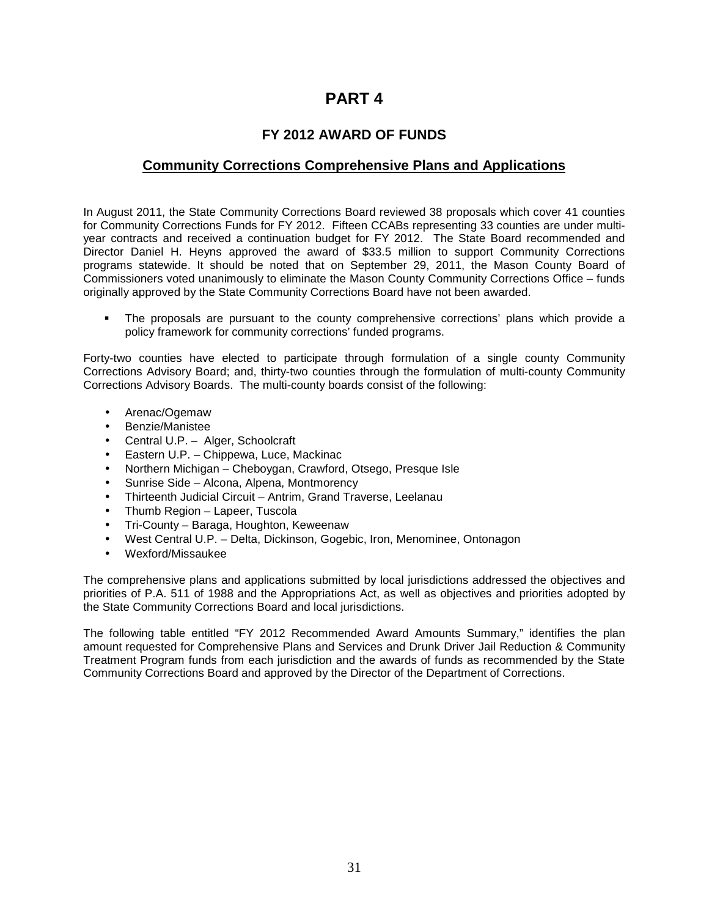# **PART 4**

# **FY 2012 AWARD OF FUNDS**

# **Community Corrections Comprehensive Plans and Applications**

In August 2011, the State Community Corrections Board reviewed 38 proposals which cover 41 counties for Community Corrections Funds for FY 2012. Fifteen CCABs representing 33 counties are under multiyear contracts and received a continuation budget for FY 2012. The State Board recommended and Director Daniel H. Heyns approved the award of \$33.5 million to support Community Corrections programs statewide. It should be noted that on September 29, 2011, the Mason County Board of Commissioners voted unanimously to eliminate the Mason County Community Corrections Office – funds originally approved by the State Community Corrections Board have not been awarded.

 The proposals are pursuant to the county comprehensive corrections' plans which provide a policy framework for community corrections' funded programs.

Forty-two counties have elected to participate through formulation of a single county Community Corrections Advisory Board; and, thirty-two counties through the formulation of multi-county Community Corrections Advisory Boards. The multi-county boards consist of the following:

- Arenac/Ogemaw
- Benzie/Manistee
- Central U.P. Alger, Schoolcraft
- Eastern U.P. Chippewa, Luce, Mackinac
- Northern Michigan Cheboygan, Crawford, Otsego, Presque Isle
- Sunrise Side Alcona, Alpena, Montmorency
- Thirteenth Judicial Circuit Antrim, Grand Traverse, Leelanau
- Thumb Region Lapeer, Tuscola
- Tri-County Baraga, Houghton, Keweenaw
- West Central U.P. Delta, Dickinson, Gogebic, Iron, Menominee, Ontonagon
- Wexford/Missaukee

The comprehensive plans and applications submitted by local jurisdictions addressed the objectives and priorities of P.A. 511 of 1988 and the Appropriations Act, as well as objectives and priorities adopted by the State Community Corrections Board and local jurisdictions.

The following table entitled "FY 2012 Recommended Award Amounts Summary," identifies the plan amount requested for Comprehensive Plans and Services and Drunk Driver Jail Reduction & Community Treatment Program funds from each jurisdiction and the awards of funds as recommended by the State Community Corrections Board and approved by the Director of the Department of Corrections.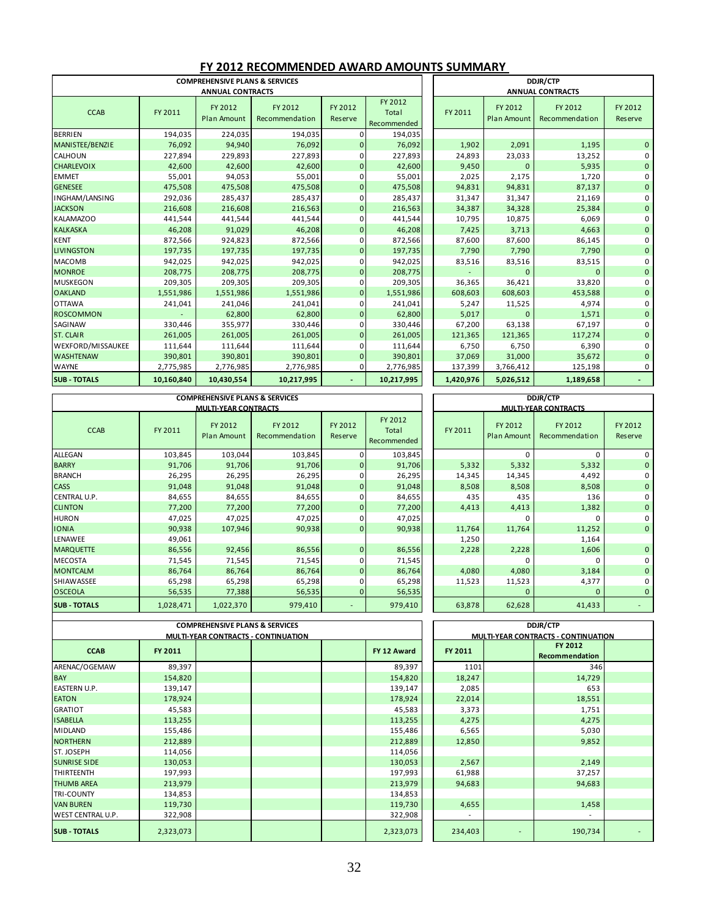|                        |            | <b>COMPREHENSIVE PLANS &amp; SERVICES</b> |                           | DDJR/CTP           |                                 |                                                                |              |                         |                    |
|------------------------|------------|-------------------------------------------|---------------------------|--------------------|---------------------------------|----------------------------------------------------------------|--------------|-------------------------|--------------------|
|                        |            | <b>ANNUAL CONTRACTS</b>                   |                           |                    |                                 |                                                                |              | <b>ANNUAL CONTRACTS</b> |                    |
| <b>CCAB</b>            | FY 2011    | FY 2012<br><b>Plan Amount</b>             | FY 2012<br>Recommendation | FY 2012<br>Reserve | FY 2012<br>Total<br>Recommended | FY 2012<br>FY 2012<br>FY 2011<br>Recommendation<br>Plan Amount |              |                         | FY 2012<br>Reserve |
| <b>BERRIEN</b>         | 194,035    | 224,035                                   | 194,035                   |                    | 194,035                         |                                                                |              |                         |                    |
| <b>MANISTEE/BENZIE</b> | 76,092     | 94,940                                    | 76,092                    | 0                  | 76,092                          | 1,902                                                          | 2,091        | 1,195                   | $\Omega$           |
| CALHOUN                | 227,894    | 229,893                                   | 227,893                   |                    | 227,893                         | 24,893                                                         | 23,033       | 13,252                  | 0                  |
| <b>CHARLEVOIX</b>      | 42,600     | 42,600                                    | 42,600                    | 0                  | 42,600                          | 9,450                                                          | $\Omega$     | 5,935                   | $\Omega$           |
| <b>EMMET</b>           | 55,001     | 94,053                                    | 55,001                    |                    | 55,001                          | 2,025                                                          | 2,175        | 1,720                   | $\Omega$           |
| <b>GENESEE</b>         | 475,508    | 475,508                                   | 475,508                   | $\overline{0}$     | 475,508                         | 94,831                                                         | 94,831       | 87,137                  | $\Omega$           |
| <b>INGHAM/LANSING</b>  | 292,036    | 285,437                                   | 285,437                   |                    | 285,437                         | 31,347                                                         | 31,347       | 21,169                  | 0                  |
| <b>JACKSON</b>         | 216,608    | 216,608                                   | 216,563                   | $\Omega$           | 216,563                         | 34,387                                                         | 34,328       | 25,384                  | $\Omega$           |
| <b>KALAMAZOO</b>       | 441,544    | 441,544                                   | 441,544                   |                    | 441,544                         | 10,795                                                         | 10,875       | 6,069                   | 0                  |
| <b>KALKASKA</b>        | 46,208     | 91,029                                    | 46,208                    | $\Omega$           | 46,208                          | 7,425                                                          | 3,713        | 4,663                   | $\Omega$           |
| <b>KENT</b>            | 872,566    | 924,823                                   | 872,566                   | ŋ                  | 872,566                         | 87,600                                                         | 87,600       | 86,145                  | 0                  |
| <b>LIVINGSTON</b>      | 197,735    | 197,735                                   | 197,735                   | 0                  | 197,735                         | 7,790                                                          | 7,790        | 7,790                   | $\mathbf{0}$       |
| <b>MACOMB</b>          | 942,025    | 942,025                                   | 942,025                   |                    | 942,025                         | 83,516                                                         | 83,516       | 83,515                  | $\Omega$           |
| <b>MONROE</b>          | 208,775    | 208,775                                   | 208,775                   | 0                  | 208,775                         |                                                                | $\mathbf{0}$ | $\overline{0}$          | $\mathbf{0}$       |
| <b>MUSKEGON</b>        | 209,305    | 209,305                                   | 209,305                   |                    | 209,305                         | 36,365                                                         | 36,421       | 33,820                  | 0                  |
| <b>OAKLAND</b>         | 1,551,986  | 1,551,986                                 | 1,551,986                 | $\overline{0}$     | 1,551,986                       | 608,603                                                        | 608,603      | 453,588                 | $\mathbf{0}$       |
| <b>OTTAWA</b>          | 241,041    | 241,046                                   | 241,041                   | ŋ                  | 241,041                         | 5,247                                                          | 11,525       | 4,974                   | 0                  |
| <b>ROSCOMMON</b>       |            | 62,800                                    | 62,800                    | $\overline{0}$     | 62,800                          | 5,017                                                          | $\mathbf{0}$ | 1,571                   | $\mathbf{0}$       |
| <b>SAGINAW</b>         | 330,446    | 355,977                                   | 330,446                   |                    | 330,446                         | 67,200                                                         | 63,138       | 67,197                  | $\mathbf 0$        |
| <b>ST. CLAIR</b>       | 261,005    | 261,005                                   | 261,005                   | 0                  | 261,005                         | 121,365                                                        | 121,365      | 117,274                 | $\mathbf{0}$       |
| WEXFORD/MISSAUKEE      | 111,644    | 111,644                                   | 111,644                   |                    | 111,644                         | 6,750                                                          | 6,750        | 6,390                   | $\Omega$           |
| <b>WASHTENAW</b>       | 390,801    | 390,801                                   | 390,801                   | $\overline{0}$     | 390,801                         | 37,069                                                         | 31,000       | 35,672                  | $\mathbf{0}$       |
| <b>WAYNE</b>           | 2,775,985  | 2,776,985                                 | 2,776,985                 | 0                  | 2,776,985                       | 137,399                                                        | 3,766,412    | 125,198                 | 0                  |
| <b>SUB - TOTALS</b>    | 10,160,840 | 10,430,554                                | 10,217,995                |                    | 10,217,995                      | 1,420,976                                                      | 5,026,512    | 1,189,658               |                    |

### **FY 2012 RECOMMENDED AWARD AMOUNTS SUMMARY**

|                     |           | <b>COMPREHENSIVE PLANS &amp; SERVICES</b><br><b>MULTI-YEAR CONTRACTS</b> |                           | <b>DDJR/CTP</b><br><b>MULTI-YEAR CONTRACTS</b> |                                 |                                                                       |          |          |                    |
|---------------------|-----------|--------------------------------------------------------------------------|---------------------------|------------------------------------------------|---------------------------------|-----------------------------------------------------------------------|----------|----------|--------------------|
| <b>CCAB</b>         | FY 2011   | FY 2012<br>Plan Amount                                                   | FY 2012<br>Recommendation | FY 2012<br>Reserve                             | FY 2012<br>Total<br>Recommended | FY 2012<br>FY 2012<br>FY 2011<br><b>Plan Amount</b><br>Recommendation |          |          | FY 2012<br>Reserve |
| <b>ALLEGAN</b>      | 103,845   | 103,044                                                                  | 103,845                   |                                                | 103,845                         |                                                                       | $\Omega$ | $\Omega$ |                    |
| <b>BARRY</b>        | 91,706    | 91,706                                                                   | 91,706                    | 0                                              | 91,706                          | 5,332                                                                 | 5,332    | 5,332    |                    |
| <b>BRANCH</b>       | 26,295    | 26,295                                                                   | 26,295                    |                                                | 26,295                          | 14,345                                                                | 14,345   | 4,492    |                    |
| <b>CASS</b>         | 91,048    | 91,048                                                                   | 91,048                    | 0                                              | 91,048                          | 8,508                                                                 | 8,508    | 8,508    |                    |
| <b>CENTRAL U.P.</b> | 84,655    | 84,655                                                                   | 84,655                    |                                                | 84,655                          | 435                                                                   | 435      | 136      |                    |
| <b>CLINTON</b>      | 77,200    | 77,200                                                                   | 77,200                    | $\mathbf{0}$                                   | 77,200                          | 4,413                                                                 | 4,413    | 1,382    |                    |
| <b>HURON</b>        | 47,025    | 47,025                                                                   | 47,025                    |                                                | 47,025                          |                                                                       | $\Omega$ | C        |                    |
| <b>IONIA</b>        | 90,938    | 107,946                                                                  | 90,938                    | $\mathbf{0}$                                   | 90,938                          | 11,764                                                                | 11,764   | 11,252   | $\overline{0}$     |
| <b>LENAWEE</b>      | 49,061    |                                                                          |                           |                                                |                                 | 1,250                                                                 |          | 1,164    |                    |
| <b>MARQUETTE</b>    | 86,556    | 92,456                                                                   | 86,556                    | $\overline{0}$                                 | 86,556                          | 2,228                                                                 | 2,228    | 1,606    | $\overline{0}$     |
| <b>MECOSTA</b>      | 71,545    | 71,545                                                                   | 71,545                    |                                                | 71,545                          |                                                                       | $\Omega$ | 0        |                    |
| <b>MONTCALM</b>     | 86,764    | 86,764                                                                   | 86,764                    |                                                | 86,764                          | 4,080                                                                 | 4,080    | 3,184    |                    |
| <b>SHIAWASSEE</b>   | 65,298    | 65,298                                                                   | 65,298                    |                                                | 65,298                          | 11,523                                                                | 11,523   | 4,377    |                    |
| <b>OSCEOLA</b>      | 56,535    | 77,388                                                                   | 56,535                    | $\Omega$                                       | 56,535                          |                                                                       | $\Omega$ | $\Omega$ | $\Omega$           |
| <b>SUB - TOTALS</b> | 1,028,471 | 1,022,370                                                                | 979,410                   |                                                | 979,410                         | 63,878                                                                | 62,628   | 41,433   |                    |

|                          | <b>COMPREHENSIVE PLANS &amp; SERVICES</b> |  |                                            |  |             |  |                                            |  | <b>DDJR/CTP</b>           |  |  |  |  |
|--------------------------|-------------------------------------------|--|--------------------------------------------|--|-------------|--|--------------------------------------------|--|---------------------------|--|--|--|--|
|                          |                                           |  | <b>MULTI-YEAR CONTRACTS - CONTINUATION</b> |  |             |  | <b>MULTI-YEAR CONTRACTS - CONTINUATION</b> |  |                           |  |  |  |  |
| <b>CCAB</b>              | FY 2011                                   |  |                                            |  | FY 12 Award |  | FY 2011                                    |  | FY 2012<br>Recommendation |  |  |  |  |
| ARENAC/OGEMAW            | 89,397                                    |  |                                            |  | 89,397      |  | 1101                                       |  | 346                       |  |  |  |  |
| <b>BAY</b>               | 154,820                                   |  |                                            |  | 154,820     |  | 18,247                                     |  | 14,729                    |  |  |  |  |
| <b>EASTERN U.P.</b>      | 139,147                                   |  |                                            |  | 139,147     |  | 2,085                                      |  | 653                       |  |  |  |  |
| <b>EATON</b>             | 178,924                                   |  |                                            |  | 178,924     |  | 22,014                                     |  | 18,551                    |  |  |  |  |
| <b>GRATIOT</b>           | 45,583                                    |  |                                            |  | 45,583      |  | 3,373                                      |  | 1,751                     |  |  |  |  |
| <b>ISABELLA</b>          | 113,255                                   |  |                                            |  | 113,255     |  | 4,275                                      |  | 4,275                     |  |  |  |  |
| <b>MIDLAND</b>           | 155,486                                   |  |                                            |  | 155,486     |  | 6,565                                      |  | 5,030                     |  |  |  |  |
| <b>NORTHERN</b>          | 212,889                                   |  |                                            |  | 212,889     |  | 12,850                                     |  | 9,852                     |  |  |  |  |
| ST. JOSEPH               | 114,056                                   |  |                                            |  | 114,056     |  |                                            |  |                           |  |  |  |  |
| <b>SUNRISE SIDE</b>      | 130,053                                   |  |                                            |  | 130,053     |  | 2,567                                      |  | 2,149                     |  |  |  |  |
| <b>THIRTEENTH</b>        | 197,993                                   |  |                                            |  | 197,993     |  | 61,988                                     |  | 37,257                    |  |  |  |  |
| <b>THUMB AREA</b>        | 213,979                                   |  |                                            |  | 213,979     |  | 94,683                                     |  | 94,683                    |  |  |  |  |
| <b>TRI-COUNTY</b>        | 134,853                                   |  |                                            |  | 134,853     |  |                                            |  |                           |  |  |  |  |
| <b>VAN BUREN</b>         | 119,730                                   |  |                                            |  | 119,730     |  | 4,655                                      |  | 1,458                     |  |  |  |  |
| <b>WEST CENTRAL U.P.</b> | 322,908                                   |  |                                            |  | 322,908     |  | $\overline{a}$                             |  | $\overline{\phantom{a}}$  |  |  |  |  |
| <b>SUB - TOTALS</b>      | 2,323,073                                 |  |                                            |  | 2,323,073   |  | 234,403                                    |  | 190,734                   |  |  |  |  |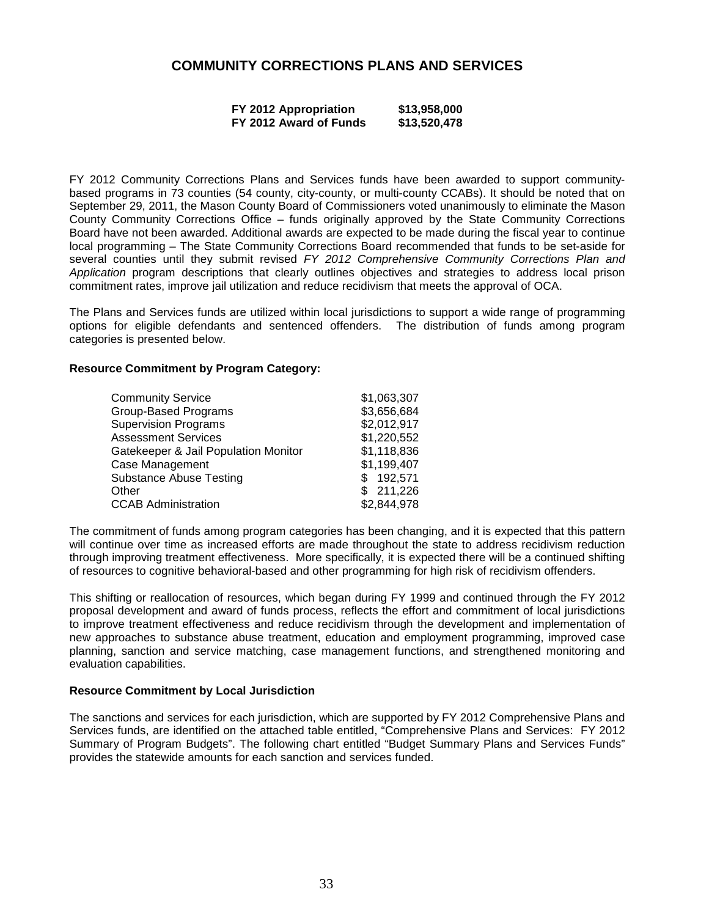# **COMMUNITY CORRECTIONS PLANS AND SERVICES**

| FY 2012 Appropriation  | \$13,958,000 |
|------------------------|--------------|
| FY 2012 Award of Funds | \$13,520,478 |

FY 2012 Community Corrections Plans and Services funds have been awarded to support communitybased programs in 73 counties (54 county, city-county, or multi-county CCABs). It should be noted that on September 29, 2011, the Mason County Board of Commissioners voted unanimously to eliminate the Mason County Community Corrections Office – funds originally approved by the State Community Corrections Board have not been awarded. Additional awards are expected to be made during the fiscal year to continue local programming – The State Community Corrections Board recommended that funds to be set-aside for several counties until they submit revised FY 2012 Comprehensive Community Corrections Plan and Application program descriptions that clearly outlines objectives and strategies to address local prison commitment rates, improve jail utilization and reduce recidivism that meets the approval of OCA.

The Plans and Services funds are utilized within local jurisdictions to support a wide range of programming options for eligible defendants and sentenced offenders. The distribution of funds among program categories is presented below.

#### **Resource Commitment by Program Category:**

| <b>Community Service</b>             | \$1,063,307 |
|--------------------------------------|-------------|
| <b>Group-Based Programs</b>          | \$3,656,684 |
| <b>Supervision Programs</b>          | \$2,012,917 |
| <b>Assessment Services</b>           | \$1,220,552 |
| Gatekeeper & Jail Population Monitor | \$1,118,836 |
| Case Management                      | \$1,199,407 |
| <b>Substance Abuse Testing</b>       | 192,571     |
| Other                                | \$211,226   |
| <b>CCAB Administration</b>           | \$2,844,978 |

The commitment of funds among program categories has been changing, and it is expected that this pattern will continue over time as increased efforts are made throughout the state to address recidivism reduction through improving treatment effectiveness. More specifically, it is expected there will be a continued shifting of resources to cognitive behavioral-based and other programming for high risk of recidivism offenders.

This shifting or reallocation of resources, which began during FY 1999 and continued through the FY 2012 proposal development and award of funds process, reflects the effort and commitment of local jurisdictions to improve treatment effectiveness and reduce recidivism through the development and implementation of new approaches to substance abuse treatment, education and employment programming, improved case planning, sanction and service matching, case management functions, and strengthened monitoring and evaluation capabilities.

### **Resource Commitment by Local Jurisdiction**

The sanctions and services for each jurisdiction, which are supported by FY 2012 Comprehensive Plans and Services funds, are identified on the attached table entitled, "Comprehensive Plans and Services: FY 2012 Summary of Program Budgets". The following chart entitled "Budget Summary Plans and Services Funds" provides the statewide amounts for each sanction and services funded.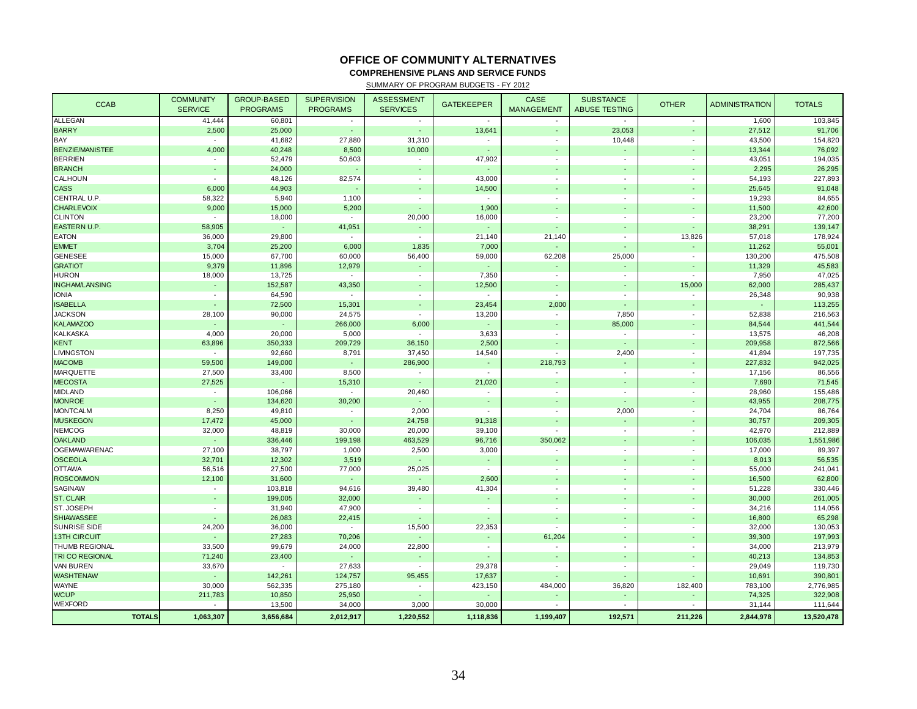### **OFFICE OF COMMUNITY ALTERNATIVES**

**COMPREHENSIVE PLANS AND SERVICE FUNDS**

SUMMARY OF PROGRAM BUDGETS - FY 2012

| <b>CCAB</b>            | <b>COMMUNITY</b><br><b>SERVICE</b> | <b>GROUP-BASED</b><br><b>PROGRAMS</b> | <b>SUPERVISION</b><br><b>PROGRAMS</b> | <b>ASSESSMENT</b><br><b>SERVICES</b> | <b>GATEKEEPER</b> | CASE<br><b>MANAGEMENT</b> | <b>SUBSTANCE</b><br><b>ABUSE TESTING</b> | <b>OTHER</b>             | <b>ADMINISTRATION</b> | <b>TOTALS</b> |
|------------------------|------------------------------------|---------------------------------------|---------------------------------------|--------------------------------------|-------------------|---------------------------|------------------------------------------|--------------------------|-----------------------|---------------|
| <b>ALLEGAN</b>         |                                    | 60,801                                | $\sim$                                |                                      | $\sim$            |                           | $\sim$                                   | $\sim$                   | 1,600                 | 103,845       |
| <b>BARRY</b>           | 41,444<br>2,500                    | 25,000                                | $\sim$                                | $\sim$                               | 13,641            | i.                        | 23,053                                   | $\overline{\phantom{a}}$ | 27,512                | 91,706        |
| BAY                    | $\sim$                             | 41,682                                | 27,880                                | 31,310                               | $\sim$            | $\sim$                    | 10,448                                   | $\overline{\phantom{a}}$ | 43,500                | 154,820       |
| <b>BENZIE/MANISTEE</b> | 4,000                              | 40,248                                | 8,500                                 | 10,000                               | $\sim$            |                           | ÷.                                       | $\sim$                   | 13,344                | 76,092        |
| <b>BERRIEN</b>         | $\overline{\phantom{a}}$           | 52,479                                | 50,603                                | $\overline{\phantom{a}}$             | 47,902            | $\overline{\phantom{a}}$  | $\overline{\phantom{a}}$                 | $\overline{\phantom{a}}$ | 43,051                | 194,035       |
| <b>BRANCH</b>          | $\sim$                             | 24,000                                |                                       |                                      | $\omega$          | $\overline{\phantom{a}}$  | $\sim$                                   | $\sim$                   | 2,295                 | 26,295        |
| CALHOUN                | $\overline{\phantom{a}}$           | 48,126                                | 82,574                                | $\overline{\phantom{a}}$             | 43,000            | $\overline{\phantom{a}}$  | $\overline{\phantom{a}}$                 | $\overline{\phantom{a}}$ | 54,193                | 227,893       |
| <b>CASS</b>            | 6,000                              | 44,903                                |                                       |                                      | 14,500            |                           | $\mathbf{r}$                             |                          | 25,645                | 91,048        |
| CENTRAL U.P.           | 58,322                             | 5,940                                 | 1,100                                 | $\sim$                               | $\sim$            | $\overline{\phantom{a}}$  | $\overline{\phantom{a}}$                 | $\overline{\phantom{a}}$ | 19,293                | 84,655        |
| <b>CHARLEVOIX</b>      | 9,000                              | 15,000                                | 5,200                                 |                                      | 1,900             | $\overline{\phantom{a}}$  | $\blacksquare$                           | $\sim$                   | 11,500                | 42,600        |
| <b>CLINTON</b>         | $\overline{\phantom{a}}$           | 18,000                                |                                       | 20,000                               | 16,000            | $\blacksquare$            | $\overline{\phantom{a}}$                 | $\overline{\phantom{a}}$ | 23,200                | 77,200        |
| EASTERN U.P.           | 58,905                             | $\omega_{\rm c}$                      | 41,951                                |                                      | $\sim$            |                           |                                          |                          | 38,291                | 139,147       |
| <b>EATON</b>           | 36,000                             | 29,800                                | $\sim$                                | $\sim$                               | 21,140            | 21,140                    | $\overline{\phantom{a}}$                 | 13,826                   | 57,018                | 178,924       |
| <b>EMMET</b>           | 3,704                              | 25,200                                | 6,000                                 | 1,835                                | 7,000             |                           | $\overline{\phantom{a}}$                 | $\sim$                   | 11,262                | 55,001        |
| <b>GENESEE</b>         | 15,000                             | 67,700                                | 60,000                                | 56,400                               | 59,000            | 62,208                    | 25,000                                   | $\sim$                   | 130,200               | 475,508       |
| <b>GRATIOT</b>         | 9,379                              | 11,896                                | 12,979                                |                                      | $\omega$          |                           | ä,                                       |                          | 11,329                | 45,583        |
| <b>HURON</b>           | 18,000                             | 13,725                                | $\sim$                                | $\sim$                               | 7,350             | $\sim$                    | $\sim$                                   | $\sim$                   | 7,950                 | 47,025        |
| <b>INGHAM/LANSING</b>  | $\blacksquare$                     | 152,587                               | 43,350                                |                                      | 12,500            |                           | $\overline{\phantom{a}}$                 | 15,000                   | 62,000                | 285,437       |
| <b>IONIA</b>           | $\sim$                             | 64,590                                | $\sim$                                | $\overline{\phantom{a}}$             | $\sim$            | $\overline{\phantom{a}}$  | $\sim$                                   |                          | 26,348                | 90,938        |
| <b>ISABELLA</b>        | $\sim$                             | 72,500                                | 15,301                                |                                      | 23,454            | 2,000                     | $\omega$                                 | $\blacksquare$           | $\sim$                | 113,255       |
| <b>JACKSON</b>         | 28,100                             | 90,000                                | 24,575                                | $\sim$                               | 13,200            | $\sim$                    | 7,850                                    | $\overline{\phantom{a}}$ | 52,838                | 216,563       |
| <b>KALAMAZOO</b>       | $\Box$                             | $\omega_{\rm c}$                      | 266,000                               | 6,000                                | $\omega$          |                           | 85,000                                   |                          | 84,544                | 441,544       |
| <b>KALKASKA</b>        | 4,000                              | 20,000                                | 5,000                                 | $\sim$                               | 3,633             | $\overline{\phantom{a}}$  | $\sim$                                   | $\sim$                   | 13,575                | 46,208        |
| KENT                   | 63,896                             | 350,333                               | 209,729                               | 36,150                               | 2,500             | ÷.                        | $\sim$                                   | $\sim$                   | 209,958               | 872,566       |
| <b>IVINGSTON</b>       | $\overline{\phantom{a}}$           | 92,660                                | 8,791                                 | 37,450                               | 14,540            | $\blacksquare$            | 2,400                                    | $\overline{\phantom{a}}$ | 41,894                | 197,735       |
| <b>MACOMB</b>          | 59,500                             | 149,000                               | ÷,                                    | 286,900                              | $\omega$          | 218,793                   | ÷,                                       | $\sim$                   | 227,832               | 942,025       |
| <b>MARQUETTE</b>       | 27,500                             | 33,400                                | 8,500                                 | $\sim$                               | $\sim$            | $\sim$                    | $\sim$                                   | $\sim$                   | 17,156                | 86,556        |
| <b>MECOSTA</b>         | 27,525                             | ä,                                    | 15,310                                | $\sim$                               | 21,020            | $\sim$                    | $\sim$                                   | $\sim$                   | 7,690                 | 71,545        |
| <b>MIDLAND</b>         | $\overline{\phantom{a}}$           | 106,066                               | $\overline{\phantom{a}}$              | 20,460                               | $\sim$            | $\overline{\phantom{a}}$  | $\overline{\phantom{a}}$                 | $\overline{\phantom{a}}$ | 28,960                | 155,486       |
| <b>MONROE</b>          | $\mathbb{Z}$                       | 134,620                               | 30,200                                |                                      | ÷.                |                           | ۰                                        |                          | 43,955                | 208,775       |
| <b>MONTCALM</b>        | 8,250                              | 49,810                                | $\sim$                                | 2,000                                | $\sim$            | $\overline{\phantom{a}}$  | 2,000                                    | $\blacksquare$           | 24,704                | 86,764        |
| <b>MUSKEGON</b>        | 17,472                             | 45,000                                | $\overline{\phantom{a}}$              | 24,758                               | 91,318            | $\overline{\phantom{a}}$  | $\omega$                                 | $\sim$                   | 30,757                | 209,305       |
| <b>NEMCOG</b>          | 32,000                             | 48,819                                | 30,000                                | 20,000                               | 39,100            | $\sim$                    | $\sim$                                   | $\overline{\phantom{a}}$ | 42,970                | 212,889       |
| <b>OAKLAND</b>         | $\mathbb{Z}^2$                     | 336,446                               | 199,198                               | 463,529                              | 96,716            | 350,062                   | ä,                                       | $\sim$                   | 106,035               | 1,551,986     |
| OGEMAW/ARENAC          | 27,100                             | 38,797                                | 1,000                                 | 2,500                                | 3,000             | $\overline{\phantom{a}}$  | $\overline{\phantom{a}}$                 | $\overline{\phantom{a}}$ | 17,000                | 89,397        |
| <b>OSCEOLA</b>         | 32,701                             | 12,302                                | 3,519                                 |                                      | $\omega$          |                           | $\blacksquare$                           | $\overline{\phantom{a}}$ | 8,013                 | 56,535        |
| <b>OTTAWA</b>          | 56,516                             | 27,500                                | 77,000                                | 25,025                               | $\sim$            | $\sim$                    | $\sim$                                   | $\sim$                   | 55,000                | 241,041       |
| <b>ROSCOMMON</b>       | 12,100                             | 31,600                                | $\omega$                              |                                      | 2,600             |                           |                                          |                          | 16,500                | 62,800        |
| SAGINAW                | $\sim$                             | 103,818                               | 94,616                                | 39,480                               | 41,304            | $\blacksquare$            | $\overline{\phantom{a}}$                 | $\sim$                   | 51,228                | 330,446       |
| <b>ST. CLAIR</b>       | $\overline{\phantom{a}}$           | 199,005                               | 32,000                                |                                      | $\sim$            | $\overline{\phantom{a}}$  | $\overline{\phantom{a}}$                 | $\overline{\phantom{a}}$ | 30,000                | 261,005       |
| ST. JOSEPH             | $\sim$                             | 31,940                                | 47,900                                | $\sim$                               | $\sim$            | $\sim$                    | $\sim$                                   | $\sim$                   | 34,216                | 114,056       |
| <b>SHIAWASSEE</b>      | $\sim$                             | 26,083                                | 22,415                                |                                      | $\sim$            | ÷,                        | $\omega$                                 | $\blacksquare$           | 16,800                | 65,298        |
| <b>SUNRISE SIDE</b>    | 24,200                             | 36,000                                | $\sim$                                | 15,500                               | 22,353            | $\sim$                    | $\overline{\phantom{a}}$                 | $\overline{\phantom{a}}$ | 32,000                | 130,053       |
| <b>13TH CIRCUIT</b>    | $\mathbb{Z}$                       | 27,283                                | 70,206                                |                                      | $\omega$          | 61,204                    |                                          |                          | 39,300                | 197,993       |
| THUMB REGIONAL         | 33,500                             | 99,679                                | 24,000                                | 22,800                               | $\sim$            | $\sim$                    | $\sim$                                   | $\sim$                   | 34,000                | 213,979       |
| TRI CO REGIONAL        | 71,240                             | 23,400                                | $\sim$                                |                                      | $\sim$            | ÷.                        | ÷.                                       | $\sim$                   | 40,213                | 134,853       |
| VAN BUREN              | 33,670                             | $\sim$                                | 27,633                                | $\sim$                               | 29,378            | $\blacksquare$            | $\overline{\phantom{a}}$                 | $\overline{\phantom{a}}$ | 29,049                | 119,730       |
| <b>WASHTENAW</b>       | $\omega$                           | 142,261                               | 124,757                               | 95,455                               | 17,637            |                           | $\blacksquare$                           |                          | 10,691                | 390,801       |
| WAYNE                  | 30,000                             | 562,335                               | 275,180                               | $\sim$                               | 423,150           | 484,000                   | 36,820                                   | 182,400                  | 783,100               | 2,776,985     |
| <b>WCUP</b>            | 211,783                            | 10,850                                | 25,950                                |                                      | $\omega$          | ÷,                        | $\omega$                                 | $\sim$                   | 74,325                | 322,908       |
| <b>WEXFORD</b>         |                                    | 13,500                                | 34,000                                | 3,000                                | 30,000            |                           | $\overline{\phantom{a}}$                 |                          | 31,144                | 111,644       |
| <b>TOTALS</b>          | 1,063,307                          | 3,656,684                             | 2,012,917                             | 1,220,552                            | 1,118,836         | 1,199,407                 | 192,571                                  | 211,226                  | 2,844,978             | 13,520,478    |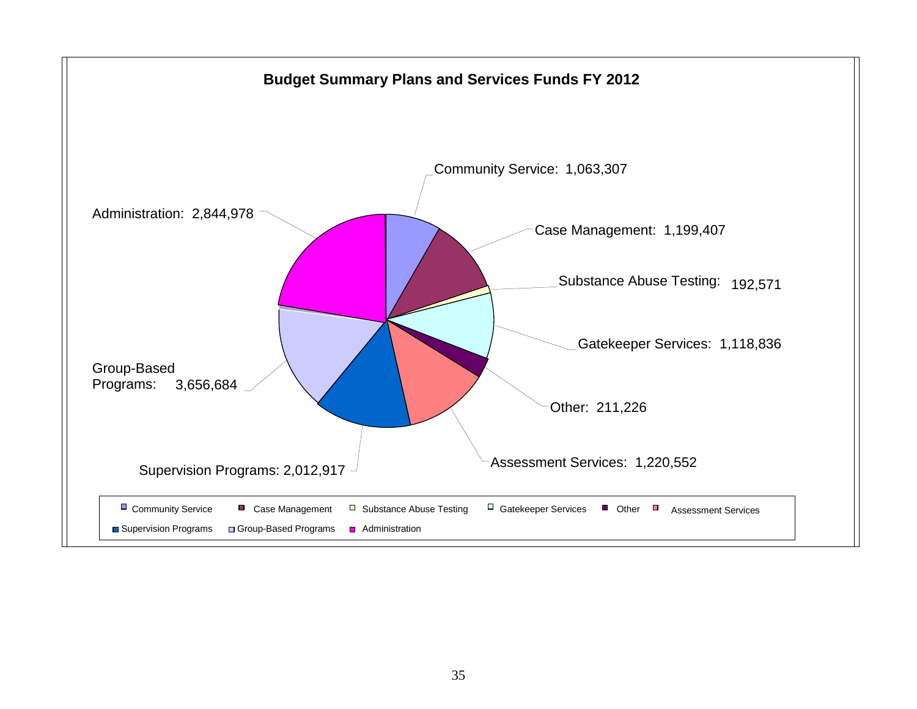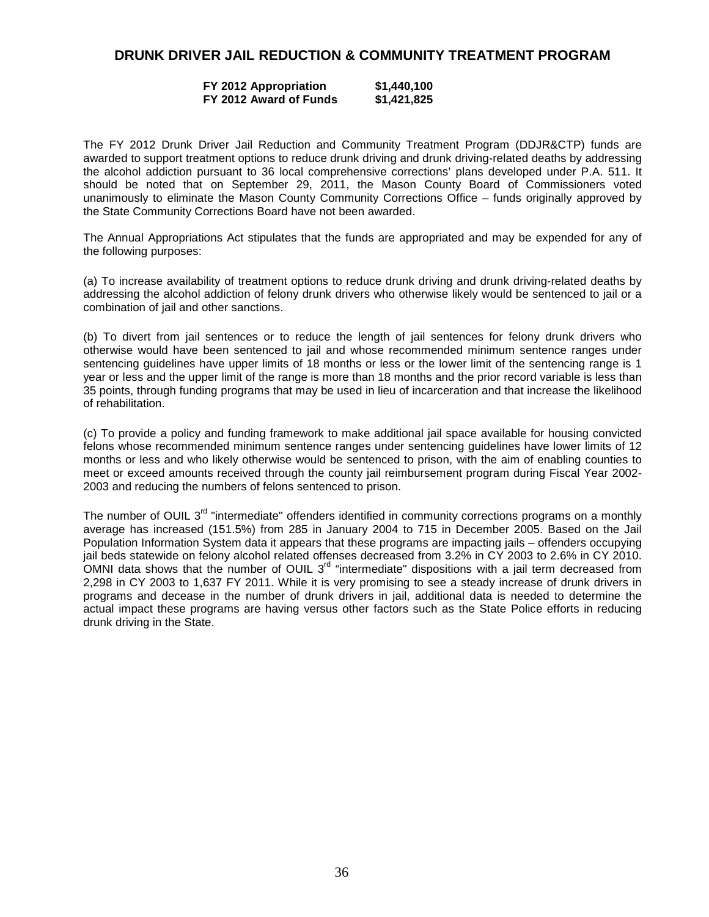# **DRUNK DRIVER JAIL REDUCTION & COMMUNITY TREATMENT PROGRAM**

### **FY 2012 Appropriation \$1,440,100 FY 2012 Award of Funds \$1,421,825**

The FY 2012 Drunk Driver Jail Reduction and Community Treatment Program (DDJR&CTP) funds are awarded to support treatment options to reduce drunk driving and drunk driving-related deaths by addressing the alcohol addiction pursuant to 36 local comprehensive corrections' plans developed under P.A. 511. It should be noted that on September 29, 2011, the Mason County Board of Commissioners voted unanimously to eliminate the Mason County Community Corrections Office – funds originally approved by the State Community Corrections Board have not been awarded.

The Annual Appropriations Act stipulates that the funds are appropriated and may be expended for any of the following purposes:

(a) To increase availability of treatment options to reduce drunk driving and drunk driving-related deaths by addressing the alcohol addiction of felony drunk drivers who otherwise likely would be sentenced to jail or a combination of jail and other sanctions.

(b) To divert from jail sentences or to reduce the length of jail sentences for felony drunk drivers who otherwise would have been sentenced to jail and whose recommended minimum sentence ranges under sentencing guidelines have upper limits of 18 months or less or the lower limit of the sentencing range is 1 year or less and the upper limit of the range is more than 18 months and the prior record variable is less than 35 points, through funding programs that may be used in lieu of incarceration and that increase the likelihood of rehabilitation.

(c) To provide a policy and funding framework to make additional jail space available for housing convicted felons whose recommended minimum sentence ranges under sentencing guidelines have lower limits of 12 months or less and who likely otherwise would be sentenced to prison, with the aim of enabling counties to meet or exceed amounts received through the county jail reimbursement program during Fiscal Year 2002- 2003 and reducing the numbers of felons sentenced to prison.

The number of OUIL 3<sup>rd</sup> "intermediate" offenders identified in community corrections programs on a monthly average has increased (151.5%) from 285 in January 2004 to 715 in December 2005. Based on the Jail Population Information System data it appears that these programs are impacting jails – offenders occupying jail beds statewide on felony alcohol related offenses decreased from 3.2% in CY 2003 to 2.6% in CY 2010. OMNI data shows that the number of OUIL 3rd "intermediate" dispositions with a jail term decreased from 2,298 in CY 2003 to 1,637 FY 2011. While it is very promising to see a steady increase of drunk drivers in programs and decease in the number of drunk drivers in jail, additional data is needed to determine the actual impact these programs are having versus other factors such as the State Police efforts in reducing drunk driving in the State.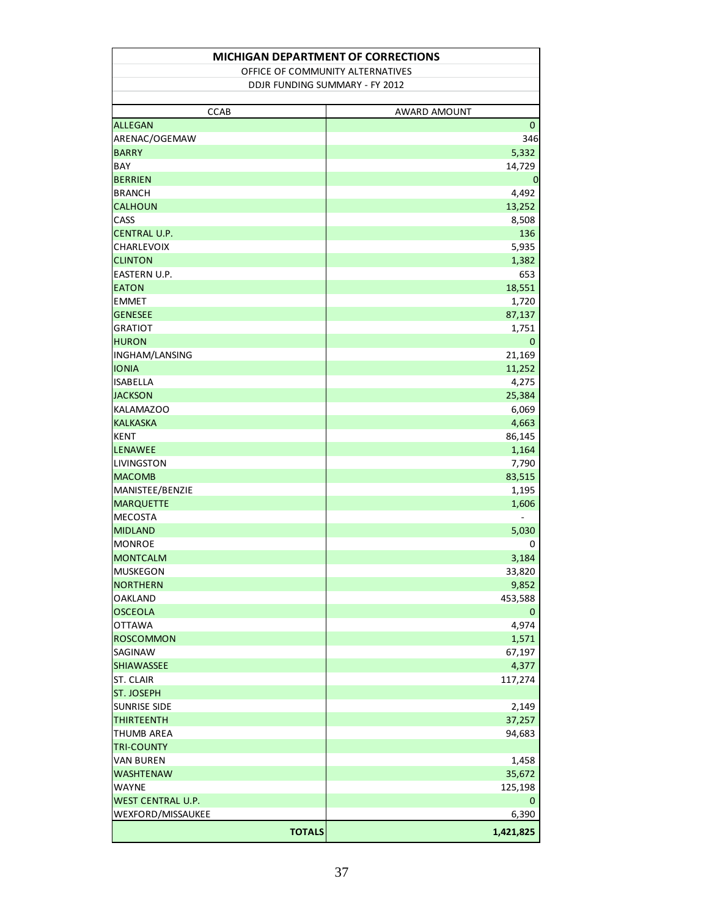| <b>MICHIGAN DEPARTMENT OF CORRECTIONS</b> |                                  |              |  |  |  |  |  |  |  |  |
|-------------------------------------------|----------------------------------|--------------|--|--|--|--|--|--|--|--|
|                                           | OFFICE OF COMMUNITY ALTERNATIVES |              |  |  |  |  |  |  |  |  |
|                                           | DDJR FUNDING SUMMARY - FY 2012   |              |  |  |  |  |  |  |  |  |
|                                           |                                  |              |  |  |  |  |  |  |  |  |
|                                           | <b>CCAB</b>                      | AWARD AMOUNT |  |  |  |  |  |  |  |  |
| <b>ALLEGAN</b>                            |                                  | $\mathbf{0}$ |  |  |  |  |  |  |  |  |
| ARENAC/OGEMAW                             |                                  | 346          |  |  |  |  |  |  |  |  |
| <b>BARRY</b>                              |                                  | 5,332        |  |  |  |  |  |  |  |  |
| BAY                                       |                                  | 14,729       |  |  |  |  |  |  |  |  |
| <b>BERRIEN</b>                            |                                  | 0            |  |  |  |  |  |  |  |  |
| <b>BRANCH</b>                             |                                  | 4,492        |  |  |  |  |  |  |  |  |
| <b>CALHOUN</b>                            |                                  | 13,252       |  |  |  |  |  |  |  |  |
| CASS                                      |                                  | 8,508        |  |  |  |  |  |  |  |  |
| <b>CENTRAL U.P.</b>                       |                                  | 136          |  |  |  |  |  |  |  |  |
| <b>CHARLEVOIX</b>                         |                                  | 5,935        |  |  |  |  |  |  |  |  |
| <b>CLINTON</b>                            |                                  | 1,382        |  |  |  |  |  |  |  |  |
| EASTERN U.P.                              |                                  | 653          |  |  |  |  |  |  |  |  |
| <b>EATON</b>                              |                                  | 18,551       |  |  |  |  |  |  |  |  |
| <b>EMMET</b>                              |                                  | 1,720        |  |  |  |  |  |  |  |  |
| <b>GENESEE</b>                            |                                  | 87,137       |  |  |  |  |  |  |  |  |
| <b>GRATIOT</b>                            |                                  | 1,751        |  |  |  |  |  |  |  |  |
| <b>HURON</b>                              |                                  | $\mathbf 0$  |  |  |  |  |  |  |  |  |
| <b>INGHAM/LANSING</b>                     |                                  | 21,169       |  |  |  |  |  |  |  |  |
| <b>IONIA</b>                              |                                  | 11,252       |  |  |  |  |  |  |  |  |
| <b>ISABELLA</b>                           |                                  | 4,275        |  |  |  |  |  |  |  |  |
| <b>JACKSON</b>                            |                                  | 25,384       |  |  |  |  |  |  |  |  |
| KALAMAZOO                                 |                                  | 6,069        |  |  |  |  |  |  |  |  |
| <b>KALKASKA</b>                           |                                  | 4,663        |  |  |  |  |  |  |  |  |
| <b>KENT</b>                               |                                  | 86,145       |  |  |  |  |  |  |  |  |
| <b>LENAWEE</b>                            |                                  | 1,164        |  |  |  |  |  |  |  |  |
| <b>LIVINGSTON</b>                         |                                  | 7,790        |  |  |  |  |  |  |  |  |
| <b>MACOMB</b>                             |                                  | 83,515       |  |  |  |  |  |  |  |  |
| MANISTEE/BENZIE                           |                                  | 1,195        |  |  |  |  |  |  |  |  |
| <b>MARQUETTE</b>                          |                                  | 1,606        |  |  |  |  |  |  |  |  |
| <b>MECOSTA</b>                            |                                  |              |  |  |  |  |  |  |  |  |
| <b>MIDLAND</b>                            |                                  | 5,030        |  |  |  |  |  |  |  |  |
| <b>MONROE</b>                             |                                  | 0            |  |  |  |  |  |  |  |  |
| <b>MONTCALM</b>                           |                                  | 3,184        |  |  |  |  |  |  |  |  |
| <b>MUSKEGON</b>                           |                                  | 33,820       |  |  |  |  |  |  |  |  |
| <b>NORTHERN</b>                           |                                  | 9,852        |  |  |  |  |  |  |  |  |
| <b>OAKLAND</b>                            |                                  | 453,588      |  |  |  |  |  |  |  |  |
| <b>OSCEOLA</b>                            |                                  | 0            |  |  |  |  |  |  |  |  |
| <b>OTTAWA</b>                             |                                  | 4,974        |  |  |  |  |  |  |  |  |
| <b>ROSCOMMON</b>                          |                                  | 1,571        |  |  |  |  |  |  |  |  |
|                                           |                                  |              |  |  |  |  |  |  |  |  |
| SAGINAW                                   |                                  | 67,197       |  |  |  |  |  |  |  |  |
| SHIAWASSEE                                |                                  | 4,377        |  |  |  |  |  |  |  |  |
| ST. CLAIR                                 |                                  | 117,274      |  |  |  |  |  |  |  |  |
| <b>ST. JOSEPH</b>                         |                                  |              |  |  |  |  |  |  |  |  |
| <b>SUNRISE SIDE</b>                       |                                  | 2,149        |  |  |  |  |  |  |  |  |
| <b>THIRTEENTH</b>                         |                                  | 37,257       |  |  |  |  |  |  |  |  |
| <b>THUMB AREA</b>                         |                                  | 94,683       |  |  |  |  |  |  |  |  |
| <b>TRI-COUNTY</b>                         |                                  |              |  |  |  |  |  |  |  |  |
| <b>VAN BUREN</b>                          |                                  | 1,458        |  |  |  |  |  |  |  |  |
| <b>WASHTENAW</b>                          |                                  | 35,672       |  |  |  |  |  |  |  |  |
| <b>WAYNE</b>                              |                                  | 125,198      |  |  |  |  |  |  |  |  |
| <b>WEST CENTRAL U.P.</b>                  |                                  | 0            |  |  |  |  |  |  |  |  |
| WEXFORD/MISSAUKEE                         |                                  | 6,390        |  |  |  |  |  |  |  |  |
|                                           | <b>TOTALS</b>                    | 1,421,825    |  |  |  |  |  |  |  |  |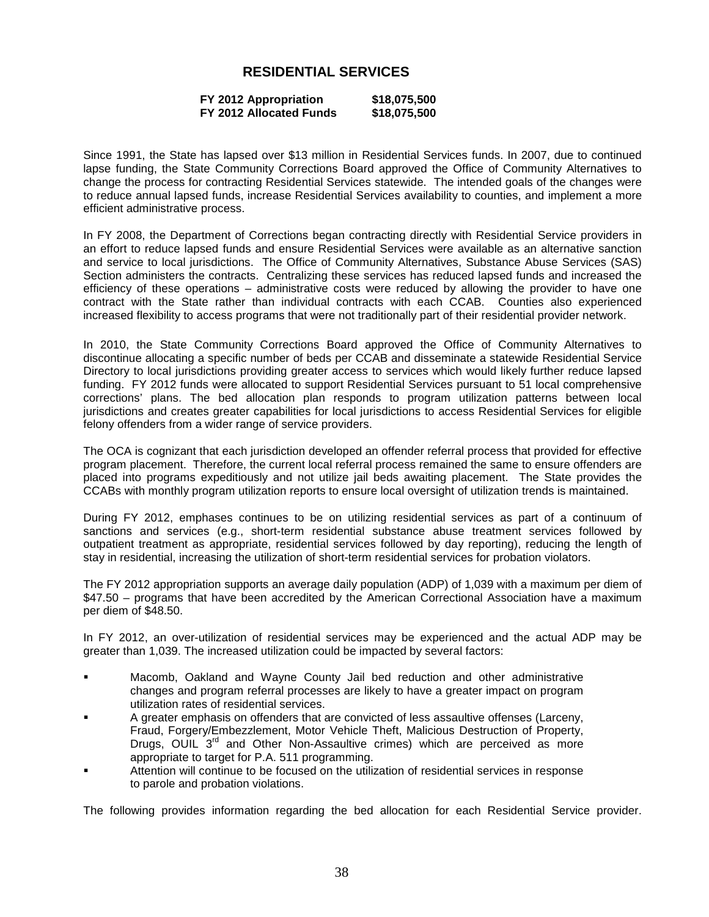# **RESIDENTIAL SERVICES**

| FY 2012 Appropriation   | \$18,075,500 |
|-------------------------|--------------|
| FY 2012 Allocated Funds | \$18,075,500 |

Since 1991, the State has lapsed over \$13 million in Residential Services funds. In 2007, due to continued lapse funding, the State Community Corrections Board approved the Office of Community Alternatives to change the process for contracting Residential Services statewide. The intended goals of the changes were to reduce annual lapsed funds, increase Residential Services availability to counties, and implement a more efficient administrative process.

In FY 2008, the Department of Corrections began contracting directly with Residential Service providers in an effort to reduce lapsed funds and ensure Residential Services were available as an alternative sanction and service to local jurisdictions. The Office of Community Alternatives, Substance Abuse Services (SAS) Section administers the contracts. Centralizing these services has reduced lapsed funds and increased the efficiency of these operations – administrative costs were reduced by allowing the provider to have one contract with the State rather than individual contracts with each CCAB. Counties also experienced increased flexibility to access programs that were not traditionally part of their residential provider network.

In 2010, the State Community Corrections Board approved the Office of Community Alternatives to discontinue allocating a specific number of beds per CCAB and disseminate a statewide Residential Service Directory to local jurisdictions providing greater access to services which would likely further reduce lapsed funding. FY 2012 funds were allocated to support Residential Services pursuant to 51 local comprehensive corrections' plans. The bed allocation plan responds to program utilization patterns between local jurisdictions and creates greater capabilities for local jurisdictions to access Residential Services for eligible felony offenders from a wider range of service providers.

The OCA is cognizant that each jurisdiction developed an offender referral process that provided for effective program placement. Therefore, the current local referral process remained the same to ensure offenders are placed into programs expeditiously and not utilize jail beds awaiting placement. The State provides the CCABs with monthly program utilization reports to ensure local oversight of utilization trends is maintained.

During FY 2012, emphases continues to be on utilizing residential services as part of a continuum of sanctions and services (e.g., short-term residential substance abuse treatment services followed by outpatient treatment as appropriate, residential services followed by day reporting), reducing the length of stay in residential, increasing the utilization of short-term residential services for probation violators.

The FY 2012 appropriation supports an average daily population (ADP) of 1,039 with a maximum per diem of \$47.50 – programs that have been accredited by the American Correctional Association have a maximum per diem of \$48.50.

In FY 2012, an over-utilization of residential services may be experienced and the actual ADP may be greater than 1,039. The increased utilization could be impacted by several factors:

- Macomb, Oakland and Wayne County Jail bed reduction and other administrative changes and program referral processes are likely to have a greater impact on program utilization rates of residential services.
- A greater emphasis on offenders that are convicted of less assaultive offenses (Larceny, Fraud, Forgery/Embezzlement, Motor Vehicle Theft, Malicious Destruction of Property, Drugs, OUIL  $3<sup>rd</sup>$  and Other Non-Assaultive crimes) which are perceived as more appropriate to target for P.A. 511 programming.
- Attention will continue to be focused on the utilization of residential services in response to parole and probation violations.

The following provides information regarding the bed allocation for each Residential Service provider.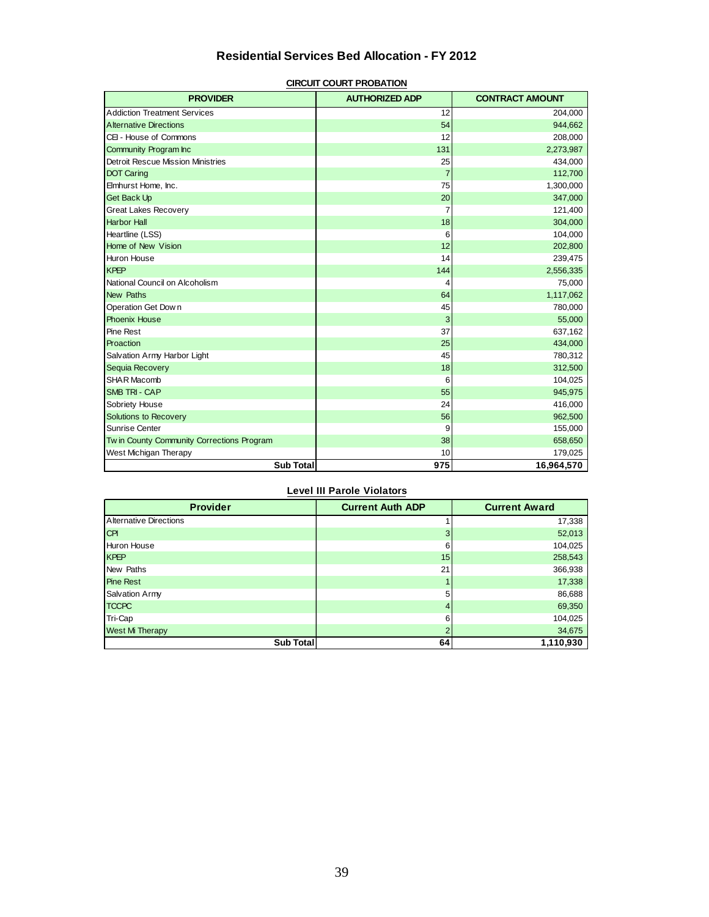# **Residential Services Bed Allocation - FY 2012**

| <b>PROVIDER</b>                            | <b>AUTHORIZED ADP</b> | <b>CONTRACT AMOUNT</b> |
|--------------------------------------------|-----------------------|------------------------|
| <b>Addiction Treatment Services</b>        | 12                    | 204,000                |
| <b>Alternative Directions</b>              | 54                    | 944,662                |
| CEI - House of Commons                     | 12                    | 208,000                |
| Community Program Inc                      | 131                   | 2,273,987              |
| <b>Detroit Rescue Mission Ministries</b>   | 25                    | 434,000                |
| <b>DOT Caring</b>                          | $\overline{7}$        | 112,700                |
| Elmhurst Home, Inc.                        | 75                    | 1,300,000              |
| <b>Get Back Up</b>                         | 20                    | 347,000                |
| <b>Great Lakes Recovery</b>                | 7                     | 121,400                |
| <b>Harbor Hall</b>                         | 18                    | 304,000                |
| Heartline (LSS)                            | 6                     | 104,000                |
| Home of New Vision                         | 12                    | 202,800                |
| Huron House                                | 14                    | 239,475                |
| <b>KPEP</b>                                | 144                   | 2,556,335              |
| National Council on Alcoholism             | 4                     | 75,000                 |
| <b>New Paths</b>                           | 64                    | 1,117,062              |
| Operation Get Down                         | 45                    | 780,000                |
| <b>Phoenix House</b>                       | 3                     | 55,000                 |
| Pine Rest                                  | 37                    | 637,162                |
| Proaction                                  | 25                    | 434,000                |
| Salvation Army Harbor Light                | 45                    | 780,312                |
| Sequia Recovery                            | 18                    | 312,500                |
| <b>SHAR Macomb</b>                         | 6                     | 104,025                |
| <b>SMB TRI - CAP</b>                       | 55                    | 945,975                |
| Sobriety House                             | 24                    | 416,000                |
| Solutions to Recovery                      | 56                    | 962,500                |
| Sunrise Center                             | 9                     | 155,000                |
| Tw in County Community Corrections Program | 38                    | 658,650                |
| West Michigan Therapy                      | 10                    | 179,025                |
| <b>Sub Total</b>                           | 975                   | 16,964,570             |

#### **CIRCUIT COURT PROBATION**

### **Level III Parole Violators**

| <b>Provider</b>        | <b>Current Auth ADP</b> | <b>Current Award</b> |  |  |
|------------------------|-------------------------|----------------------|--|--|
| Alternative Directions |                         | 17,338               |  |  |
| <b>CPI</b>             | 3                       | 52,013               |  |  |
| Huron House            | 6                       | 104,025              |  |  |
| <b>KPEP</b>            | 15                      | 258,543              |  |  |
| New Paths              | 21                      | 366,938              |  |  |
| <b>Pine Rest</b>       |                         | 17,338               |  |  |
| <b>Salvation Army</b>  | 5                       | 86,688               |  |  |
| <b>TCCPC</b>           | 4                       | 69,350               |  |  |
| Tri-Cap                | 6                       | 104,025              |  |  |
| West Mi Therapy        |                         | 34,675               |  |  |
| Sub Total              | 64                      | 1,110,930            |  |  |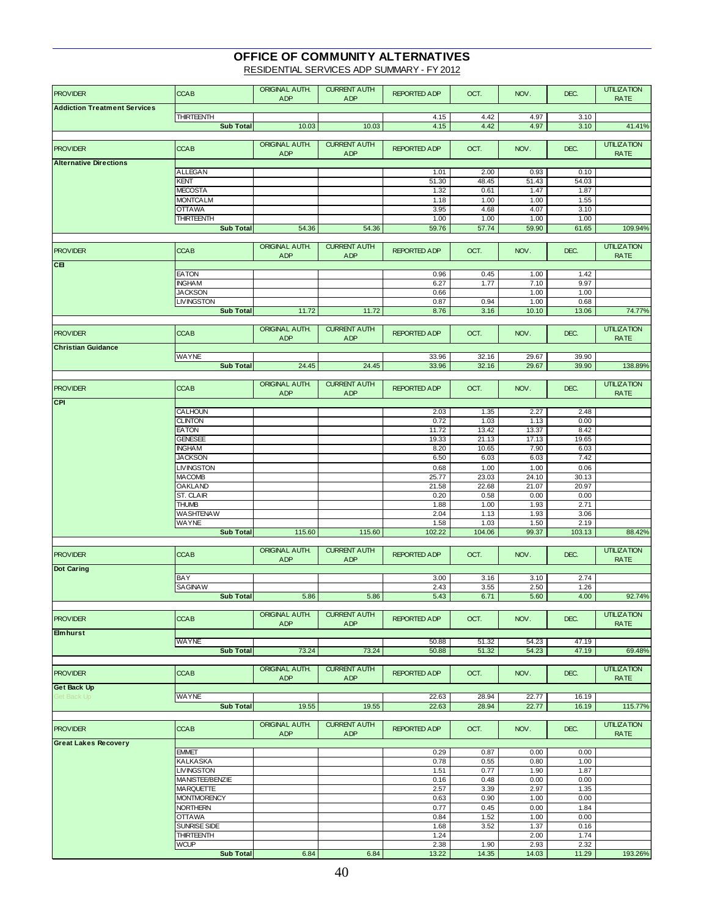# **OFFICE OF COMMUNITY ALTERNATIVES**

RESIDENTIAL SERVICES ADP SUMMARY - FY 2012

| <b>PROVIDER</b>                     | <b>CCAB</b>                     | ORIGINAL AUTH. | <b>CURRENT AUTH</b> | <b>REPORTED ADP</b> | OCT.          | NOV.          | DEC.          | <b>UTILIZATION</b> |
|-------------------------------------|---------------------------------|----------------|---------------------|---------------------|---------------|---------------|---------------|--------------------|
|                                     |                                 | <b>ADP</b>     | <b>ADP</b>          |                     |               |               |               | <b>RATE</b>        |
| <b>Addiction Treatment Services</b> | <b>THIRTEENTH</b>               |                |                     | 4.15                | 4.42          | 4.97          | 3.10          |                    |
|                                     | <b>Sub Total</b>                | 10.03          | 10.03               | 4.15                | 4.42          | 4.97          | 3.10          | 41.41%             |
|                                     |                                 |                |                     |                     |               |               |               |                    |
|                                     |                                 | ORIGINAL AUTH. | <b>CURRENT AUTH</b> |                     |               |               |               | <b>UTILIZATION</b> |
| <b>PROVIDER</b>                     | <b>CCAB</b>                     | <b>ADP</b>     | <b>ADP</b>          | <b>REPORTED ADP</b> | OCT.          | NOV.          | DEC.          | <b>RATE</b>        |
| <b>Alternative Directions</b>       |                                 |                |                     |                     |               |               |               |                    |
|                                     | ALLEGAN                         |                |                     | 1.01                | 2.00          | 0.93          | 0.10          |                    |
|                                     | KENT                            |                |                     | 51.30               | 48.45         | 51.43         | 54.03         |                    |
|                                     | <b>MECOSTA</b>                  |                |                     | 1.32                | 0.61          | 1.47          | 1.87          |                    |
|                                     | <b>MONTCALM</b>                 |                |                     | 1.18                | 1.00          | 1.00          | 1.55          |                    |
|                                     | <b>OTTAWA</b>                   |                |                     | 3.95                | 4.68          | 4.07          | 3.10          |                    |
|                                     | <b>THIRTEENTH</b>               |                |                     | 1.00                | 1.00          | 1.00          | 1.00          |                    |
|                                     | <b>Sub Total</b>                | 54.36          | 54.36               | 59.76               | 57.74         | 59.90         | 61.65         | 109.94%            |
|                                     |                                 |                |                     |                     |               |               |               |                    |
| <b>PROVIDER</b>                     | <b>CCAB</b>                     | ORIGINAL AUTH. | <b>CURRENT AUTH</b> | <b>REPORTED ADP</b> | OCT.          | NOV.          | DEC.          | <b>UTILIZATION</b> |
|                                     |                                 | <b>ADP</b>     | <b>ADP</b>          |                     |               |               |               | <b>RATE</b>        |
| CB                                  |                                 |                |                     |                     |               |               |               |                    |
|                                     | <b>EATON</b>                    |                |                     | 0.96                | 0.45          | 1.00          | 1.42          |                    |
|                                     | <b>INGHAM</b>                   |                |                     | 6.27                | 1.77          | 7.10          | 9.97          |                    |
|                                     | <b>JACKSON</b>                  |                |                     | 0.66                |               | 1.00          | 1.00          |                    |
|                                     | <b>LIVINGSTON</b>               |                |                     | 0.87                | 0.94          | 1.00          | 0.68          |                    |
|                                     | <b>Sub Total</b>                | 11.72          | 11.72               | 8.76                | 3.16          | 10.10         | 13.06         | 74.77%             |
|                                     |                                 | ORIGINAL AUTH. | <b>CURRENT AUTH</b> |                     |               |               |               | <b>UTILIZATION</b> |
| <b>PROVIDER</b>                     | <b>CCAB</b>                     | <b>ADP</b>     | <b>ADP</b>          | <b>REPORTED ADP</b> | OCT.          | NOV.          | DEC.          | <b>RATE</b>        |
| <b>Christian Guidance</b>           |                                 |                |                     |                     |               |               |               |                    |
|                                     | WAYNE                           |                |                     | 33.96               | 32.16         | 29.67         | 39.90         |                    |
|                                     | <b>Sub Total</b>                | 24.45          | 24.45               | 33.96               | 32.16         | 29.67         | 39.90         | 138.89%            |
|                                     |                                 |                |                     |                     |               |               |               |                    |
| <b>PROVIDER</b>                     | <b>CCAB</b>                     | ORIGINAL AUTH. | <b>CURRENT AUTH</b> | <b>REPORTED ADP</b> | OCT.          | NOV.          | DEC.          | <b>UTILIZATION</b> |
|                                     |                                 | <b>ADP</b>     | <b>ADP</b>          |                     |               |               |               | <b>RATE</b>        |
| <b>CPI</b>                          |                                 |                |                     |                     |               |               |               |                    |
|                                     | CALHOUN                         |                |                     | 2.03                | 1.35          | 2.27          | 2.48          |                    |
|                                     | <b>CLINTON</b>                  |                |                     | 0.72                | 1.03          | 1.13          | 0.00          |                    |
|                                     | <b>EATON</b>                    |                |                     | 11.72               | 13.42         | 13.37         | 8.42          |                    |
|                                     | <b>GENESEE</b>                  |                |                     | 19.33               | 21.13         | 17.13         | 19.65         |                    |
|                                     | <b>INGHAM</b>                   |                |                     | 8.20                | 10.65         | 7.90          | 6.03          |                    |
|                                     | <b>JACKSON</b>                  |                |                     | 6.50                | 6.03          | 6.03          | 7.42          |                    |
|                                     | <b>LIVINGSTON</b>               |                |                     | 0.68                | 1.00          | 1.00          | 0.06          |                    |
|                                     | <b>MACOMB</b>                   |                |                     | 25.77               | 23.03         | 24.10         | 30.13         |                    |
|                                     | <b>OAKLAND</b>                  |                |                     | 21.58               | 22.68         | 21.07         | 20.97         |                    |
|                                     | ST. CLAIR                       |                |                     | 0.20                | 0.58          | 0.00          | 0.00          |                    |
|                                     | <b>THUMB</b>                    |                |                     | 1.88                | 1.00          | 1.93          | 2.71          |                    |
|                                     | <b>WASHTENAW</b>                |                |                     | 2.04                | 1.13          | 1.93          | 3.06          |                    |
|                                     | WAYNE<br><b>Sub Total</b>       |                |                     | 1.58                | 1.03          | 1.50          | 2.19          |                    |
|                                     |                                 | 115.60         | 115.60              | 102.22              | 104.06        | 99.37         | 103.13        | 88.42%             |
|                                     |                                 | ORIGINAL AUTH. | <b>CURRENT AUTH</b> |                     |               |               |               | <b>UTILIZATION</b> |
| <b>PROVIDER</b>                     | <b>CCAB</b>                     | <b>ADP</b>     | <b>ADP</b>          | <b>REPORTED ADP</b> | OCT.          | NOV.          | DEC.          | <b>RATE</b>        |
| <b>Dot Caring</b>                   |                                 |                |                     |                     |               |               |               |                    |
|                                     | BAY                             |                |                     | 3.00                | 3.16          | 3.10          | 2.74          |                    |
|                                     | SAGINAW                         |                |                     | 2.43                | 3.55          | 2.50          | 1.26          |                    |
|                                     | Sub Total                       | 5.86           | 5.86                | 5.43                | 6.71          | 5.60          | 4.00          | 92.74%             |
|                                     |                                 |                |                     |                     |               |               |               |                    |
| <b>PROVIDER</b>                     | <b>CCAB</b>                     | ORIGINAL AUTH. | <b>CURRENT AUTH</b> | <b>REPORTED ADP</b> | OCT.          | NOV.          | DEC.          | <b>UTILIZATION</b> |
|                                     |                                 | ADP            | <b>ADP</b>          |                     |               |               |               | <b>RATE</b>        |
| <b>Elmhurst</b>                     |                                 |                |                     |                     |               |               |               |                    |
|                                     | WAYNE                           |                |                     | 50.88               | 51.32         | 54.23         | 47.19         |                    |
|                                     | <b>Sub Total</b>                | 73.24          | 73.24               | 50.88               | 51.32         | 54.23         | 47.19         | 69.48%             |
|                                     |                                 | ORIGINAL AUTH. | <b>CURRENT AUTH</b> |                     |               |               |               | <b>UTILIZATION</b> |
| <b>PROVIDER</b>                     | <b>CCAB</b>                     | ADP            | ADP                 | <b>REPORTED ADP</b> | OCT.          | NOV.          | DEC.          | <b>RATE</b>        |
| <b>Get Back Up</b>                  |                                 |                |                     |                     |               |               |               |                    |
| Get Back Up                         | <b>WAYNE</b>                    |                |                     | 22.63               | 28.94         | 22.77         | 16.19         |                    |
|                                     | <b>Sub Total</b>                | 19.55          | 19.55               | 22.63               | 28.94         | 22.77         | 16.19         | 115.77%            |
|                                     |                                 |                |                     |                     |               |               |               |                    |
|                                     | <b>CCAB</b>                     | ORIGINAL AUTH. | <b>CURRENT AUTH</b> | <b>REPORTED ADP</b> |               |               |               | <b>UTILIZATION</b> |
| <b>PROVIDER</b>                     |                                 | <b>ADP</b>     | <b>ADP</b>          |                     | OCT.          | NOV.          | DEC.          | <b>RATE</b>        |
| <b>Great Lakes Recovery</b>         |                                 |                |                     |                     |               |               |               |                    |
|                                     | <b>EMMET</b>                    |                |                     | 0.29                | 0.87          | 0.00          | 0.00          |                    |
|                                     | <b>KALKASKA</b>                 |                |                     | 0.78                | 0.55          | 0.80          | 1.00          |                    |
|                                     | <b>LIVINGSTON</b>               |                |                     | 1.51                | 0.77          | 1.90          | 1.87          |                    |
|                                     | MANISTEE/BENZIE                 |                |                     | 0.16                | 0.48          | 0.00          | 0.00          |                    |
|                                     | <b>MARQUETTE</b>                |                |                     | 2.57                | 3.39          | 2.97          | 1.35          |                    |
|                                     | <b>MONTMORENCY</b>              |                |                     | 0.63                | 0.90          | 1.00          | 0.00          |                    |
|                                     | <b>NORTHERN</b>                 |                |                     | 0.77                | 0.45          | 0.00          | 1.84          |                    |
|                                     | <b>OTTAWA</b>                   |                |                     | 0.84                | 1.52          | 1.00          | 0.00          |                    |
|                                     | SUNRISE SIDE                    |                |                     | 1.68                | 3.52          | 1.37          | 0.16          |                    |
|                                     | <b>THIRTEENTH</b>               |                |                     | 1.24                |               | 2.00          | 1.74          |                    |
|                                     |                                 |                |                     |                     |               |               |               |                    |
|                                     | <b>WCUP</b><br><b>Sub Total</b> | 6.84           | 6.84                | 2.38<br>13.22       | 1.90<br>14.35 | 2.93<br>14.03 | 2.32<br>11.29 | 193.26%            |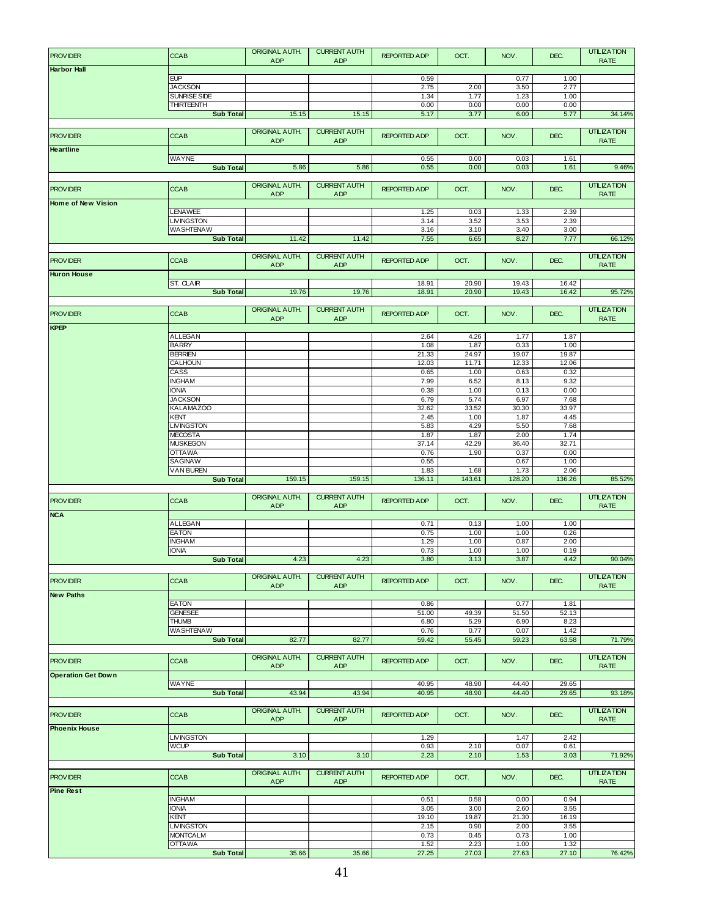| <b>PROVIDER</b>           | <b>CCAB</b>                           | ORIGINAL AUTH.<br><b>ADP</b> | <b>CURRENT AUTH</b><br>ADP        | <b>REPORTED ADP</b> | OCT.           | NOV.           | DEC.           | <b>UTILIZATION</b><br><b>RATE</b> |
|---------------------------|---------------------------------------|------------------------------|-----------------------------------|---------------------|----------------|----------------|----------------|-----------------------------------|
| <b>Harbor Hall</b>        |                                       |                              |                                   |                     |                |                |                |                                   |
|                           | EUP<br><b>JACKSON</b>                 |                              |                                   | 0.59<br>2.75        | 2.00           | 0.77<br>3.50   | 1.00<br>2.77   |                                   |
|                           | <b>SUNRISE SIDE</b>                   |                              |                                   | 1.34                | 1.77           | 1.23           | 1.00           |                                   |
|                           | <b>THIRTEENTH</b>                     |                              |                                   | 0.00                | 0.00           | 0.00           | 0.00           |                                   |
|                           | <b>Sub Total</b>                      | 15.15                        | 15.15                             | 5.17                | 3.77           | 6.00           | 5.77           | 34.14%                            |
| <b>PROVIDER</b>           | <b>CCAB</b>                           | <b>ORIGINAL AUTH.</b>        | <b>CURRENT AUTH</b>               | <b>REPORTED ADP</b> | OCT.           | NOV.           | DEC.           | <b>UTILIZATION</b>                |
| <b>Heartline</b>          |                                       | <b>ADP</b>                   | <b>ADP</b>                        |                     |                |                |                | <b>RATE</b>                       |
|                           | <b>WAYNE</b>                          |                              |                                   | 0.55                | 0.00           | 0.03           | 1.61           |                                   |
|                           | <b>Sub Total</b>                      | 5.86                         | 5.86                              | 0.55                | 0.00           | 0.03           | 1.61           | 9.46%                             |
| <b>PROVIDER</b>           | <b>CCAB</b>                           | ORIGINAL AUTH.               | <b>CURRENT AUTH</b>               | <b>REPORTED ADP</b> | OCT.           | NOV.           | DEC.           | <b>UTILIZATION</b>                |
| <b>Home of New Vision</b> |                                       | <b>ADP</b>                   | <b>ADP</b>                        |                     |                |                |                | <b>RATE</b>                       |
|                           | <b>LENAWEE</b>                        |                              |                                   | 1.25                | 0.03           | 1.33           | 2.39           |                                   |
|                           | <b>LIVINGSTON</b><br><b>WASHTENAW</b> |                              |                                   | 3.14<br>3.16        | 3.52<br>3.10   | 3.53<br>3.40   | 2.39<br>3.00   |                                   |
|                           | <b>Sub Total</b>                      | 11.42                        | 11.42                             | 7.55                | 6.65           | 8.27           | 7.77           | 66.12%                            |
|                           |                                       | <b>ORIGINAL AUTH.</b>        | <b>CURRENT AUTH</b>               |                     |                |                |                | <b>UTILIZATION</b>                |
| <b>PROVIDER</b>           | <b>CCAB</b>                           | <b>ADP</b>                   | ADP                               | <b>REPORTED ADP</b> | OCT.           | NOV.           | DEC.           | <b>RATE</b>                       |
| <b>Huron House</b>        |                                       |                              |                                   |                     |                |                |                |                                   |
|                           | ST. CLAIR<br><b>Sub Total</b>         | 19.76                        | 19.76                             | 18.91<br>18.91      | 20.90<br>20.90 | 19.43<br>19.43 | 16.42<br>16.42 | 95.72%                            |
|                           |                                       | ORIGINAL AUTH.               |                                   |                     |                |                |                |                                   |
| <b>PROVIDER</b>           | <b>CCAB</b>                           | <b>ADP</b>                   | <b>CURRENT AUTH</b><br><b>ADP</b> | <b>REPORTED ADP</b> | OCT.           | NOV.           | DEC.           | <b>UTILIZATION</b><br><b>RATE</b> |
| KPEP                      |                                       |                              |                                   |                     |                |                |                |                                   |
|                           | <b>ALLEGAN</b><br><b>BARRY</b>        |                              |                                   | 2.64<br>1.08        | 4.26<br>1.87   | 1.77<br>0.33   | 1.87<br>1.00   |                                   |
|                           | <b>BERRIEN</b>                        |                              |                                   | 21.33               | 24.97          | 19.07          | 19.87          |                                   |
|                           | CALHOUN<br>CASS                       |                              |                                   | 12.03<br>0.65       | 11.71<br>1.00  | 12.33<br>0.63  | 12.06<br>0.32  |                                   |
|                           | <b>INGHAM</b>                         |                              |                                   | 7.99                | 6.52           | 8.13           | 9.32           |                                   |
|                           | <b>IONIA</b><br><b>JACKSON</b>        |                              |                                   | 0.38<br>6.79        | 1.00<br>5.74   | 0.13<br>6.97   | 0.00<br>7.68   |                                   |
|                           | <b>KALAMAZOO</b>                      |                              |                                   | 32.62               | 33.52          | 30.30          | 33.97          |                                   |
|                           | KENT                                  |                              |                                   | 2.45                | 1.00           | 1.87           | 4.45           |                                   |
|                           | <b>LIVINGSTON</b><br><b>MECOSTA</b>   |                              |                                   | 5.83<br>1.87        | 4.29<br>1.87   | 5.50<br>2.00   | 7.68<br>1.74   |                                   |
|                           | <b>MUSKEGON</b>                       |                              |                                   | 37.14               | 42.29          | 36.40          | 32.71          |                                   |
|                           | <b>OTTAWA</b><br><b>SAGINAW</b>       |                              |                                   | 0.76<br>0.55        | 1.90           | 0.37<br>0.67   | 0.00<br>1.00   |                                   |
|                           | <b>VAN BUREN</b>                      |                              |                                   | 1.83                | 1.68           | 1.73           | 2.06           |                                   |
|                           | <b>Sub Total</b>                      | 159.15                       | 159.15                            | 136.11              | 143.61         | 128.20         | 136.26         | 85.52%                            |
| <b>PROVIDER</b>           | <b>CCAB</b>                           | ORIGINAL AUTH.               | <b>CURRENT AUTH</b>               | <b>REPORTED ADP</b> | OCT.           | NOV.           | DEC.           | <b>UTILIZATION</b>                |
| <b>NCA</b>                |                                       | <b>ADP</b>                   | <b>ADP</b>                        |                     |                |                |                | <b>RATE</b>                       |
|                           | <b>ALLEGAN</b>                        |                              |                                   | 0.71                | 0.13           | 1.00           | 1.00           |                                   |
|                           | <b>EATON</b><br><b>INGHAM</b>         |                              |                                   | 0.75<br>1.29        | 1.00<br>1.00   | 1.00<br>0.87   | 0.26<br>2.00   |                                   |
|                           | <b>IONIA</b>                          |                              |                                   | 0.73                | 1.00           | 1.00           | 0.19           |                                   |
|                           | <b>Sub Total</b>                      | 4.23                         | 4.23                              | 3.80                | 3.13           | 3.87           | 4.42           | 90.04%                            |
| <b>PROVIDER</b>           | <b>CCAB</b>                           | ORIGINAL AUTH.               | <b>CURRENT AUTH</b>               | <b>REPORTED ADP</b> | OCT.           | NOV.           | DEC.           | <b>UTILIZATION</b><br><b>RATE</b> |
| <b>New Paths</b>          |                                       | ADP                          | ADP                               |                     |                |                |                |                                   |
|                           | <b>EATON</b><br><b>GENESEE</b>        |                              |                                   | 0.86<br>51.00       | 49.39          | 0.77<br>51.50  | 1.81<br>52.13  |                                   |
|                           | <b>THUMB</b>                          |                              |                                   | 6.80                | 5.29           | 6.90           | 8.23           |                                   |
|                           | <b>WASHTENAW</b>                      |                              |                                   | 0.76                | 0.77           | 0.07           | 1.42           |                                   |
|                           | <b>Sub Total</b>                      | 82.77                        | 82.77                             | 59.42               | 55.45          | 59.23          | 63.58          | 71.79%                            |
| <b>PROVIDER</b>           | <b>CCAB</b>                           | ORIGINAL AUTH.<br><b>ADP</b> | <b>CURRENT AUTH</b><br><b>ADP</b> | <b>REPORTED ADP</b> | OCT.           | NOV.           | DEC.           | <b>UTILIZATION</b><br><b>RATE</b> |
| <b>Operation Get Down</b> | <b>WAYNE</b>                          |                              |                                   | 40.95               | 48.90          | 44.40          | 29.65          |                                   |
|                           | <b>Sub Total</b>                      | 43.94                        | 43.94                             | 40.95               | 48.90          | 44.40          | 29.65          | 93.18%                            |
|                           |                                       | ORIGINAL AUTH.               | <b>CURRENT AUTH</b>               |                     |                |                |                | <b>UTILIZATION</b>                |
| <b>PROVIDER</b>           | <b>CCAB</b>                           | ADP                          | ADP                               | <b>REPORTED ADP</b> | OCT.           | NOV.           | DEC.           | <b>RATE</b>                       |
| <b>Phoenix House</b>      | <b>LIVINGSTON</b>                     |                              |                                   | 1.29                |                | 1.47           | 2.42           |                                   |
|                           | <b>WCUP</b>                           |                              |                                   | 0.93                | 2.10           | 0.07           | 0.61           |                                   |
|                           | <b>Sub Total</b>                      | 3.10                         | 3.10                              | 2.23                | 2.10           | 1.53           | 3.03           | 71.92%                            |
| <b>PROVIDER</b>           | <b>CCAB</b>                           | ORIGINAL AUTH.<br>ADP        | <b>CURRENT AUTH</b><br>ADP        | <b>REPORTED ADP</b> | OCT.           | NOV.           | DEC.           | <b>UTILIZATION</b><br><b>RATE</b> |
| <b>Pine Rest</b>          | <b>INGHAM</b>                         |                              |                                   | 0.51                | 0.58           | 0.00           | 0.94           |                                   |
|                           | <b>IONIA</b>                          |                              |                                   | 3.05                | 3.00           | 2.60           | 3.55           |                                   |
|                           | KENT<br><b>LIVINGSTON</b>             |                              |                                   | 19.10               | 19.87          | 21.30          | 16.19          |                                   |
|                           | <b>MONTCALM</b>                       |                              |                                   | 2.15<br>0.73        | 0.90<br>0.45   | 2.00<br>0.73   | 3.55<br>1.00   |                                   |
|                           | <b>OTTAWA</b>                         |                              |                                   | 1.52                | 2.23           | 1.00           | 1.32           |                                   |
|                           | <b>Sub Total</b>                      | 35.66                        | 35.66                             | 27.25               | 27.03          | 27.63          | 27.10          | 76.42%                            |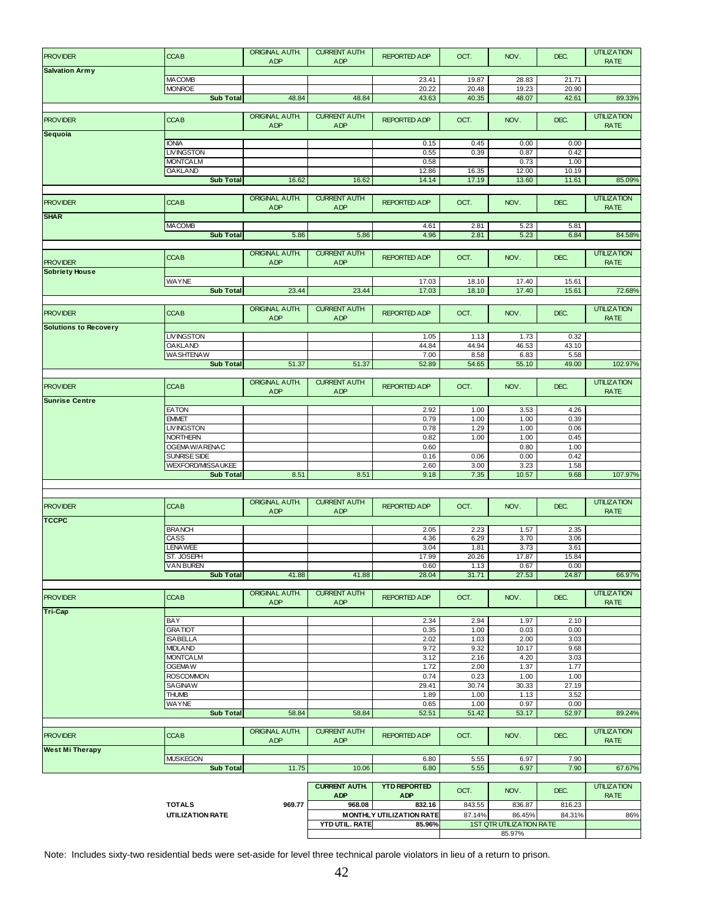| <b>PROVIDER</b>              | <b>CCAB</b>                           | ORIGINAL AUTH.                      | <b>CURRENT AUTH</b>                | <b>REPORTED ADP</b>               | OCT.          | NOV.                            | DEC.          | <b>UTILIZATION</b>                |
|------------------------------|---------------------------------------|-------------------------------------|------------------------------------|-----------------------------------|---------------|---------------------------------|---------------|-----------------------------------|
| <b>Salvation Army</b>        |                                       | <b>ADP</b>                          | ADP                                |                                   |               |                                 |               | <b>RATE</b>                       |
|                              | <b>MACOMB</b>                         |                                     |                                    | 23.41                             | 19.87         | 28.83                           | 21.71         |                                   |
|                              | <b>MONROE</b>                         |                                     |                                    | 20.22                             | 20.48         | 19.23                           | 20.90         |                                   |
|                              | <b>Sub Total</b>                      | 48.84                               | 48.84                              | 43.63                             | 40.35         | 48.07                           | 42.61         | 89.33%                            |
|                              |                                       | <b>ORIGINAL AUTH.</b>               | <b>CURRENT AUTH</b>                |                                   |               |                                 |               | <b>UTILIZATION</b>                |
| <b>PROVIDER</b>              | <b>CCAB</b>                           | ADP                                 | ADP                                | <b>REPORTED ADP</b>               | OCT.          | NOV.                            | DEC.          | <b>RATE</b>                       |
| Sequoia                      |                                       |                                     |                                    |                                   |               |                                 |               |                                   |
|                              | <b>IONIA</b>                          |                                     |                                    | 0.15                              | 0.45          | 0.00                            | 0.00          |                                   |
|                              | <b>LIVINGSTON</b><br><b>MONTCALM</b>  |                                     |                                    | 0.55<br>0.58                      | 0.39          | 0.87<br>0.73                    | 0.42<br>1.00  |                                   |
|                              | <b>OAKLAND</b>                        |                                     |                                    | 12.86                             | 16.35         | 12.00                           | 10.19         |                                   |
|                              | Sub Total                             | 16.62                               | 16.62                              | 14.14                             | 17.19         | 13.60                           | 11.61         | 85.09%                            |
|                              |                                       |                                     |                                    |                                   |               |                                 |               |                                   |
| <b>PROVIDER</b>              | <b>CCAB</b>                           | <b>ORIGINAL AUTH.</b>               | <b>CURRENT AUTH</b>                | <b>REPORTED ADP</b>               | OCT.          | NOV.                            | DEC.          | <b>UTILIZATION</b>                |
| <b>SHAR</b>                  |                                       | ADP                                 | <b>ADP</b>                         |                                   |               |                                 |               | <b>RATE</b>                       |
|                              | <b>MACOMB</b>                         |                                     |                                    | 4.61                              | 2.81          | 5.23                            | 5.81          |                                   |
|                              | <b>Sub Total</b>                      | 5.86                                | 5.86                               | 4.96                              | 2.81          | 5.23                            | 6.84          | 84.58%                            |
|                              |                                       |                                     |                                    |                                   |               |                                 |               |                                   |
| <b>PROVIDER</b>              | <b>CCAB</b>                           | <b>ORIGINAL AUTH.</b><br><b>ADP</b> | <b>CURRENT AUTH</b><br>ADP         | REPORTED ADP                      | OCT.          | NOV.                            | DEC.          | <b>UTILIZATION</b><br><b>RATE</b> |
| <b>Sobriety House</b>        |                                       |                                     |                                    |                                   |               |                                 |               |                                   |
|                              | <b>WAYNE</b>                          |                                     |                                    | 17.03                             | 18.10         | 17.40                           | 15.61         |                                   |
|                              | <b>Sub Total</b>                      | 23.44                               | 23.44                              | 17.03                             | 18.10         | 17.40                           | 15.61         | 72.68%                            |
|                              |                                       |                                     |                                    |                                   |               |                                 |               | <b>UTILIZATION</b>                |
| <b>PROVIDER</b>              | <b>CCAB</b>                           | <b>ORIGINAL AUTH.</b><br>ADP        | <b>CURRENT AUTH</b><br>ADP         | <b>REPORTED ADP</b>               | OCT.          | NOV.                            | DEC.          | <b>RATE</b>                       |
| <b>Solutions to Recovery</b> |                                       |                                     |                                    |                                   |               |                                 |               |                                   |
|                              | <b>LIVINGSTON</b>                     |                                     |                                    | 1.05                              | 1.13          | 1.73                            | 0.32          |                                   |
|                              | <b>OAKLAND</b>                        |                                     |                                    | 44.84                             | 44.94         | 46.53                           | 43.10         |                                   |
|                              | <b>WASHTENAW</b><br><b>Sub Total</b>  | 51.37                               | 51.37                              | 7.00<br>52.89                     | 8.58<br>54.65 | 6.83<br>55.10                   | 5.58<br>49.00 | 102.97%                           |
|                              |                                       |                                     |                                    |                                   |               |                                 |               |                                   |
| <b>PROVIDER</b>              | <b>CCAB</b>                           | ORIGINAL AUTH.                      | <b>CURRENT AUTH</b>                | <b>REPORTED ADP</b>               | OCT.          | NOV.                            | DEC.          | <b>UTILIZATION</b>                |
|                              |                                       | ADP                                 | ADP                                |                                   |               |                                 |               | <b>RATE</b>                       |
| <b>Sunrise Centre</b>        |                                       |                                     |                                    |                                   |               |                                 |               |                                   |
|                              | <b>EATON</b><br><b>EMMET</b>          |                                     |                                    | 2.92<br>0.79                      | 1.00<br>1.00  | 3.53<br>1.00                    | 4.26<br>0.39  |                                   |
|                              | <b>LIVINGSTON</b>                     |                                     |                                    | 0.78                              | 1.29          | 1.00                            | 0.06          |                                   |
|                              | <b>NORTHERN</b>                       |                                     |                                    | 0.82                              | 1.00          | 1.00                            | 0.45          |                                   |
|                              | OGEMAW/ARENAC                         |                                     |                                    | 0.60                              |               | 0.80                            | 1.00          |                                   |
|                              | <b>SUNRISE SIDE</b>                   |                                     |                                    | 0.16                              | 0.06          | 0.00                            | 0.42          |                                   |
|                              | WEXFORD/MISSAUKEE<br><b>Sub Total</b> | 8.51                                | 8.51                               | 2.60<br>9.18                      | 3.00<br>7.35  | 3.23<br>10.57                   | 1.58<br>9.68  | 107.97%                           |
|                              |                                       |                                     |                                    |                                   |               |                                 |               |                                   |
|                              |                                       |                                     |                                    |                                   |               |                                 |               |                                   |
| <b>PROVIDER</b>              | <b>CCAB</b>                           | ORIGINAL AUTH.                      | <b>CURRENT AUTH</b>                | <b>REPORTED ADP</b>               | OCT.          | NOV.                            | DEC.          | <b>UTILIZATION</b>                |
| <b>TCCPC</b>                 |                                       | ADP                                 | ADP                                |                                   |               |                                 |               | <b>RATE</b>                       |
|                              | <b>BRANCH</b>                         |                                     |                                    | 2.05                              | 2.23          | 1.57                            | 2.35          |                                   |
|                              | CASS                                  |                                     |                                    | 4.36                              | 6.29          | 3.70                            | 3.06          |                                   |
|                              | <b>LENAWEE</b>                        |                                     |                                    | 3.04                              | 1.81          | 3.73                            | 3.61          |                                   |
|                              | ST. JOSEPH<br><b>VAN BUREN</b>        |                                     |                                    | 17.99                             | 20.26         | 17.87                           | 15.84         |                                   |
|                              | <b>Sub Total</b>                      | 41.88                               | 41.88                              | 0.60<br>28.04                     | 1.13<br>31.71 | 0.67<br>27.53                   | 0.00<br>24.87 | 66.97%                            |
|                              |                                       |                                     |                                    |                                   |               |                                 |               |                                   |
| <b>PROVIDER</b>              | <b>CCAB</b>                           | ORIGINAL AUTH.                      | <b>CURRENT AUTH</b>                | REPORTED ADP                      | OCT.          | NOV.                            | DEC.          | <b>UTILIZATION</b>                |
| <b>Tri-Cap</b>               |                                       | ADP                                 | ADP                                |                                   |               |                                 |               | <b>RATE</b>                       |
|                              | BAY                                   |                                     |                                    | 2.34                              | 2.94          | 1.97                            | 2.10          |                                   |
|                              | <b>GRATIOT</b>                        |                                     |                                    | 0.35                              | 1.00          | 0.03                            | 0.00          |                                   |
|                              | <b>ISABELLA</b>                       |                                     |                                    | 2.02                              | 1.03          | 2.00                            | 3.03          |                                   |
|                              | <b>MIDLAND</b><br><b>MONTCALM</b>     |                                     |                                    | 9.72                              | 9.32          | 10.17                           | 9.68          |                                   |
|                              | OGEMAW                                |                                     |                                    | 3.12<br>1.72                      | 2.16<br>2.00  | 4.20<br>1.37                    | 3.03<br>1.77  |                                   |
|                              | <b>ROSCOMMON</b>                      |                                     |                                    | 0.74                              | 0.23          | 1.00                            | 1.00          |                                   |
|                              | <b>SAGINAW</b>                        |                                     |                                    | 29.41                             | 30.74         | 30.33                           | 27.19         |                                   |
|                              | <b>THUMB</b>                          |                                     |                                    | 1.89                              | 1.00          | 1.13                            | 3.52          |                                   |
|                              | <b>WAYNE</b><br><b>Sub Total</b>      | 58.84                               | 58.84                              | 0.65<br>52.51                     | 1.00<br>51.42 | 0.97<br>53.17                   | 0.00<br>52.97 | 89.24%                            |
|                              |                                       |                                     |                                    |                                   |               |                                 |               |                                   |
| <b>PROVIDER</b>              | <b>CCAB</b>                           | ORIGINAL AUTH.<br><b>ADP</b>        | <b>CURRENT AUTH</b><br><b>ADP</b>  | <b>REPORTED ADP</b>               | OCT.          | NOV.                            | DEC.          | <b>UTILIZATION</b><br><b>RATE</b> |
| <b>West Mi Therapy</b>       |                                       |                                     |                                    |                                   |               |                                 |               |                                   |
|                              | <b>MUSKEGON</b><br><b>Sub Total</b>   | 11.75                               | 10.06                              | 6.80<br>6.80                      | 5.55<br>5.55  | 6.97<br>6.97                    | 7.90<br>7.90  | 67.67%                            |
|                              |                                       |                                     |                                    |                                   |               |                                 |               |                                   |
|                              |                                       |                                     | <b>CURRENT AUTH.</b><br><b>ADP</b> | <b>YTD REPORTED</b><br><b>ADP</b> | OCT.          | NOV.                            | DEC.          | <b>UTILIZATION</b><br><b>RATE</b> |
|                              | <b>TOTALS</b>                         | 969.77                              | 968.08                             | 832.16                            | 843.55        | 836.87                          | 816.23        |                                   |
|                              | UTILIZATION RATE                      |                                     |                                    | <b>MONTHLY UTILIZATION RATE</b>   | 87.14%        | 86.45%                          | 84.31%        | 86%                               |
|                              |                                       |                                     | <b>YTD UTIL. RATE</b>              | 85.96%                            |               | <b>1ST QTR UTILIZATION RATE</b> |               |                                   |
|                              |                                       |                                     |                                    |                                   | 85.97%        |                                 |               |                                   |

Note: Includes sixty-two residential beds were set-aside for level three technical parole violators in lieu of a return to prison.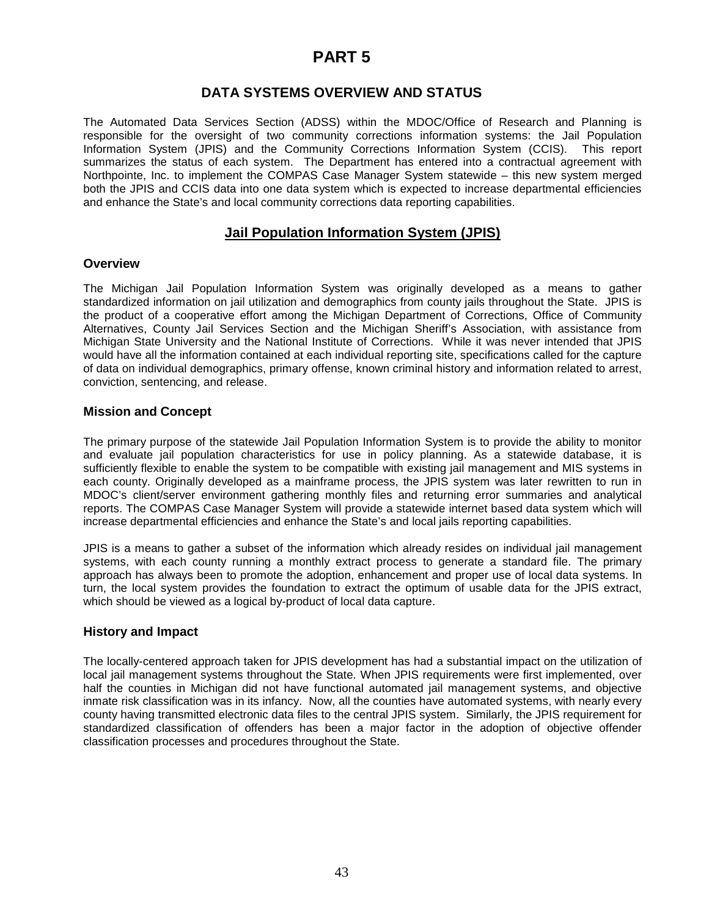# **PART 5**

# **DATA SYSTEMS OVERVIEW AND STATUS**

The Automated Data Services Section (ADSS) within the MDOC/Office of Research and Planning is responsible for the oversight of two community corrections information systems: the Jail Population Information System (JPIS) and the Community Corrections Information System (CCIS). This report summarizes the status of each system. The Department has entered into a contractual agreement with Northpointe, Inc. to implement the COMPAS Case Manager System statewide – this new system merged both the JPIS and CCIS data into one data system which is expected to increase departmental efficiencies and enhance the State's and local community corrections data reporting capabilities.

# **Jail Population Information System (JPIS)**

### **Overview**

The Michigan Jail Population Information System was originally developed as a means to gather standardized information on jail utilization and demographics from county jails throughout the State. JPIS is the product of a cooperative effort among the Michigan Department of Corrections, Office of Community Alternatives, County Jail Services Section and the Michigan Sheriff's Association, with assistance from Michigan State University and the National Institute of Corrections. While it was never intended that JPIS would have all the information contained at each individual reporting site, specifications called for the capture of data on individual demographics, primary offense, known criminal history and information related to arrest, conviction, sentencing, and release.

### **Mission and Concept**

The primary purpose of the statewide Jail Population Information System is to provide the ability to monitor and evaluate jail population characteristics for use in policy planning. As a statewide database, it is sufficiently flexible to enable the system to be compatible with existing jail management and MIS systems in each county. Originally developed as a mainframe process, the JPIS system was later rewritten to run in MDOC's client/server environment gathering monthly files and returning error summaries and analytical reports. The COMPAS Case Manager System will provide a statewide internet based data system which will increase departmental efficiencies and enhance the State's and local jails reporting capabilities.

JPIS is a means to gather a subset of the information which already resides on individual jail management systems, with each county running a monthly extract process to generate a standard file. The primary approach has always been to promote the adoption, enhancement and proper use of local data systems. In turn, the local system provides the foundation to extract the optimum of usable data for the JPIS extract, which should be viewed as a logical by-product of local data capture.

### **History and Impact**

The locally-centered approach taken for JPIS development has had a substantial impact on the utilization of local jail management systems throughout the State. When JPIS requirements were first implemented, over half the counties in Michigan did not have functional automated jail management systems, and objective inmate risk classification was in its infancy. Now, all the counties have automated systems, with nearly every county having transmitted electronic data files to the central JPIS system. Similarly, the JPIS requirement for standardized classification of offenders has been a major factor in the adoption of objective offender classification processes and procedures throughout the State.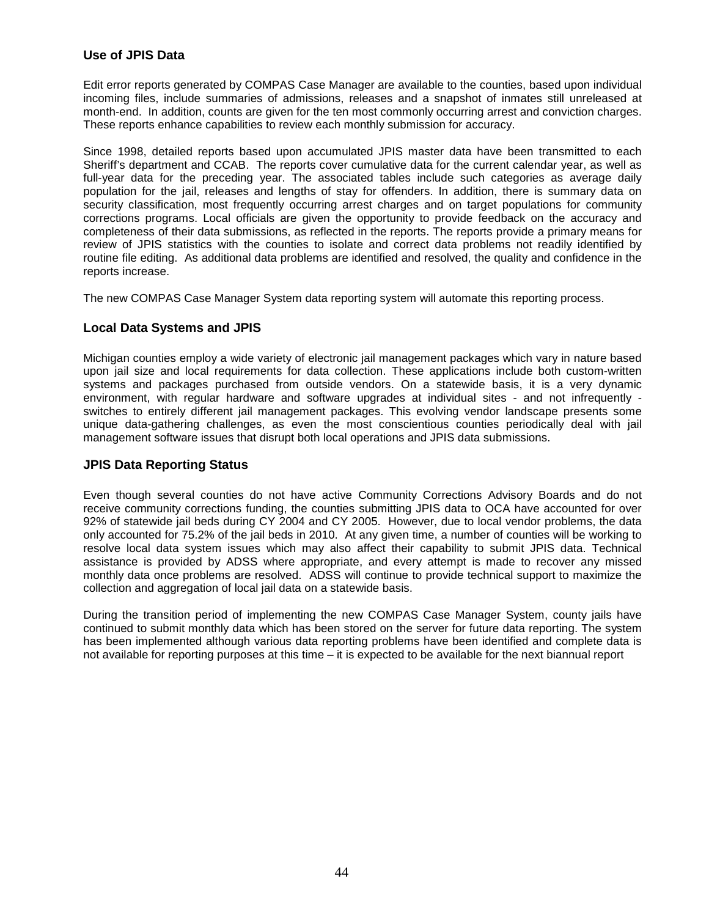### **Use of JPIS Data**

Edit error reports generated by COMPAS Case Manager are available to the counties, based upon individual incoming files, include summaries of admissions, releases and a snapshot of inmates still unreleased at month-end. In addition, counts are given for the ten most commonly occurring arrest and conviction charges. These reports enhance capabilities to review each monthly submission for accuracy.

Since 1998, detailed reports based upon accumulated JPIS master data have been transmitted to each Sheriff's department and CCAB. The reports cover cumulative data for the current calendar year, as well as full-year data for the preceding year. The associated tables include such categories as average daily population for the jail, releases and lengths of stay for offenders. In addition, there is summary data on security classification, most frequently occurring arrest charges and on target populations for community corrections programs. Local officials are given the opportunity to provide feedback on the accuracy and completeness of their data submissions, as reflected in the reports. The reports provide a primary means for review of JPIS statistics with the counties to isolate and correct data problems not readily identified by routine file editing. As additional data problems are identified and resolved, the quality and confidence in the reports increase.

The new COMPAS Case Manager System data reporting system will automate this reporting process.

### **Local Data Systems and JPIS**

Michigan counties employ a wide variety of electronic jail management packages which vary in nature based upon jail size and local requirements for data collection. These applications include both custom-written systems and packages purchased from outside vendors. On a statewide basis, it is a very dynamic environment, with regular hardware and software upgrades at individual sites - and not infrequently switches to entirely different jail management packages. This evolving vendor landscape presents some unique data-gathering challenges, as even the most conscientious counties periodically deal with jail management software issues that disrupt both local operations and JPIS data submissions.

### **JPIS Data Reporting Status**

Even though several counties do not have active Community Corrections Advisory Boards and do not receive community corrections funding, the counties submitting JPIS data to OCA have accounted for over 92% of statewide jail beds during CY 2004 and CY 2005. However, due to local vendor problems, the data only accounted for 75.2% of the jail beds in 2010. At any given time, a number of counties will be working to resolve local data system issues which may also affect their capability to submit JPIS data. Technical assistance is provided by ADSS where appropriate, and every attempt is made to recover any missed monthly data once problems are resolved. ADSS will continue to provide technical support to maximize the collection and aggregation of local jail data on a statewide basis.

During the transition period of implementing the new COMPAS Case Manager System, county jails have continued to submit monthly data which has been stored on the server for future data reporting. The system has been implemented although various data reporting problems have been identified and complete data is not available for reporting purposes at this time – it is expected to be available for the next biannual report